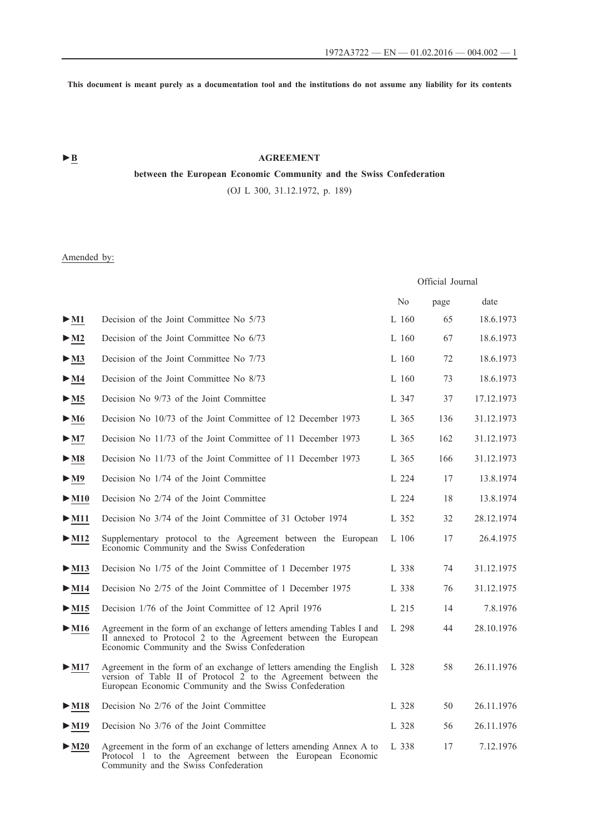**This document is meant purely as a documentation tool and the institutions do not assume any liability for its contents**

# ► **B** AGREEMENT

# **between the European Economic Community and the Swiss Confederation**

(OJ L 300, 31.12.1972, p. 189)

# Amended by:

|                           |                                                                                                                                                                                                   | Official Journal |      |            |
|---------------------------|---------------------------------------------------------------------------------------------------------------------------------------------------------------------------------------------------|------------------|------|------------|
|                           |                                                                                                                                                                                                   | N <sub>0</sub>   | page | date       |
| $>$ M1                    | Decision of the Joint Committee No 5/73                                                                                                                                                           | $L$ 160          | 65   | 18.6.1973  |
| $>$ M2                    | Decision of the Joint Committee No 6/73                                                                                                                                                           | L160             | 67   | 18.6.1973  |
| $\blacktriangleright$ M3  | Decision of the Joint Committee No 7/73                                                                                                                                                           | $L$ 160          | 72   | 18.6.1973  |
| $\blacktriangleright$ M4  | Decision of the Joint Committee No 8/73                                                                                                                                                           | $L$ 160          | 73   | 18.6.1973  |
| $>$ M5                    | Decision No 9/73 of the Joint Committee                                                                                                                                                           | L 347            | 37   | 17.12.1973 |
| $\blacktriangleright$ M6  | Decision No 10/73 of the Joint Committee of 12 December 1973                                                                                                                                      | L 365            | 136  | 31.12.1973 |
| > M7                      | Decision No 11/73 of the Joint Committee of 11 December 1973                                                                                                                                      | L 365            | 162  | 31.12.1973 |
| $>$ M8                    | Decision No 11/73 of the Joint Committee of 11 December 1973                                                                                                                                      | L 365            | 166  | 31.12.1973 |
| $>$ M9                    | Decision No 1/74 of the Joint Committee                                                                                                                                                           | L 224            | 17   | 13.8.1974  |
| $\blacktriangleright$ M10 | Decision No 2/74 of the Joint Committee                                                                                                                                                           | L 224            | 18   | 13.8.1974  |
| $>$ M11                   | Decision No 3/74 of the Joint Committee of 31 October 1974                                                                                                                                        | L 352            | 32   | 28.12.1974 |
| $\blacktriangleright$ M12 | Supplementary protocol to the Agreement between the European<br>Economic Community and the Swiss Confederation                                                                                    | L 106            | 17   | 26.4.1975  |
| $>$ M13                   | Decision No 1/75 of the Joint Committee of 1 December 1975                                                                                                                                        | L 338            | 74   | 31.12.1975 |
| $>$ M14                   | Decision No 2/75 of the Joint Committee of 1 December 1975                                                                                                                                        | L 338            | 76   | 31.12.1975 |
| $>$ M15                   | Decision 1/76 of the Joint Committee of 12 April 1976                                                                                                                                             | L 215            | 14   | 7.8.1976   |
| $\blacktriangleright$ M16 | Agreement in the form of an exchange of letters amending Tables I and<br>II annexed to Protocol 2 to the Agreement between the European<br>Economic Community and the Swiss Confederation         | L 298            | 44   | 28.10.1976 |
| $>$ M17                   | Agreement in the form of an exchange of letters amending the English<br>version of Table II of Protocol 2 to the Agreement between the<br>European Economic Community and the Swiss Confederation | L 328            | 58   | 26.11.1976 |
| $\blacktriangleright$ M18 | Decision No 2/76 of the Joint Committee                                                                                                                                                           | L.328            | 50   | 26.11.1976 |
| $>$ M19                   | Decision No 3/76 of the Joint Committee                                                                                                                                                           | L 328            | 56   | 26.11.1976 |
| $>$ M20                   | Agreement in the form of an exchange of letters amending Annex A to<br>Protocol 1 to the Agreement between the European Economic<br>Community and the Swiss Confederation                         | L 338            | 17   | 7.12.1976  |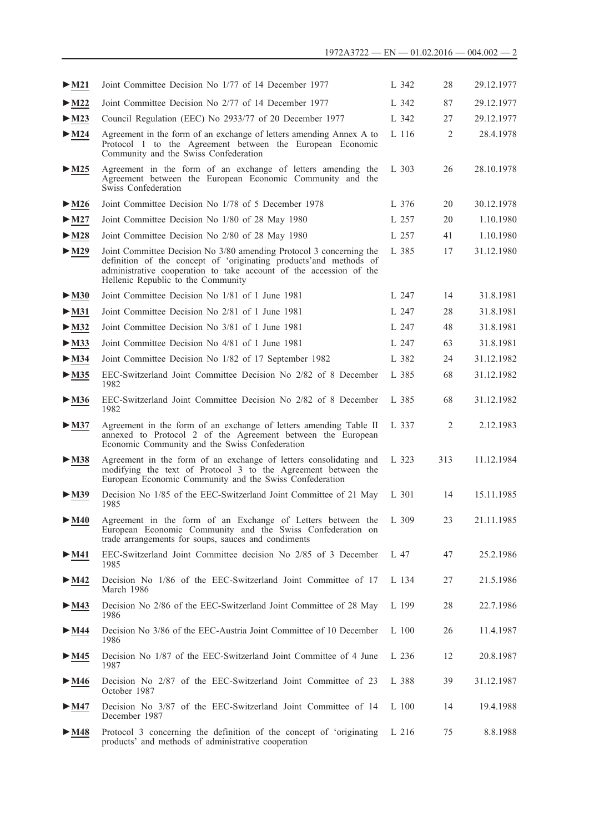| $>$ M21                   | Joint Committee Decision No 1/77 of 14 December 1977                                                                                                                                                                                                 | L 342   | 28             | 29.12.1977 |
|---------------------------|------------------------------------------------------------------------------------------------------------------------------------------------------------------------------------------------------------------------------------------------------|---------|----------------|------------|
| $\blacktriangleright$ M22 | Joint Committee Decision No 2/77 of 14 December 1977                                                                                                                                                                                                 | L 342   | 87             | 29.12.1977 |
| $\blacktriangleright$ M23 | Council Regulation (EEC) No 2933/77 of 20 December 1977                                                                                                                                                                                              | L 342   | 27             | 29.12.1977 |
| $\blacktriangleright$ M24 | Agreement in the form of an exchange of letters amending Annex A to<br>Protocol 1 to the Agreement between the European Economic<br>Community and the Swiss Confederation                                                                            | L 116   | $\overline{2}$ | 28.4.1978  |
| $\blacktriangleright$ M25 | Agreement in the form of an exchange of letters amending the<br>Agreement between the European Economic Community and the<br>Swiss Confederation                                                                                                     | L 303   | 26             | 28.10.1978 |
| $\blacktriangleright$ M26 | Joint Committee Decision No 1/78 of 5 December 1978                                                                                                                                                                                                  | L 376   | 20             | 30.12.1978 |
| $\blacktriangleright$ M27 | Joint Committee Decision No 1/80 of 28 May 1980                                                                                                                                                                                                      | L 257   | 20             | 1.10.1980  |
| $>$ M28                   | Joint Committee Decision No 2/80 of 28 May 1980                                                                                                                                                                                                      | L 257   | 41             | 1.10.1980  |
| $\blacktriangleright$ M29 | Joint Committee Decision No 3/80 amending Protocol 3 concerning the<br>definition of the concept of 'originating products'and methods of<br>administrative cooperation to take account of the accession of the<br>Hellenic Republic to the Community | L 385   | 17             | 31.12.1980 |
| $>$ M30                   | Joint Committee Decision No 1/81 of 1 June 1981                                                                                                                                                                                                      | L 247   | 14             | 31.8.1981  |
| $\blacktriangleright$ M31 | Joint Committee Decision No 2/81 of 1 June 1981                                                                                                                                                                                                      | L 247   | 28             | 31.8.1981  |
| $\blacktriangleright$ M32 | Joint Committee Decision No 3/81 of 1 June 1981                                                                                                                                                                                                      | L 247   | 48             | 31.8.1981  |
| $-M33$                    | Joint Committee Decision No 4/81 of 1 June 1981                                                                                                                                                                                                      | L 247   | 63             | 31.8.1981  |
| $\blacktriangleright$ M34 | Joint Committee Decision No 1/82 of 17 September 1982                                                                                                                                                                                                | L 382   | 24             | 31.12.1982 |
| $\blacktriangleright$ M35 | EEC-Switzerland Joint Committee Decision No 2/82 of 8 December<br>1982                                                                                                                                                                               | L 385   | 68             | 31.12.1982 |
| $\blacktriangleright$ M36 | EEC-Switzerland Joint Committee Decision No 2/82 of 8 December<br>1982                                                                                                                                                                               | L 385   | 68             | 31.12.1982 |
| $\blacktriangleright$ M37 | Agreement in the form of an exchange of letters amending Table II<br>annexed to Protocol 2 of the Agreement between the European<br>Economic Community and the Swiss Confederation                                                                   | L 337   | 2              | 2.12.1983  |
| $>$ M38                   | Agreement in the form of an exchange of letters consolidating and<br>modifying the text of Protocol 3 to the Agreement between the<br>European Economic Community and the Swiss Confederation                                                        | L 323   | 313            | 11.12.1984 |
| $>$ M39                   | Decision No 1/85 of the EEC-Switzerland Joint Committee of 21 May<br>1985                                                                                                                                                                            | L 301   | 14             | 15.11.1985 |
| $>$ M40                   | Agreement in the form of an Exchange of Letters between the<br>European Economic Community and the Swiss Confederation on<br>trade arrangements for soups, sauces and condiments                                                                     | L 309   | 23             | 21.11.1985 |
| $>$ M41                   | EEC-Switzerland Joint Committee decision No 2/85 of 3 December<br>1985                                                                                                                                                                               | L 47    | 47             | 25.2.1986  |
| $\blacktriangleright$ M42 | Decision No 1/86 of the EEC-Switzerland Joint Committee of 17<br>March 1986                                                                                                                                                                          | L 134   | 27             | 21.5.1986  |
| $\blacktriangleright$ M43 | Decision No 2/86 of the EEC-Switzerland Joint Committee of 28 May<br>1986                                                                                                                                                                            | L 199   | 28             | 22.7.1986  |
| $\blacktriangleright$ M44 | Decision No 3/86 of the EEC-Austria Joint Committee of 10 December<br>1986                                                                                                                                                                           | $L$ 100 | 26             | 11.4.1987  |
| $\blacktriangleright$ M45 | Decision No 1/87 of the EEC-Switzerland Joint Committee of 4 June<br>1987                                                                                                                                                                            | L 236   | 12             | 20.8.1987  |
| $\blacktriangleright$ M46 | Decision No 2/87 of the EEC-Switzerland Joint Committee of 23<br>October 1987                                                                                                                                                                        | L 388   | 39             | 31.12.1987 |
| $\blacktriangleright$ M47 | Decision No 3/87 of the EEC-Switzerland Joint Committee of 14<br>December 1987                                                                                                                                                                       | L 100   | 14             | 19.4.1988  |
| $>$ M48                   | Protocol 3 concerning the definition of the concept of 'originating<br>products' and methods of administrative cooperation                                                                                                                           | L 216   | 75             | 8.8.1988   |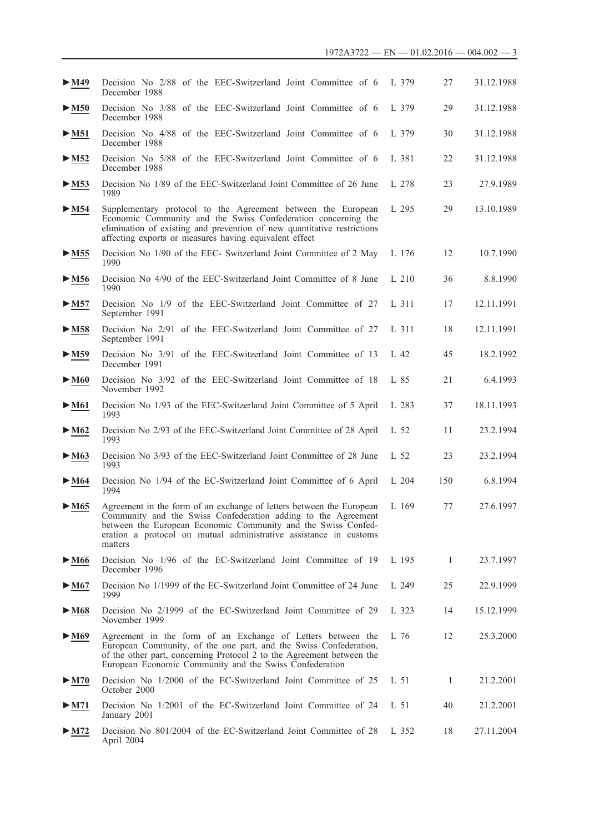| $\blacktriangleright$ M49 | Decision No 2/88 of the EEC-Switzerland Joint Committee of 6<br>December 1988                                                                                                                                                                                                          | L 379 | 27  | 31.12.1988 |
|---------------------------|----------------------------------------------------------------------------------------------------------------------------------------------------------------------------------------------------------------------------------------------------------------------------------------|-------|-----|------------|
| $>$ M50                   | Decision No 3/88 of the EEC-Switzerland Joint Committee of 6<br>December 1988                                                                                                                                                                                                          | L 379 | 29  | 31.12.1988 |
| $>$ M51                   | Decision No 4/88 of the EEC-Switzerland Joint Committee of 6<br>December 1988                                                                                                                                                                                                          | L 379 | 30  | 31.12.1988 |
| $>$ M52                   | Decision No 5/88 of the EEC-Switzerland Joint Committee of 6<br>December 1988                                                                                                                                                                                                          | L 381 | 22  | 31.12.1988 |
| $>$ M53                   | Decision No 1/89 of the EEC-Switzerland Joint Committee of 26 June<br>1989                                                                                                                                                                                                             | L 278 | 23  | 27.9.1989  |
| $>$ M54                   | Supplementary protocol to the Agreement between the European<br>Economic Community and the Swiss Confederation concerning the<br>elimination of existing and prevention of new quantitative restrictions<br>affecting exports or measures having equivalent effect                     | L 295 | 29  | 13.10.1989 |
| $>$ M55                   | Decision No 1/90 of the EEC- Switzerland Joint Committee of 2 May<br>1990                                                                                                                                                                                                              | L 176 | 12  | 10.7.1990  |
| $>$ M56                   | Decision No 4/90 of the EEC-Switzerland Joint Committee of 8 June<br>1990                                                                                                                                                                                                              | L 210 | 36  | 8.8.1990   |
| $>$ M57                   | Decision No 1/9 of the EEC-Switzerland Joint Committee of 27<br>September 1991                                                                                                                                                                                                         | L 311 | 17  | 12.11.1991 |
| $>$ M58                   | Decision No 2/91 of the EEC-Switzerland Joint Committee of 27<br>September 1991                                                                                                                                                                                                        | L 311 | 18  | 12.11.1991 |
| $>$ M59                   | Decision No 3/91 of the EEC-Switzerland Joint Committee of 13<br>December 1991                                                                                                                                                                                                         | L 42  | 45  | 18.2.1992  |
| $\blacktriangleright$ M60 | Decision No 3/92 of the EEC-Switzerland Joint Committee of 18<br>November 1992                                                                                                                                                                                                         | L 85  | 21  | 6.4.1993   |
| $\blacktriangleright$ M61 | Decision No 1/93 of the EEC-Switzerland Joint Committee of 5 April<br>1993                                                                                                                                                                                                             | L 283 | 37  | 18.11.1993 |
| $\blacktriangleright$ M62 | Decision No 2/93 of the EEC-Switzerland Joint Committee of 28 April<br>1993                                                                                                                                                                                                            | L 52  | 11  | 23.2.1994  |
| $\blacktriangleright$ M63 | Decision No 3/93 of the EEC-Switzerland Joint Committee of 28 June<br>1993                                                                                                                                                                                                             | L 52  | 23  | 23.2.1994  |
| $\blacktriangleright$ M64 | Decision No 1/94 of the EC-Switzerland Joint Committee of 6 April<br>1994                                                                                                                                                                                                              | L 204 | 150 | 6.8.1994   |
| $\blacktriangleright$ M65 | Agreement in the form of an exchange of letters between the European<br>Community and the Swiss Confederation adding to the Agreement<br>between the European Economic Community and the Swiss Confed-<br>eration a protocol on mutual administrative assistance in customs<br>matters | L 169 | 77  | 27.6.1997  |
| $\blacktriangleright$ M66 | Decision No 1/96 of the EC-Switzerland Joint Committee of 19<br>December 1996                                                                                                                                                                                                          | L 195 | 1   | 23.7.1997  |
| $\blacktriangleright$ M67 | Decision No 1/1999 of the EC-Switzerland Joint Committee of 24 June<br>1999                                                                                                                                                                                                            | L 249 | 25  | 22.9.1999  |
| $\blacktriangleright$ M68 | Decision No 2/1999 of the EC-Switzerland Joint Committee of 29<br>November 1999                                                                                                                                                                                                        | L 323 | 14  | 15.12.1999 |
| $\blacktriangleright$ M69 | Agreement in the form of an Exchange of Letters between the<br>European Community, of the one part, and the Swiss Confederation,<br>of the other part, concerning Protocol 2 to the Agreement between the<br>European Economic Community and the Swiss Confederation                   | L 76  | 12  | 25.3.2000  |
| $\blacktriangleright$ M70 | Decision No 1/2000 of the EC-Switzerland Joint Committee of 25<br>October 2000                                                                                                                                                                                                         | L 51  | 1   | 21.2.2001  |
| $>$ M71                   | Decision No 1/2001 of the EC-Switzerland Joint Committee of 24<br>January 2001                                                                                                                                                                                                         | L 51  | 40  | 21.2.2001  |
| $>$ M72                   | Decision No 801/2004 of the EC-Switzerland Joint Committee of 28<br>April 2004                                                                                                                                                                                                         | L 352 | 18  | 27.11.2004 |
|                           |                                                                                                                                                                                                                                                                                        |       |     |            |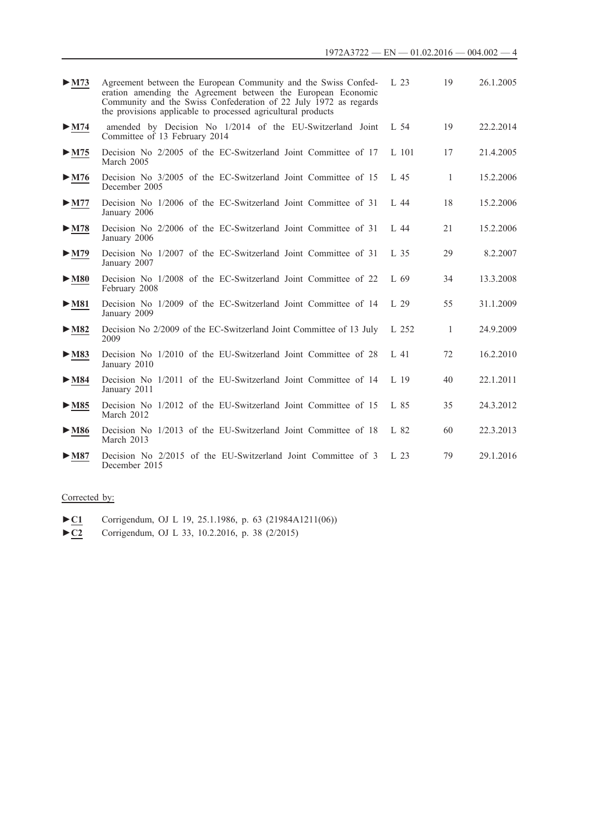| $>$ M73                   | Agreement between the European Community and the Swiss Confed-<br>eration amending the Agreement between the European Economic<br>Community and the Swiss Confederation of 22 July 1972 as regards<br>the provisions applicable to processed agricultural products | L <sub>23</sub> | 19             | 26.1.2005 |
|---------------------------|--------------------------------------------------------------------------------------------------------------------------------------------------------------------------------------------------------------------------------------------------------------------|-----------------|----------------|-----------|
| $\blacktriangleright$ M74 | amended by Decision No 1/2014 of the EU-Switzerland Joint<br>Committee of 13 February 2014                                                                                                                                                                         | L 54            | 19             | 22.2.2014 |
| $\blacktriangleright$ M75 | Decision No 2/2005 of the EC-Switzerland Joint Committee of 17<br>March 2005                                                                                                                                                                                       | L 101           | 17             | 21.4.2005 |
| $\blacktriangleright$ M76 | Decision No 3/2005 of the EC-Switzerland Joint Committee of 15<br>December 2005                                                                                                                                                                                    | L <sub>45</sub> | $\overline{1}$ | 15.2.2006 |
| $>$ M77                   | Decision No 1/2006 of the EC-Switzerland Joint Committee of 31<br>January 2006                                                                                                                                                                                     | L44             | 18             | 15.2.2006 |
| $>$ M78                   | Decision No 2/2006 of the EC-Switzerland Joint Committee of 31<br>January 2006                                                                                                                                                                                     | L44             | 21             | 15.2.2006 |
| $\blacktriangleright$ M79 | Decision No 1/2007 of the EC-Switzerland Joint Committee of 31<br>January 2007                                                                                                                                                                                     | L <sub>35</sub> | 29             | 8.2.2007  |
| $\blacktriangleright$ M80 | Decision No 1/2008 of the EC-Switzerland Joint Committee of 22<br>February 2008                                                                                                                                                                                    | L69             | 34             | 13.3.2008 |
| $>$ M81                   | Decision No 1/2009 of the EC-Switzerland Joint Committee of 14<br>January 2009                                                                                                                                                                                     | L <sub>29</sub> | 55             | 31.1.2009 |
| $>$ M82                   | Decision No 2/2009 of the EC-Switzerland Joint Committee of 13 July<br>2009                                                                                                                                                                                        | L 252           | $\mathbf{1}$   | 24.9.2009 |
| $>$ M83                   | Decision No 1/2010 of the EU-Switzerland Joint Committee of 28<br>January 2010                                                                                                                                                                                     | L41             | 72             | 16.2.2010 |
| $\blacktriangleright$ M84 | Decision No 1/2011 of the EU-Switzerland Joint Committee of 14<br>January 2011                                                                                                                                                                                     | L <sub>19</sub> | 40             | 22.1.2011 |
| $>$ M85                   | Decision No 1/2012 of the EU-Switzerland Joint Committee of 15<br>March 2012                                                                                                                                                                                       | L 85            | 35             | 24.3.2012 |
| $\blacktriangleright$ M86 | Decision No 1/2013 of the EU-Switzerland Joint Committee of 18<br>March 2013                                                                                                                                                                                       | L 82            | 60             | 22.3.2013 |
| $\blacktriangleright$ M87 | Decision No 2/2015 of the EU-Switzerland Joint Committee of 3<br>December 2015                                                                                                                                                                                     | L <sub>23</sub> | 79             | 29.1.2016 |

# Corrected by:

- ►**C1** Corrigendum, OJ L 19, 25.1.1986, p. 63 (21984A1211(06))
- ►**C2** Corrigendum, OJ L 33, 10.2.2016, p. 38 (2/2015)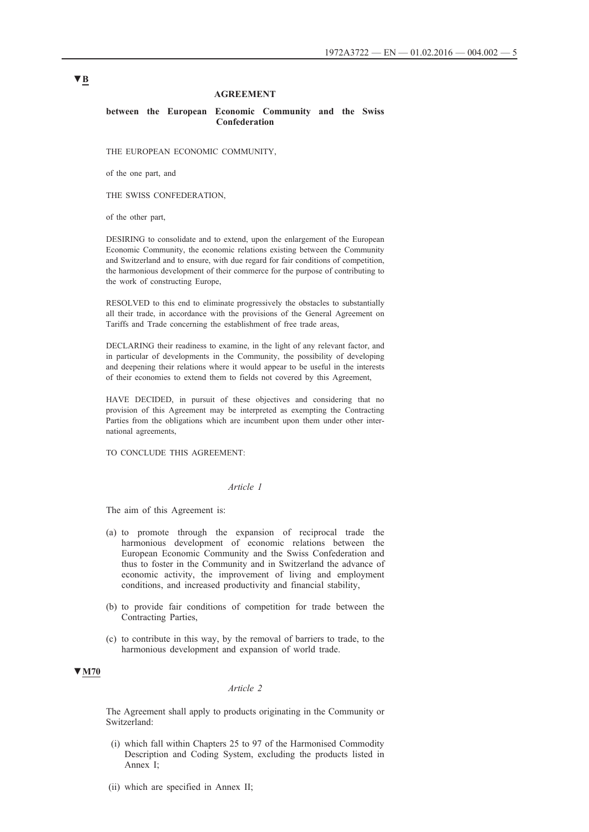### **AGREEMENT**

#### **between the European Economic Community and the Swiss Confederation**

THE EUROPEAN ECONOMIC COMMUNITY,

of the one part, and

THE SWISS CONFEDERATION,

of the other part,

DESIRING to consolidate and to extend, upon the enlargement of the European Economic Community, the economic relations existing between the Community and Switzerland and to ensure, with due regard for fair conditions of competition, the harmonious development of their commerce for the purpose of contributing to the work of constructing Europe,

RESOLVED to this end to eliminate progressively the obstacles to substantially all their trade, in accordance with the provisions of the General Agreement on Tariffs and Trade concerning the establishment of free trade areas,

DECLARING their readiness to examine, in the light of any relevant factor, and in particular of developments in the Community, the possibility of developing and deepening their relations where it would appear to be useful in the interests of their economies to extend them to fields not covered by this Agreement,

HAVE DECIDED, in pursuit of these objectives and considering that no provision of this Agreement may be interpreted as exempting the Contracting Parties from the obligations which are incumbent upon them under other international agreements,

TO CONCLUDE THIS AGREEMENT:

### *Article 1*

The aim of this Agreement is:

- (a) to promote through the expansion of reciprocal trade the harmonious development of economic relations between the European Economic Community and the Swiss Confederation and thus to foster in the Community and in Switzerland the advance of economic activity, the improvement of living and employment conditions, and increased productivity and financial stability,
- (b) to provide fair conditions of competition for trade between the Contracting Parties,
- (c) to contribute in this way, by the removal of barriers to trade, to the harmonious development and expansion of world trade.

### **▼M70**

# *Article 2*

The Agreement shall apply to products originating in the Community or Switzerland:

- (i) which fall within Chapters 25 to 97 of the Harmonised Commodity Description and Coding System, excluding the products listed in Annex I;
- (ii) which are specified in Annex II;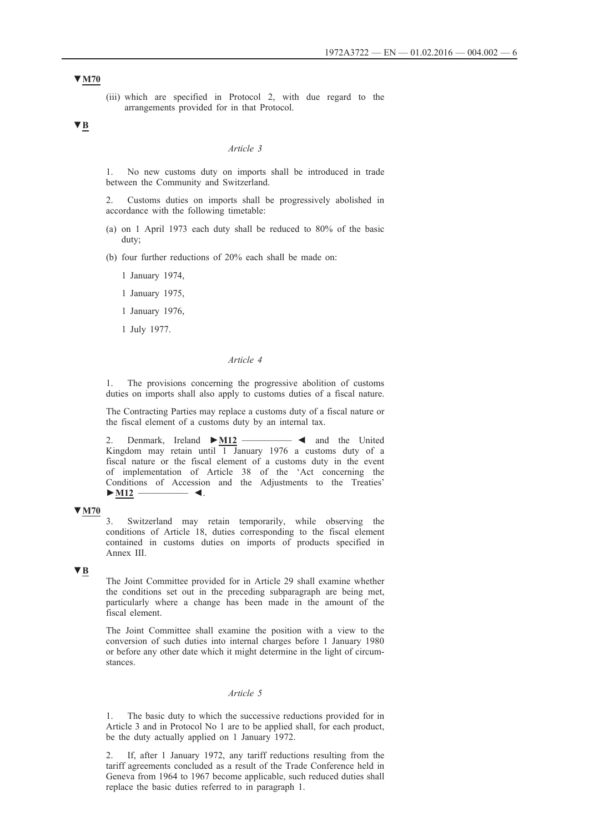(iii) which are specified in Protocol 2, with due regard to the arrangements provided for in that Protocol.

# **▼B**

#### *Article 3*

1. No new customs duty on imports shall be introduced in trade between the Community and Switzerland.

2. Customs duties on imports shall be progressively abolished in accordance with the following timetable:

- (a) on 1 April 1973 each duty shall be reduced to 80% of the basic duty;
- (b) four further reductions of 20% each shall be made on:
	- 1 January 1974,
	- 1 January 1975,
	- 1 January 1976,
	- 1 July 1977.

#### *Article 4*

1. The provisions concerning the progressive abolition of customs duties on imports shall also apply to customs duties of a fiscal nature.

The Contracting Parties may replace a customs duty of a fiscal nature or the fiscal element of a customs duty by an internal tax.

2. Denmark, Ireland **►M12** \_\_\_\_\_\_\_\_\_\_ ◄ and the United Kingdom may retain until  $\overline{1}$  January 1976 a customs duty of a fiscal nature or the fiscal element of a customs duty in the event of implementation of Article 38 of the 'Act concerning the Conditions of Accession and the Adjustments to the Treaties' **►M12** \_\_\_\_\_\_\_\_\_\_ ◄.

### **▼M70**

3. Switzerland may retain temporarily, while observing the conditions of Article 18, duties corresponding to the fiscal element contained in customs duties on imports of products specified in Annex III.

# **▼B**

The Joint Committee provided for in Article 29 shall examine whether the conditions set out in the preceding subparagraph are being met, particularly where a change has been made in the amount of the fiscal element.

The Joint Committee shall examine the position with a view to the conversion of such duties into internal charges before 1 January 1980 or before any other date which it might determine in the light of circumstances.

# *Article 5*

1. The basic duty to which the successive reductions provided for in Article 3 and in Protocol No 1 are to be applied shall, for each product, be the duty actually applied on 1 January 1972.

2. If, after 1 January 1972, any tariff reductions resulting from the tariff agreements concluded as a result of the Trade Conference held in Geneva from 1964 to 1967 become applicable, such reduced duties shall replace the basic duties referred to in paragraph 1.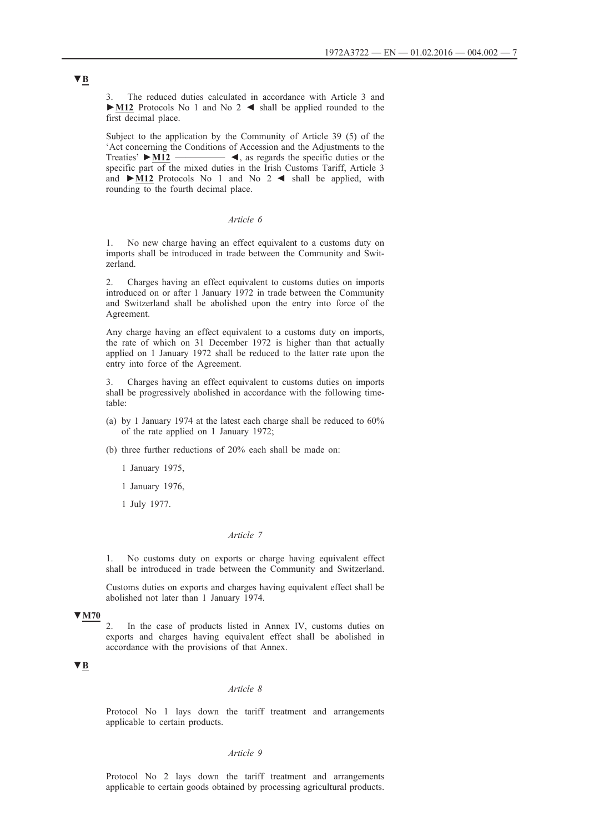3. The reduced duties calculated in accordance with Article 3 and **►M12** Protocols No 1 and No 2 ◄ shall be applied rounded to the first decimal place.

Subject to the application by the Community of Article 39 (5) of the 'Act concerning the Conditions of Accession and the Adjustments to the Treaties' **►M12** \_\_\_\_\_\_\_\_\_\_ ◄, as regards the specific duties or the specific part of the mixed duties in the Irish Customs Tariff, Article 3 and **►M12** Protocols No 1 and No 2 ◄ shall be applied, with rounding to the fourth decimal place.

### *Article 6*

1. No new charge having an effect equivalent to a customs duty on imports shall be introduced in trade between the Community and Switzerland.

2. Charges having an effect equivalent to customs duties on imports introduced on or after 1 January 1972 in trade between the Community and Switzerland shall be abolished upon the entry into force of the Agreement.

Any charge having an effect equivalent to a customs duty on imports, the rate of which on 31 December 1972 is higher than that actually applied on 1 January 1972 shall be reduced to the latter rate upon the entry into force of the Agreement.

3. Charges having an effect equivalent to customs duties on imports shall be progressively abolished in accordance with the following timetable:

- (a) by 1 January 1974 at the latest each charge shall be reduced to 60% of the rate applied on 1 January 1972;
- (b) three further reductions of 20% each shall be made on:
	- 1 January 1975,
	- 1 January 1976,
	- 1 July 1977.

### *Article 7*

1. No customs duty on exports or charge having equivalent effect shall be introduced in trade between the Community and Switzerland.

Customs duties on exports and charges having equivalent effect shall be abolished not later than 1 January 1974.

#### **▼M70**

In the case of products listed in Annex IV, customs duties on exports and charges having equivalent effect shall be abolished in accordance with the provisions of that Annex.

# **▼B**

### *Article 8*

Protocol No 1 lays down the tariff treatment and arrangements applicable to certain products.

#### *Article 9*

Protocol No 2 lays down the tariff treatment and arrangements applicable to certain goods obtained by processing agricultural products.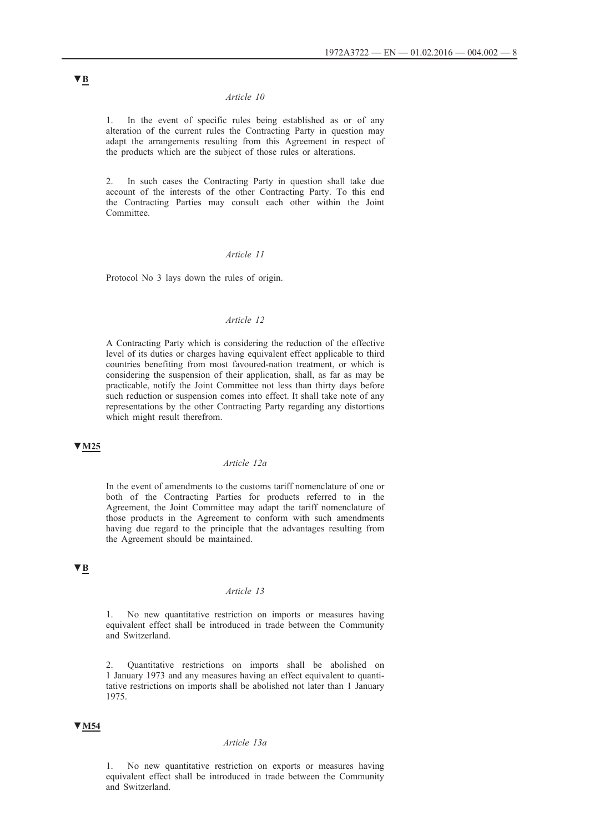1. In the event of specific rules being established as or of any alteration of the current rules the Contracting Party in question may adapt the arrangements resulting from this Agreement in respect of the products which are the subject of those rules or alterations.

2. In such cases the Contracting Party in question shall take due account of the interests of the other Contracting Party. To this end the Contracting Parties may consult each other within the Joint **Committee** 

# *Article 11*

Protocol No 3 lays down the rules of origin.

# *Article 12*

A Contracting Party which is considering the reduction of the effective level of its duties or charges having equivalent effect applicable to third countries benefiting from most favoured-nation treatment, or which is considering the suspension of their application, shall, as far as may be practicable, notify the Joint Committee not less than thirty days before such reduction or suspension comes into effect. It shall take note of any representations by the other Contracting Party regarding any distortions which might result therefrom.

#### **▼M25**

#### *Article 12a*

In the event of amendments to the customs tariff nomenclature of one or both of the Contracting Parties for products referred to in the Agreement, the Joint Committee may adapt the tariff nomenclature of those products in the Agreement to conform with such amendments having due regard to the principle that the advantages resulting from the Agreement should be maintained.

# **▼B**

### *Article 13*

1. No new quantitative restriction on imports or measures having equivalent effect shall be introduced in trade between the Community and Switzerland.

2. Quantitative restrictions on imports shall be abolished on 1 January 1973 and any measures having an effect equivalent to quantitative restrictions on imports shall be abolished not later than 1 January 1975.

### **▼M54**

# *Article 13a*

1. No new quantitative restriction on exports or measures having equivalent effect shall be introduced in trade between the Community and Switzerland.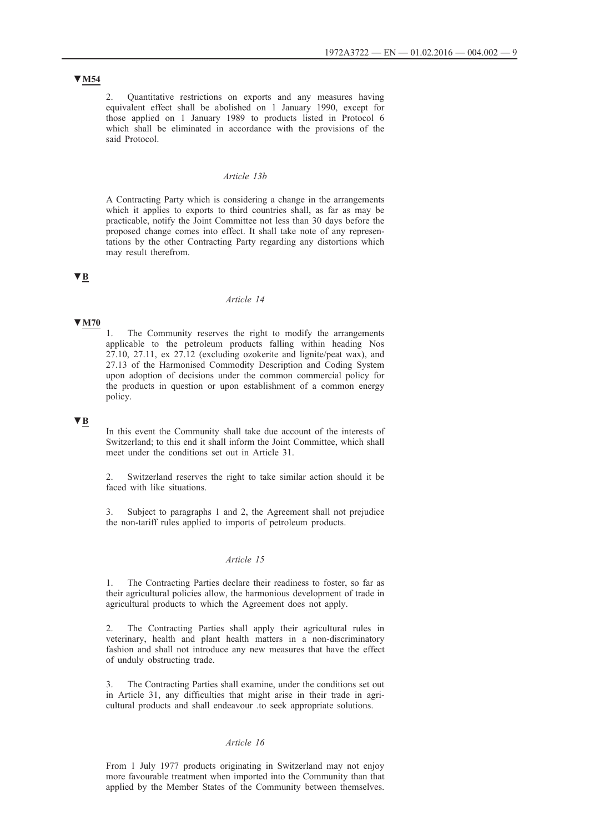# **▼M54**

2. Quantitative restrictions on exports and any measures having equivalent effect shall be abolished on 1 January 1990, except for those applied on 1 January 1989 to products listed in Protocol 6 which shall be eliminated in accordance with the provisions of the said Protocol.

### *Article 13b*

A Contracting Party which is considering a change in the arrangements which it applies to exports to third countries shall, as far as may be practicable, notify the Joint Committee not less than 30 days before the proposed change comes into effect. It shall take note of any representations by the other Contracting Party regarding any distortions which may result therefrom.

# **▼B**

### *Article 14*

# **▼M70**

The Community reserves the right to modify the arrangements applicable to the petroleum products falling within heading Nos 27.10, 27.11, ex 27.12 (excluding ozokerite and lignite/peat wax), and 27.13 of the Harmonised Commodity Description and Coding System upon adoption of decisions under the common commercial policy for the products in question or upon establishment of a common energy policy.

### **▼B**

In this event the Community shall take due account of the interests of Switzerland; to this end it shall inform the Joint Committee, which shall meet under the conditions set out in Article 31.

2. Switzerland reserves the right to take similar action should it be faced with like situations.

3. Subject to paragraphs 1 and 2, the Agreement shall not prejudice the non-tariff rules applied to imports of petroleum products.

# *Article 15*

1. The Contracting Parties declare their readiness to foster, so far as their agricultural policies allow, the harmonious development of trade in agricultural products to which the Agreement does not apply.

2. The Contracting Parties shall apply their agricultural rules in veterinary, health and plant health matters in a non-discriminatory fashion and shall not introduce any new measures that have the effect of unduly obstructing trade.

3. The Contracting Parties shall examine, under the conditions set out in Article 31, any difficulties that might arise in their trade in agricultural products and shall endeavour .to seek appropriate solutions.

# *Article 16*

From 1 July 1977 products originating in Switzerland may not enjoy more favourable treatment when imported into the Community than that applied by the Member States of the Community between themselves.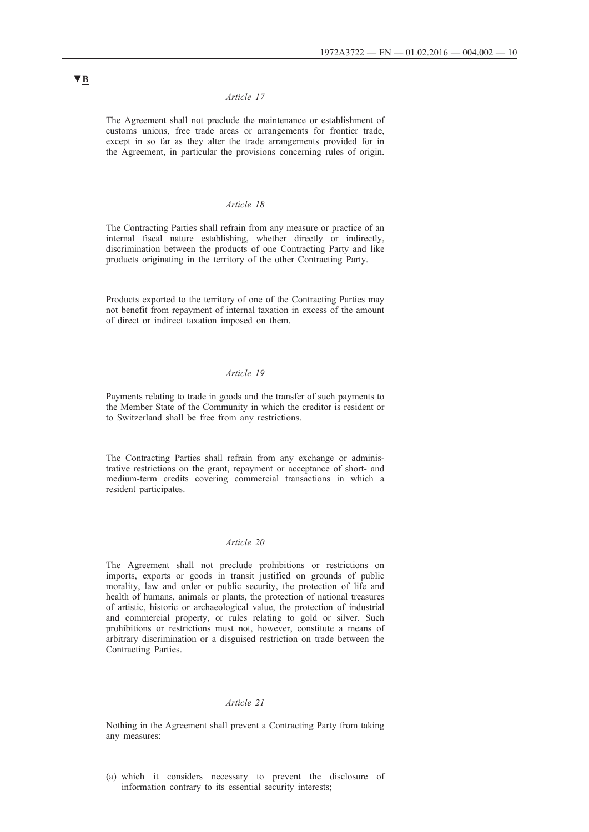The Agreement shall not preclude the maintenance or establishment of customs unions, free trade areas or arrangements for frontier trade, except in so far as they alter the trade arrangements provided for in the Agreement, in particular the provisions concerning rules of origin.

# *Article 18*

The Contracting Parties shall refrain from any measure or practice of an internal fiscal nature establishing, whether directly or indirectly, discrimination between the products of one Contracting Party and like products originating in the territory of the other Contracting Party.

Products exported to the territory of one of the Contracting Parties may not benefit from repayment of internal taxation in excess of the amount of direct or indirect taxation imposed on them.

# *Article 19*

Payments relating to trade in goods and the transfer of such payments to the Member State of the Community in which the creditor is resident or to Switzerland shall be free from any restrictions.

The Contracting Parties shall refrain from any exchange or administrative restrictions on the grant, repayment or acceptance of short- and medium-term credits covering commercial transactions in which a resident participates.

### *Article 20*

The Agreement shall not preclude prohibitions or restrictions on imports, exports or goods in transit justified on grounds of public morality, law and order or public security, the protection of life and health of humans, animals or plants, the protection of national treasures of artistic, historic or archaeological value, the protection of industrial and commercial property, or rules relating to gold or silver. Such prohibitions or restrictions must not, however, constitute a means of arbitrary discrimination or a disguised restriction on trade between the Contracting Parties.

#### *Article 21*

Nothing in the Agreement shall prevent a Contracting Party from taking any measures:

(a) which it considers necessary to prevent the disclosure of information contrary to its essential security interests;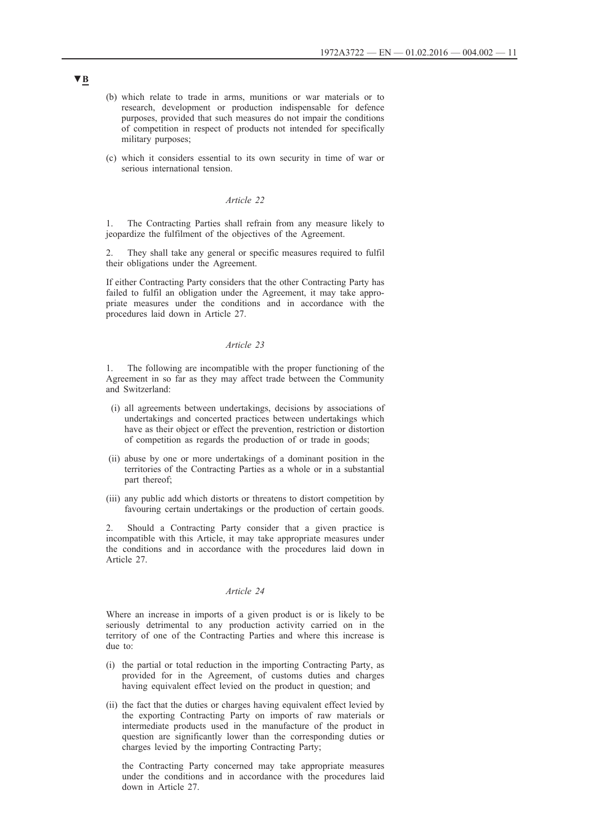- (b) which relate to trade in arms, munitions or war materials or to research, development or production indispensable for defence purposes, provided that such measures do not impair the conditions of competition in respect of products not intended for specifically military purposes;
- (c) which it considers essential to its own security in time of war or serious international tension.

1. The Contracting Parties shall refrain from any measure likely to jeopardize the fulfilment of the objectives of the Agreement.

They shall take any general or specific measures required to fulfil their obligations under the Agreement.

If either Contracting Party considers that the other Contracting Party has failed to fulfil an obligation under the Agreement, it may take appropriate measures under the conditions and in accordance with the procedures laid down in Article 27.

### *Article 23*

1. The following are incompatible with the proper functioning of the Agreement in so far as they may affect trade between the Community and Switzerland:

- (i) all agreements between undertakings, decisions by associations of undertakings and concerted practices between undertakings which have as their object or effect the prevention, restriction or distortion of competition as regards the production of or trade in goods;
- (ii) abuse by one or more undertakings of a dominant position in the territories of the Contracting Parties as a whole or in a substantial part thereof;
- (iii) any public add which distorts or threatens to distort competition by favouring certain undertakings or the production of certain goods.

2. Should a Contracting Party consider that a given practice is incompatible with this Article, it may take appropriate measures under the conditions and in accordance with the procedures laid down in Article 27.

# *Article 24*

Where an increase in imports of a given product is or is likely to be seriously detrimental to any production activity carried on in the territory of one of the Contracting Parties and where this increase is due to:

- (i) the partial or total reduction in the importing Contracting Party, as provided for in the Agreement, of customs duties and charges having equivalent effect levied on the product in question; and
- (ii) the fact that the duties or charges having equivalent effect levied by the exporting Contracting Party on imports of raw materials or intermediate products used in the manufacture of the product in question are significantly lower than the corresponding duties or charges levied by the importing Contracting Party;

the Contracting Party concerned may take appropriate measures under the conditions and in accordance with the procedures laid down in Article 27.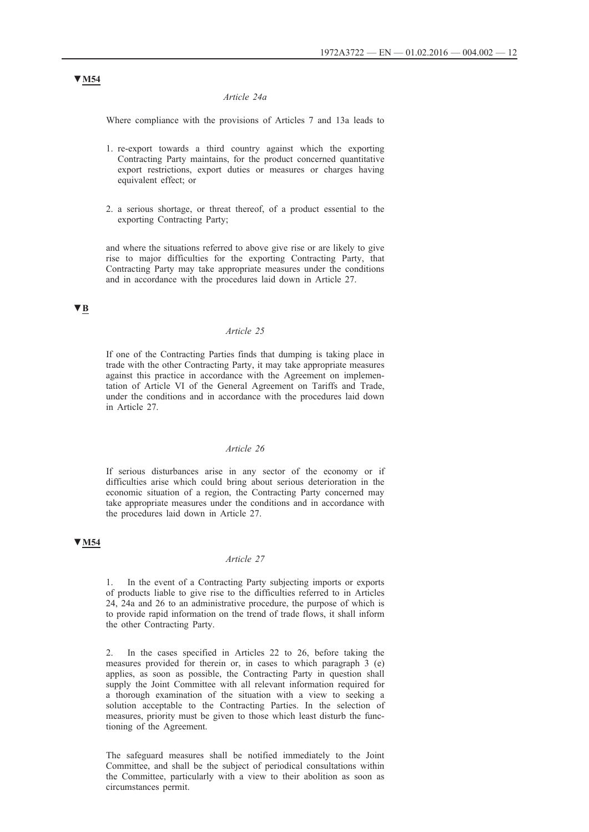#### *Article 24a*

Where compliance with the provisions of Articles 7 and 13a leads to

- 1. re-export towards a third country against which the exporting Contracting Party maintains, for the product concerned quantitative export restrictions, export duties or measures or charges having equivalent effect; or
- 2. a serious shortage, or threat thereof, of a product essential to the exporting Contracting Party;

and where the situations referred to above give rise or are likely to give rise to major difficulties for the exporting Contracting Party, that Contracting Party may take appropriate measures under the conditions and in accordance with the procedures laid down in Article 27.

# **▼B**

# *Article 25*

If one of the Contracting Parties finds that dumping is taking place in trade with the other Contracting Party, it may take appropriate measures against this practice in accordance with the Agreement on implementation of Article VI of the General Agreement on Tariffs and Trade, under the conditions and in accordance with the procedures laid down in Article 27.

### *Article 26*

If serious disturbances arise in any sector of the economy or if difficulties arise which could bring about serious deterioration in the economic situation of a region, the Contracting Party concerned may take appropriate measures under the conditions and in accordance with the procedures laid down in Article 27.

### **▼M54**

### *Article 27*

1. In the event of a Contracting Party subjecting imports or exports of products liable to give rise to the difficulties referred to in Articles 24, 24a and 26 to an administrative procedure, the purpose of which is to provide rapid information on the trend of trade flows, it shall inform the other Contracting Party.

2. In the cases specified in Articles 22 to 26, before taking the measures provided for therein or, in cases to which paragraph 3 (e) applies, as soon as possible, the Contracting Party in question shall supply the Joint Committee with all relevant information required for a thorough examination of the situation with a view to seeking a solution acceptable to the Contracting Parties. In the selection of measures, priority must be given to those which least disturb the functioning of the Agreement.

The safeguard measures shall be notified immediately to the Joint Committee, and shall be the subject of periodical consultations within the Committee, particularly with a view to their abolition as soon as circumstances permit.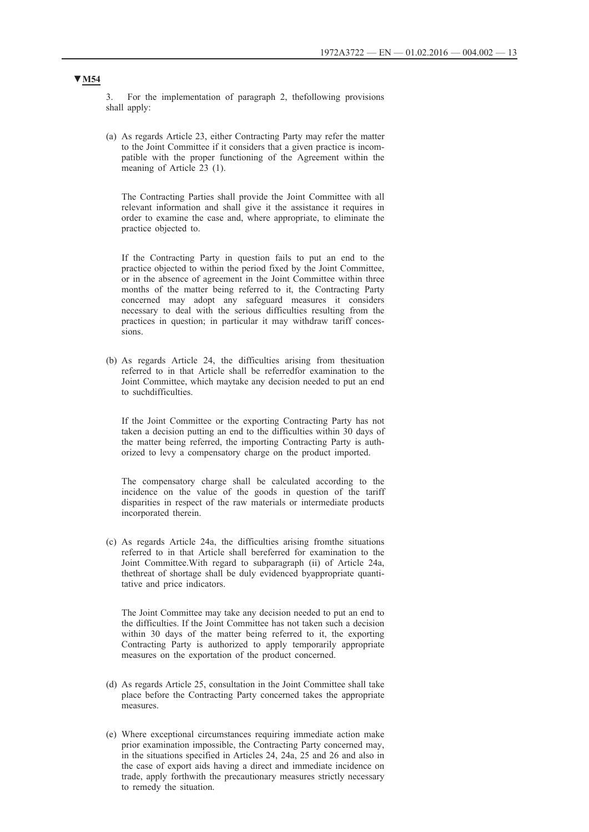3. For the implementation of paragraph 2, thefollowing provisions shall apply:

(a) As regards Article 23, either Contracting Party may refer the matter to the Joint Committee if it considers that a given practice is incompatible with the proper functioning of the Agreement within the meaning of Article 23 (1).

The Contracting Parties shall provide the Joint Committee with all relevant information and shall give it the assistance it requires in order to examine the case and, where appropriate, to eliminate the practice objected to.

If the Contracting Party in question fails to put an end to the practice objected to within the period fixed by the Joint Committee, or in the absence of agreement in the Joint Committee within three months of the matter being referred to it, the Contracting Party concerned may adopt any safeguard measures it considers necessary to deal with the serious difficulties resulting from the practices in question; in particular it may withdraw tariff concessions.

(b) As regards Article 24, the difficulties arising from thesituation referred to in that Article shall be referredfor examination to the Joint Committee, which maytake any decision needed to put an end to suchdifficulties.

If the Joint Committee or the exporting Contracting Party has not taken a decision putting an end to the difficulties within 30 days of the matter being referred, the importing Contracting Party is authorized to levy a compensatory charge on the product imported.

The compensatory charge shall be calculated according to the incidence on the value of the goods in question of the tariff disparities in respect of the raw materials or intermediate products incorporated therein.

(c) As regards Article 24a, the difficulties arising fromthe situations referred to in that Article shall bereferred for examination to the Joint Committee.With regard to subparagraph (ii) of Article 24a, thethreat of shortage shall be duly evidenced byappropriate quantitative and price indicators.

The Joint Committee may take any decision needed to put an end to the difficulties. If the Joint Committee has not taken such a decision within 30 days of the matter being referred to it, the exporting Contracting Party is authorized to apply temporarily appropriate measures on the exportation of the product concerned.

- (d) As regards Article 25, consultation in the Joint Committee shall take place before the Contracting Party concerned takes the appropriate measures.
- (e) Where exceptional circumstances requiring immediate action make prior examination impossible, the Contracting Party concerned may, in the situations specified in Articles 24, 24a, 25 and 26 and also in the case of export aids having a direct and immediate incidence on trade, apply forthwith the precautionary measures strictly necessary to remedy the situation.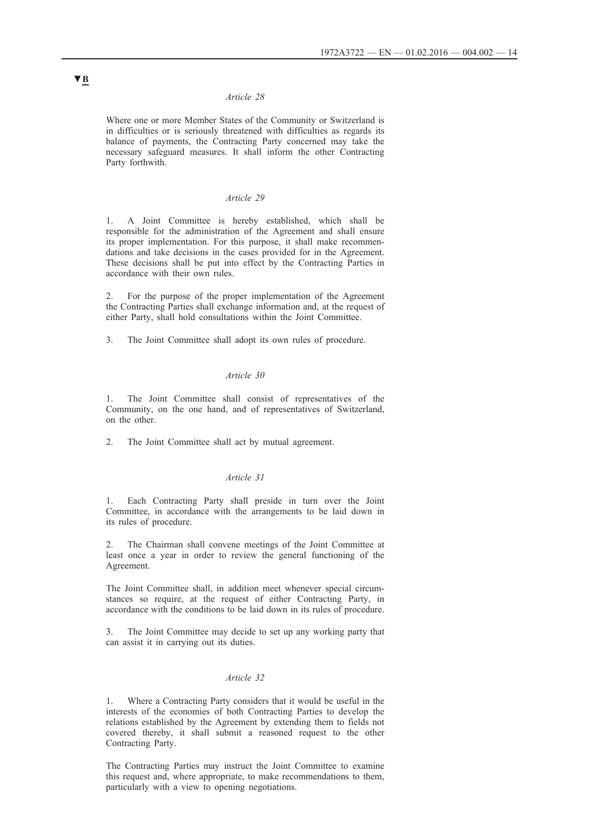Where one or more Member States of the Community or Switzerland is in difficulties or is seriously threatened with difficulties as regards its balance of payments, the Contracting Party concerned may take the necessary safeguard measures. It shall inform the other Contracting Party forthwith.

#### *Article 29*

1. A Joint Committee is hereby established, which shall be responsible for the administration of the Agreement and shall ensure its proper implementation. For this purpose, it shall make recommendations and take decisions in the cases provided for in the Agreement. These decisions shall be put into effect by the Contracting Parties in accordance with their own rules.

2. For the purpose of the proper implementation of the Agreement the Contracting Parties shall exchange information and, at the request of either Party, shall hold consultations within the Joint Committee.

3. The Joint Committee shall adopt its own rules of procedure.

### *Article 30*

The Joint Committee shall consist of representatives of the Community, on the one hand, and of representatives of Switzerland, on the other.

2. The Joint Committee shall act by mutual agreement.

### *Article 31*

1. Each Contracting Party shall preside in turn over the Joint Committee, in accordance with the arrangements to be laid down in its rules of procedure.

2. The Chairman shall convene meetings of the Joint Committee at least once a year in order to review the general functioning of the Agreement.

The Joint Committee shall, in addition meet whenever special circumstances so require, at the request of either Contracting Party, in accordance with the conditions to be laid down in its rules of procedure.

The Joint Committee may decide to set up any working party that can assist it in carrying out its duties.

# *Article 32*

1. Where a Contracting Party considers that it would be useful in the interests of the economies of both Contracting Parties to develop the relations established by the Agreement by extending them to fields not covered thereby, it shall submit a reasoned request to the other Contracting Party.

The Contracting Parties may instruct the Joint Committee to examine this request and, where appropriate, to make recommendations to them, particularly with a view to opening negotiations.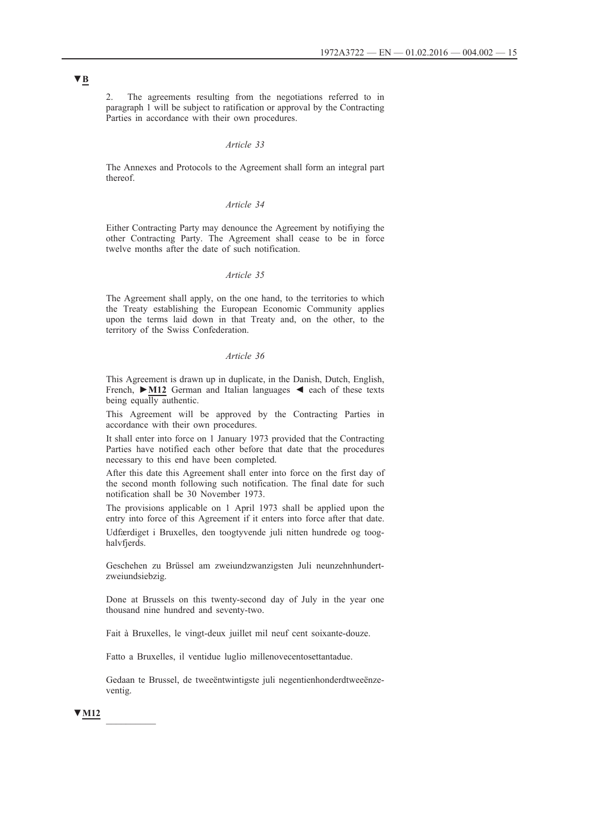2. The agreements resulting from the negotiations referred to in paragraph 1 will be subject to ratification or approval by the Contracting Parties in accordance with their own procedures.

#### *Article 33*

The Annexes and Protocols to the Agreement shall form an integral part thereof.

# *Article 34*

Either Contracting Party may denounce the Agreement by notifiying the other Contracting Party. The Agreement shall cease to be in force twelve months after the date of such notification.

### *Article 35*

The Agreement shall apply, on the one hand, to the territories to which the Treaty establishing the European Economic Community applies upon the terms laid down in that Treaty and, on the other, to the territory of the Swiss Confederation.

### *Article 36*

This Agreement is drawn up in duplicate, in the Danish, Dutch, English, French, **►M12** German and Italian languages ◄ each of these texts being equally authentic.

This Agreement will be approved by the Contracting Parties in accordance with their own procedures.

It shall enter into force on 1 January 1973 provided that the Contracting Parties have notified each other before that date that the procedures necessary to this end have been completed.

After this date this Agreement shall enter into force on the first day of the second month following such notification. The final date for such notification shall be 30 November 1973.

The provisions applicable on 1 April 1973 shall be applied upon the entry into force of this Agreement if it enters into force after that date.

Udfærdiget i Bruxelles, den toogtyvende juli nitten hundrede og tooghalvfjerds.

Geschehen zu Brüssel am zweiundzwanzigsten Juli neunzehnhundertzweiundsiebzig.

Done at Brussels on this twenty-second day of July in the year one thousand nine hundred and seventy-two.

Fait à Bruxelles, le vingt-deux juillet mil neuf cent soixante-douze.

Fatto a Bruxelles, il ventidue luglio millenovecentosettantadue.

Gedaan te Brussel, de tweeëntwintigste juli negentienhonderdtweeënzeventig.

**▼M12** \_\_\_\_\_\_\_\_\_\_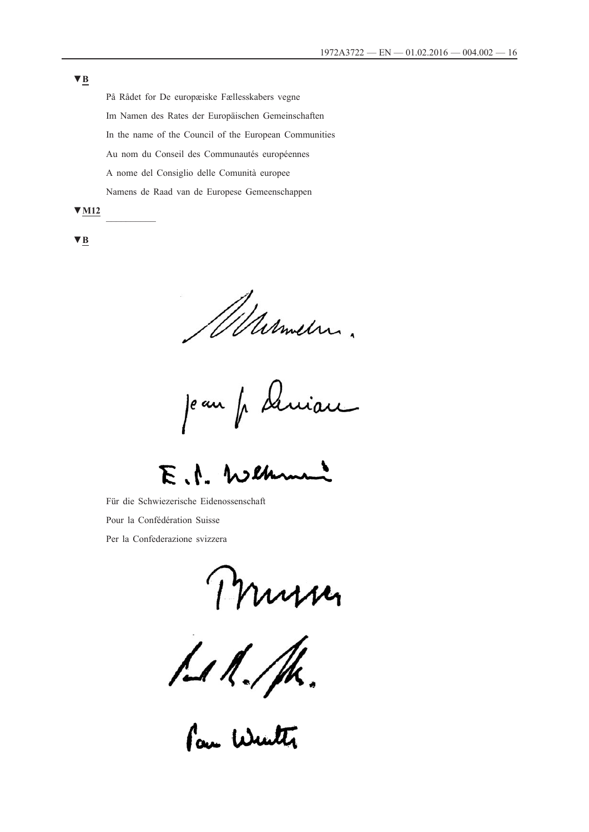På Rådet for De europæiske Fællesskabers vegne Im Namen des Rates der Europäischen Gemeinschaften In the name of the Council of the European Communities Au nom du Conseil des Communautés européennes A nome del Consiglio delle Comunità europee Namens de Raad van de Europese Gemeenschappen

**▼M12** \_\_\_\_\_\_\_\_\_\_

**▼B**

Wasmeln.

uiau je an fr sk

 $\mathcal{A}$ . Weh

Für die Schwiezerische Eidenossenschaft Pour la Confédération Suisse Per la Confederazione svizzera

Mursey<br>111. M.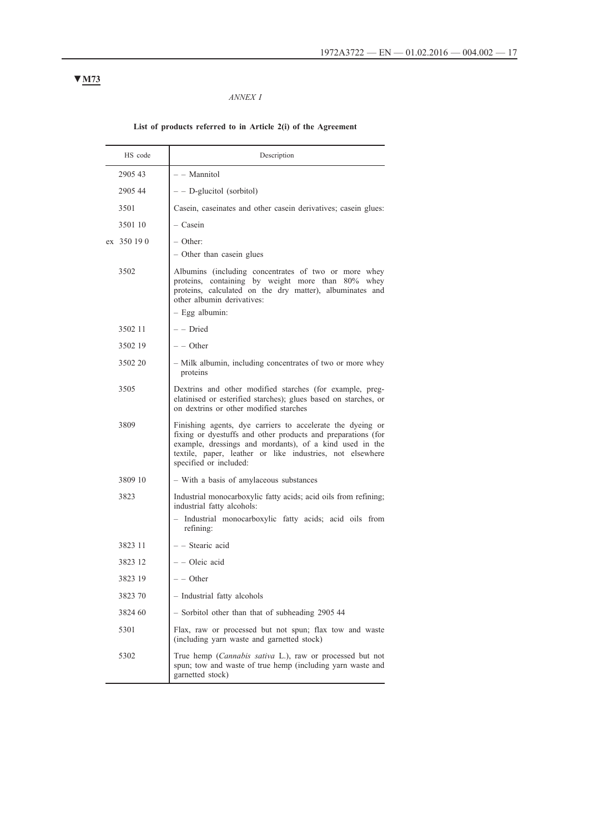### *ANNEX I*

# **List of products referred to in Article 2(i) of the Agreement**

| HS code     | Description                                                                                                                                                                                                                                                                  |
|-------------|------------------------------------------------------------------------------------------------------------------------------------------------------------------------------------------------------------------------------------------------------------------------------|
| 2905 43     | - - Mannitol                                                                                                                                                                                                                                                                 |
| 2905 44     | $-$ - D-glucitol (sorbitol)                                                                                                                                                                                                                                                  |
| 3501        | Casein, caseinates and other casein derivatives; casein glues:                                                                                                                                                                                                               |
| 3501 10     | - Casein                                                                                                                                                                                                                                                                     |
| ex 350 19 0 | – Other:<br>- Other than casein glues                                                                                                                                                                                                                                        |
| 3502        | Albumins (including concentrates of two or more whey<br>proteins, containing by weight more than 80% whey<br>proteins, calculated on the dry matter), albuminates and<br>other albumin derivatives:<br>$-$ Egg albumin:                                                      |
| 3502 11     | - - Dried                                                                                                                                                                                                                                                                    |
| 3502 19     | $-$ - Other                                                                                                                                                                                                                                                                  |
| 3502 20     | - Milk albumin, including concentrates of two or more whey<br>proteins                                                                                                                                                                                                       |
| 3505        | Dextrins and other modified starches (for example, preg-<br>elatinised or esterified starches); glues based on starches, or<br>on dextrins or other modified starches                                                                                                        |
| 3809        | Finishing agents, dye carriers to accelerate the dyeing or<br>fixing or dyestuffs and other products and preparations (for<br>example, dressings and mordants), of a kind used in the<br>textile, paper, leather or like industries, not elsewhere<br>specified or included: |
| 3809 10     | - With a basis of amylaceous substances                                                                                                                                                                                                                                      |
| 3823        | Industrial monocarboxylic fatty acids; acid oils from refining;<br>industrial fatty alcohols:<br>- Industrial monocarboxylic fatty acids; acid oils from<br>refining:                                                                                                        |
| 3823 11     | - Stearic acid                                                                                                                                                                                                                                                               |
| 3823 12     | - - Oleic acid                                                                                                                                                                                                                                                               |
| 3823 19     | $-$ Other                                                                                                                                                                                                                                                                    |
| 3823 70     | - Industrial fatty alcohols                                                                                                                                                                                                                                                  |
| 3824 60     | - Sorbitol other than that of subheading 2905 44                                                                                                                                                                                                                             |
| 5301        | Flax, raw or processed but not spun; flax tow and waste<br>(including yarn waste and garnetted stock)                                                                                                                                                                        |
| 5302        | True hemp (Cannabis sativa L.), raw or processed but not<br>spun; tow and waste of true hemp (including yarn waste and<br>garnetted stock)                                                                                                                                   |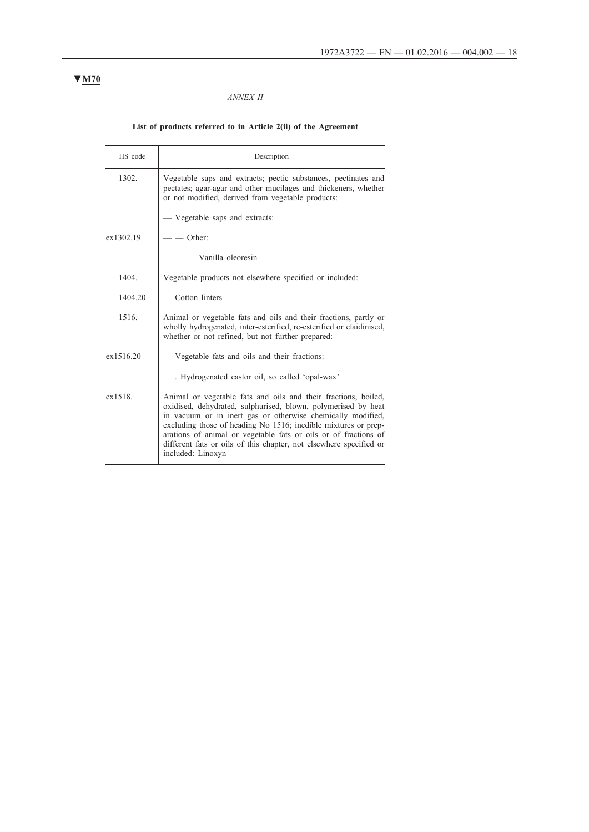### *ANNEX II*

# **List of products referred to in Article 2(ii) of the Agreement**

| HS code   | Description                                                                                                                                                                                                                                                                                                                                                                                                                    |
|-----------|--------------------------------------------------------------------------------------------------------------------------------------------------------------------------------------------------------------------------------------------------------------------------------------------------------------------------------------------------------------------------------------------------------------------------------|
| 1302.     | Vegetable saps and extracts; pectic substances, pectinates and<br>pectates; agar-agar and other mucilages and thickeners, whether<br>or not modified, derived from vegetable products:                                                                                                                                                                                                                                         |
|           | - Vegetable saps and extracts:                                                                                                                                                                                                                                                                                                                                                                                                 |
| ex1302.19 | - Other:                                                                                                                                                                                                                                                                                                                                                                                                                       |
|           | - Vanilla oleoresin                                                                                                                                                                                                                                                                                                                                                                                                            |
| 1404.     | Vegetable products not elsewhere specified or included:                                                                                                                                                                                                                                                                                                                                                                        |
| 1404.20   | - Cotton linters                                                                                                                                                                                                                                                                                                                                                                                                               |
| 1516.     | Animal or vegetable fats and oils and their fractions, partly or<br>wholly hydrogenated, inter-esterified, re-esterified or elaidinised,<br>whether or not refined, but not further prepared:                                                                                                                                                                                                                                  |
| ex1516.20 | - Vegetable fats and oils and their fractions:                                                                                                                                                                                                                                                                                                                                                                                 |
|           | . Hydrogenated castor oil, so called 'opal-wax'                                                                                                                                                                                                                                                                                                                                                                                |
| ex1518.   | Animal or vegetable fats and oils and their fractions, boiled,<br>oxidised, dehydrated, sulphurised, blown, polymerised by heat<br>in vacuum or in inert gas or otherwise chemically modified,<br>excluding those of heading No 1516; inedible mixtures or prep-<br>arations of animal or vegetable fats or oils or of fractions of<br>different fats or oils of this chapter, not elsewhere specified or<br>included: Linoxyn |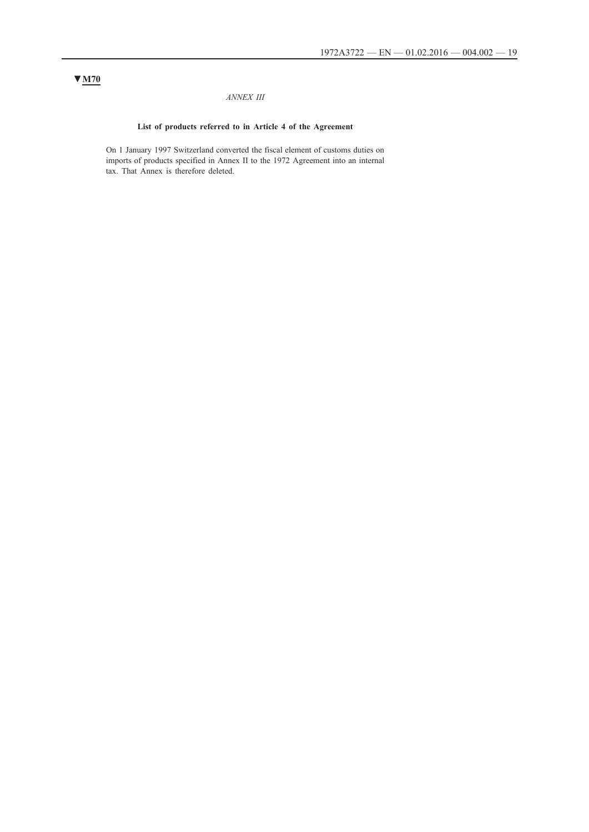### *ANNEX III*

# **List of products referred to in Article 4 of the Agreement**

On 1 January 1997 Switzerland converted the fiscal element of customs duties on imports of products specified in Annex II to the 1972 Agreement into an internal tax. That Annex is therefore deleted.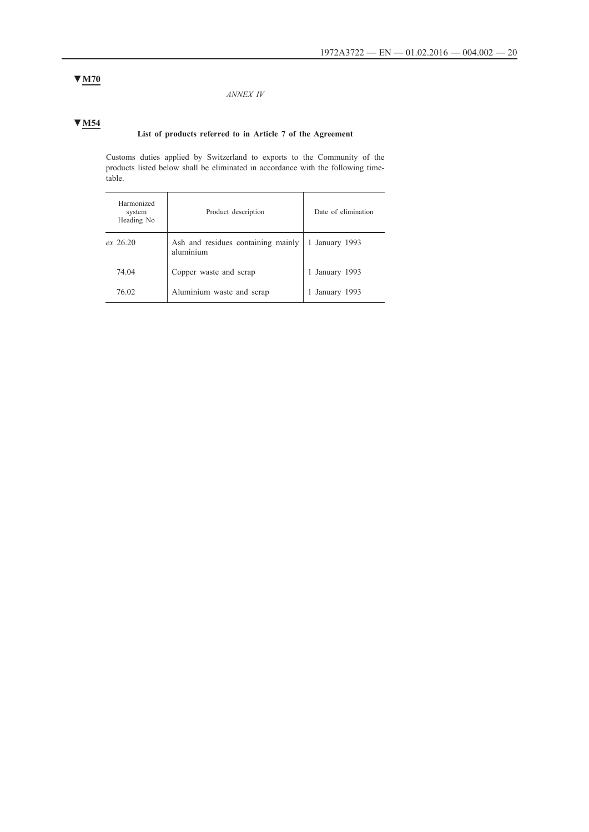### *ANNEX IV*

# **▼M54**

# **List of products referred to in Article 7 of the Agreement**

Customs duties applied by Switzerland to exports to the Community of the products listed below shall be eliminated in accordance with the following timetable.

| Harmonized<br>system<br>Heading No | Product description                             | Date of elimination |
|------------------------------------|-------------------------------------------------|---------------------|
| $ex$ 26.20                         | Ash and residues containing mainly<br>aluminium | 1 January 1993      |
| 74.04                              | Copper waste and scrap                          | 1 January 1993      |
| 76.02                              | Aluminium waste and scrap                       | 1 January 1993      |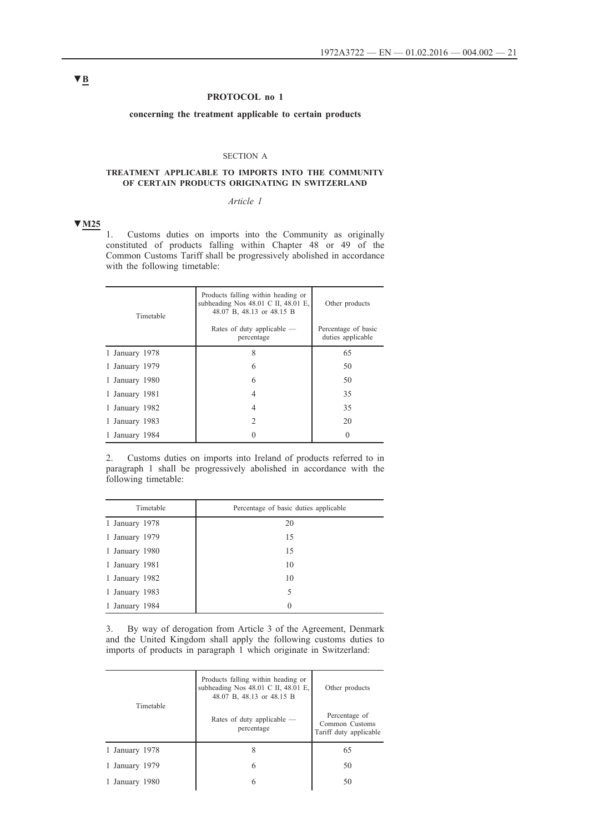### **PROTOCOL no 1**

**concerning the treatment applicable to certain products**

### SECTION A

### **TREATMENT APPLICABLE TO IMPORTS INTO THE COMMUNITY OF CERTAIN PRODUCTS ORIGINATING IN SWITZERLAND**

# *Article 1*

# **▼M25**

1. Customs duties on imports into the Community as originally constituted of products falling within Chapter 48 or 49 of the Common Customs Tariff shall be progressively abolished in accordance with the following timetable:

| Timetable      | Products falling within heading or<br>subheading Nos $48.01$ C II, $48.01$ E,<br>48.07 B, 48.13 or 48.15 B | Other products                           |
|----------------|------------------------------------------------------------------------------------------------------------|------------------------------------------|
|                | Rates of duty applicable —<br>percentage                                                                   | Percentage of basic<br>duties applicable |
| 1 January 1978 | 8                                                                                                          | 65                                       |
| 1 January 1979 | 6                                                                                                          | 50                                       |
| 1 January 1980 | 6                                                                                                          | 50                                       |
| 1 January 1981 | 4                                                                                                          | 35                                       |
| 1 January 1982 | 4                                                                                                          | 35                                       |
| 1 January 1983 | $\mathcal{L}$                                                                                              | 20                                       |
| 1 January 1984 |                                                                                                            | $^{0}$                                   |

2. Customs duties on imports into Ireland of products referred to in paragraph 1 shall be progressively abolished in accordance with the following timetable:

| Timetable      | Percentage of basic duties applicable |
|----------------|---------------------------------------|
| 1 January 1978 | 20                                    |
| 1 January 1979 | 15                                    |
| 1 January 1980 | 15                                    |
| 1 January 1981 | 10                                    |
| 1 January 1982 | 10                                    |
| 1 January 1983 | 5                                     |
| 1 January 1984 | 0                                     |

3. By way of derogation from Article 3 of the Agreement, Denmark and the United Kingdom shall apply the following customs duties to imports of products in paragraph 1 which originate in Switzerland:

|                | Products falling within heading or<br>subheading Nos 48.01 C II, 48.01 E,<br>48.07 B, 48.13 or 48.15 B | Other products                                            |
|----------------|--------------------------------------------------------------------------------------------------------|-----------------------------------------------------------|
| Timetable      | Rates of duty applicable $-$<br>percentage                                                             | Percentage of<br>Common Customs<br>Tariff duty applicable |
| 1 January 1978 | 8                                                                                                      | 65                                                        |
| 1 January 1979 | 6                                                                                                      | 50                                                        |
| 1 January 1980 | 6                                                                                                      | 50                                                        |
|                |                                                                                                        |                                                           |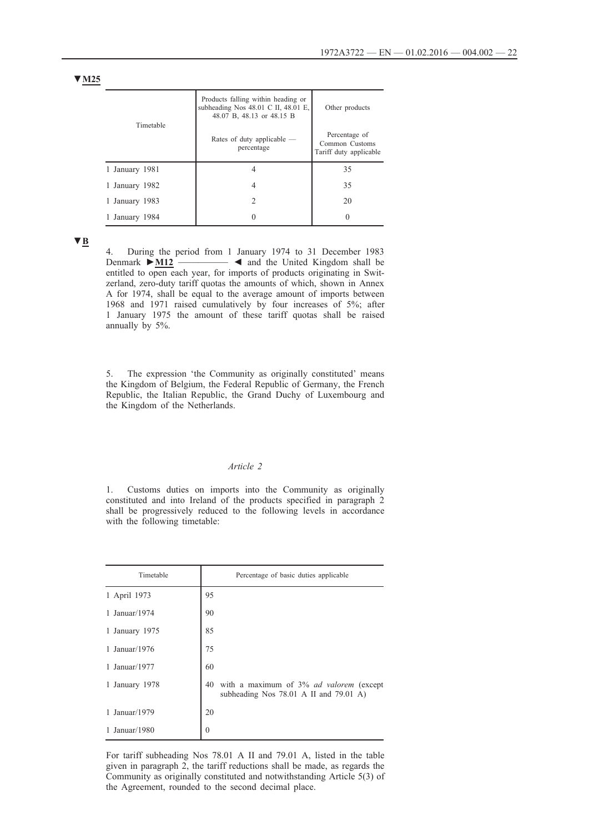| Timetable      | Products falling within heading or<br>subheading Nos 48.01 C II, 48.01 E,<br>48.07 B, 48.13 or 48.15 B | Other products                                            |
|----------------|--------------------------------------------------------------------------------------------------------|-----------------------------------------------------------|
|                | Rates of duty applicable —<br>percentage                                                               | Percentage of<br>Common Customs<br>Tariff duty applicable |
| 1 January 1981 |                                                                                                        | 35                                                        |
| 1 January 1982 | 4                                                                                                      | 35                                                        |
| 1 January 1983 | 2                                                                                                      | 20                                                        |
| 1 January 1984 |                                                                                                        |                                                           |

**▼B**

4. During the period from 1 January 1974 to 31 December 1983<br>Denmark  $\triangleright$  M12  $\longrightarrow$  **4** and the United Kingdom shall be **■** ■ and the United Kingdom shall be entitled to open each year, for imports of products originating in Switzerland, zero-duty tariff quotas the amounts of which, shown in Annex A for 1974, shall be equal to the average amount of imports between 1968 and 1971 raised cumulatively by four increases of 5%; after 1 January 1975 the amount of these tariff quotas shall be raised annually by 5%.

5. The expression 'the Community as originally constituted' means the Kingdom of Belgium, the Federal Republic of Germany, the French Republic, the Italian Republic, the Grand Duchy of Luxembourg and the Kingdom of the Netherlands.

#### *Article 2*

1. Customs duties on imports into the Community as originally constituted and into Ireland of the products specified in paragraph 2 shall be progressively reduced to the following levels in accordance with the following timetable:

| Timetable      | Percentage of basic duties applicable                                                       |
|----------------|---------------------------------------------------------------------------------------------|
| 1 April 1973   | 95                                                                                          |
| 1 Januar/1974  | 90                                                                                          |
| 1 January 1975 | 85                                                                                          |
| 1 Januar/1976  | 75                                                                                          |
| 1 Januar/1977  | 60                                                                                          |
| 1 January 1978 | with a maximum of 3% ad valorem (except<br>40<br>subheading Nos $78.01$ A II and $79.01$ A) |
| 1 Januar/1979  | 20                                                                                          |
| 1 Januar/1980  | $\theta$                                                                                    |

For tariff subheading Nos 78.01 A II and 79.01 A, listed in the table given in paragraph 2, the tariff reductions shall be made, as regards the Community as originally constituted and notwithstanding Article 5(3) of the Agreement, rounded to the second decimal place.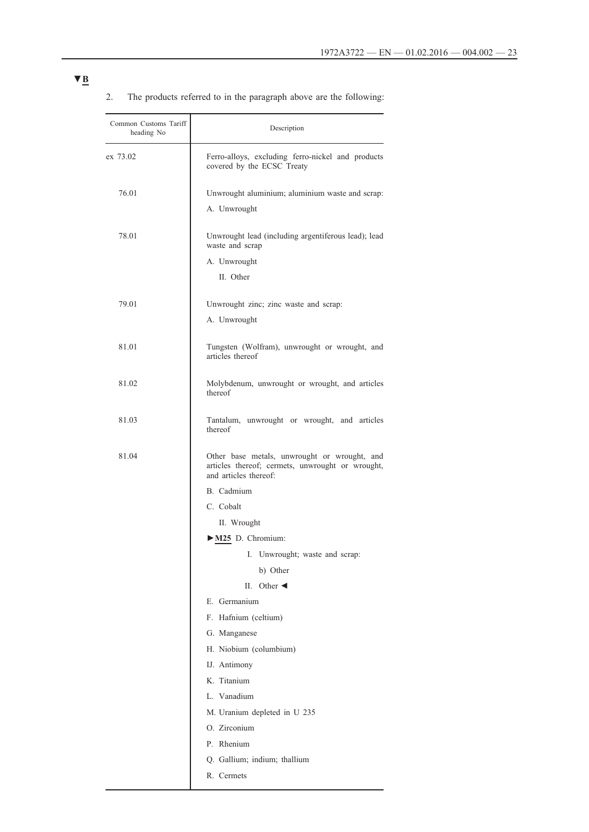| Common Customs Tariff<br>heading No | Description                                                                                                               |  |
|-------------------------------------|---------------------------------------------------------------------------------------------------------------------------|--|
| ex 73.02                            | Ferro-alloys, excluding ferro-nickel and products<br>covered by the ECSC Treaty                                           |  |
| 76.01                               | Unwrought aluminium; aluminium waste and scrap:                                                                           |  |
|                                     | A. Unwrought                                                                                                              |  |
| 78.01                               | Unwrought lead (including argentiferous lead); lead<br>waste and scrap                                                    |  |
|                                     | A. Unwrought                                                                                                              |  |
|                                     | II. Other                                                                                                                 |  |
| 79.01                               | Unwrought zinc; zinc waste and scrap:                                                                                     |  |
|                                     | A. Unwrought                                                                                                              |  |
| 81.01                               | Tungsten (Wolfram), unwrought or wrought, and<br>articles thereof                                                         |  |
| 81.02                               | Molybdenum, unwrought or wrought, and articles<br>thereof                                                                 |  |
| 81.03                               | Tantalum, unwrought or wrought, and articles<br>thereof                                                                   |  |
| 81.04                               | Other base metals, unwrought or wrought, and<br>articles thereof; cermets, unwrought or wrought,<br>and articles thereof: |  |
|                                     | B. Cadmium                                                                                                                |  |
|                                     | C. Cobalt                                                                                                                 |  |
|                                     | II. Wrought                                                                                                               |  |
|                                     | M25 D. Chromium:                                                                                                          |  |
|                                     | I. Unwrought; waste and scrap:                                                                                            |  |
|                                     | b) Other                                                                                                                  |  |
|                                     | Other $\triangleleft$<br>H.                                                                                               |  |
|                                     | E. Germanium                                                                                                              |  |
|                                     | F. Hafnium (celtium)                                                                                                      |  |
|                                     | G. Manganese                                                                                                              |  |
|                                     | H. Niobium (columbium)                                                                                                    |  |
|                                     | IJ. Antimony                                                                                                              |  |
|                                     | K. Titanium                                                                                                               |  |
|                                     | L. Vanadium                                                                                                               |  |
|                                     | M. Uranium depleted in U 235                                                                                              |  |
|                                     | O. Zirconium                                                                                                              |  |
|                                     | P. Rhenium                                                                                                                |  |
|                                     | Q. Gallium; indium; thallium                                                                                              |  |
|                                     | R. Cermets                                                                                                                |  |

# 2. The products referred to in the paragraph above are the following: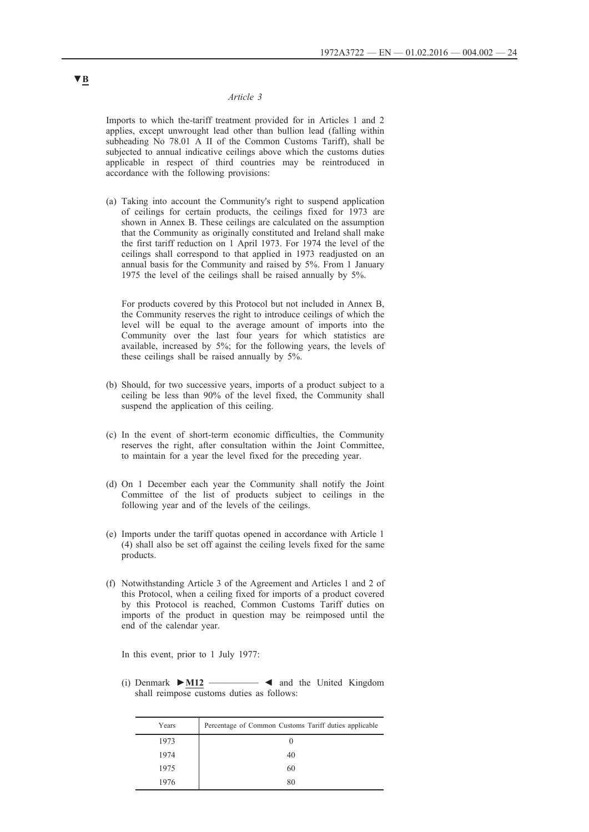Imports to which the-tariff treatment provided for in Articles 1 and 2 applies, except unwrought lead other than bullion lead (falling within subheading No 78.01 A II of the Common Customs Tariff), shall be subjected to annual indicative ceilings above which the customs duties applicable in respect of third countries may be reintroduced in accordance with the following provisions:

(a) Taking into account the Community's right to suspend application of ceilings for certain products, the ceilings fixed for 1973 are shown in Annex B. These ceilings are calculated on the assumption that the Community as originally constituted and Ireland shall make the first tariff reduction on 1 April 1973. For 1974 the level of the ceilings shall correspond to that applied in 1973 readjusted on an annual basis for the Community and raised by 5%. From 1 January 1975 the level of the ceilings shall be raised annually by 5%.

For products covered by this Protocol but not included in Annex B, the Community reserves the right to introduce ceilings of which the level will be equal to the average amount of imports into the Community over the last four years for which statistics are available, increased by 5%; for the following years, the levels of these ceilings shall be raised annually by 5%.

- (b) Should, for two successive years, imports of a product subject to a ceiling be less than 90% of the level fixed, the Community shall suspend the application of this ceiling.
- (c) In the event of short-term economic difficulties, the Community reserves the right, after consultation within the Joint Committee, to maintain for a year the level fixed for the preceding year.
- (d) On 1 December each year the Community shall notify the Joint Committee of the list of products subject to ceilings in the following year and of the levels of the ceilings.
- (e) Imports under the tariff quotas opened in accordance with Article 1 (4) shall also be set off against the ceiling levels fixed for the same products.
- (f) Notwithstanding Article 3 of the Agreement and Articles 1 and 2 of this Protocol, when a ceiling fixed for imports of a product covered by this Protocol is reached, Common Customs Tariff duties on imports of the product in question may be reimposed until the end of the calendar year.

In this event, prior to 1 July 1977:

(i) Denmark **►M12** \_\_\_\_\_\_\_\_\_\_ ◄ and the United Kingdom shall reimpose customs duties as follows:

| Years | Percentage of Common Customs Tariff duties applicable |
|-------|-------------------------------------------------------|
| 1973  | O                                                     |
| 1974  | 40                                                    |
| 1975  | 60                                                    |
| 1976  | 80                                                    |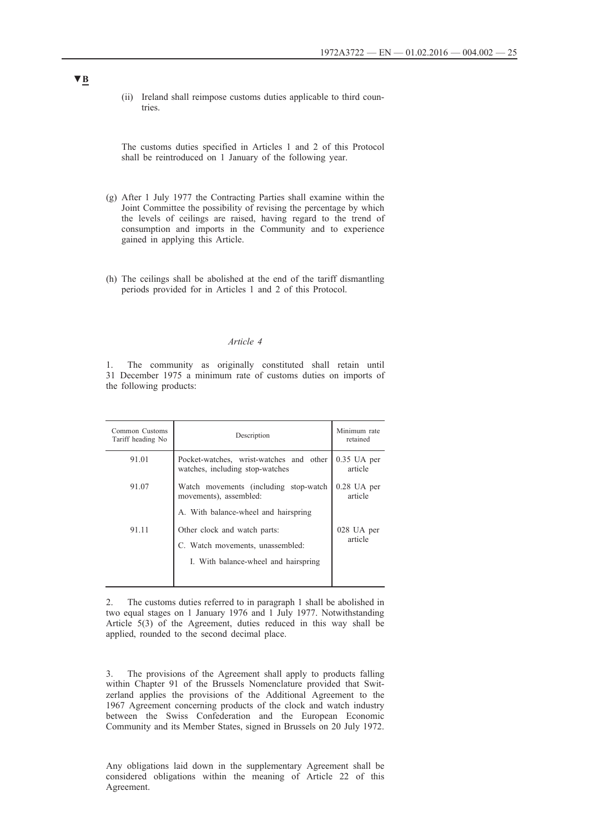(ii) Ireland shall reimpose customs duties applicable to third countries.

The customs duties specified in Articles 1 and 2 of this Protocol shall be reintroduced on 1 January of the following year.

- (g) After 1 July 1977 the Contracting Parties shall examine within the Joint Committee the possibility of revising the percentage by which the levels of ceilings are raised, having regard to the trend of consumption and imports in the Community and to experience gained in applying this Article.
- (h) The ceilings shall be abolished at the end of the tariff dismantling periods provided for in Articles 1 and 2 of this Protocol.

### *Article 4*

1. The community as originally constituted shall retain until 31 December 1975 a minimum rate of customs duties on imports of the following products:

| Common Customs<br>Tariff heading No | Description                                                                | Minimum rate<br>retained |
|-------------------------------------|----------------------------------------------------------------------------|--------------------------|
| 91.01                               | Pocket-watches, wrist-watches and other<br>watches, including stop-watches | $0.35$ UA per<br>article |
| 91.07                               | Watch movements (including stop-watch<br>movements), assembled:            | $0.28$ UA per<br>article |
|                                     | A. With balance-wheel and hairspring                                       |                          |
| 91.11                               | Other clock and watch parts:                                               | 028 UA per               |
|                                     | C. Watch movements, unassembled:                                           | article                  |
|                                     | I. With balance-wheel and hairspring                                       |                          |
|                                     |                                                                            |                          |

2. The customs duties referred to in paragraph 1 shall be abolished in two equal stages on 1 January 1976 and 1 July 1977. Notwithstanding Article 5(3) of the Agreement, duties reduced in this way shall be applied, rounded to the second decimal place.

3. The provisions of the Agreement shall apply to products falling within Chapter 91 of the Brussels Nomenclature provided that Switzerland applies the provisions of the Additional Agreement to the 1967 Agreement concerning products of the clock and watch industry between the Swiss Confederation and the European Economic Community and its Member States, signed in Brussels on 20 July 1972.

Any obligations laid down in the supplementary Agreement shall be considered obligations within the meaning of Article 22 of this Agreement.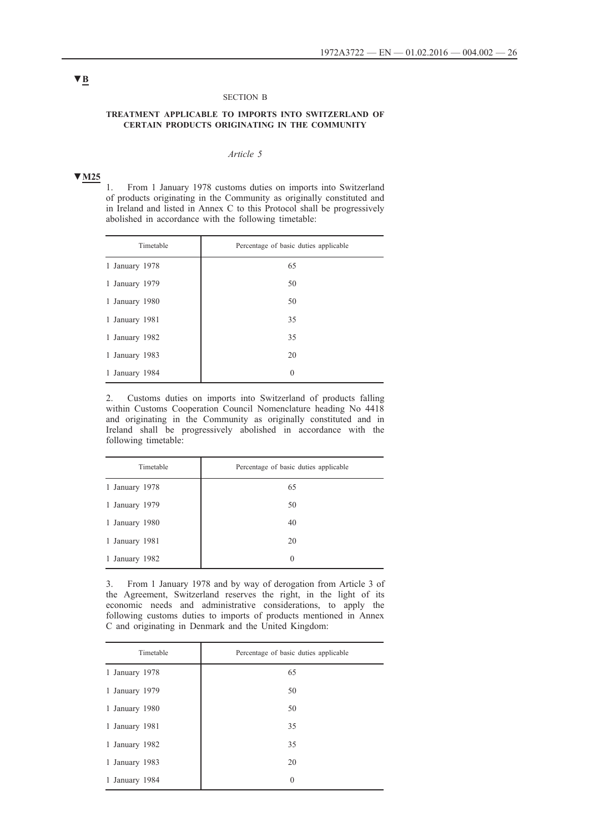#### SECTION Β

### **TREATMENT APPLICABLE TO IMPORTS INTO SWITZERLAND OF CERTAIN PRODUCTS ORIGINATING IN THE COMMUNITY**

### *Article 5*

# **▼M25**

1. From 1 January 1978 customs duties on imports into Switzerland of products originating in the Community as originally constituted and in Ireland and listed in Annex C to this Protocol shall be progressively abolished in accordance with the following timetable:

| Timetable      | Percentage of basic duties applicable |
|----------------|---------------------------------------|
| 1 January 1978 | 65                                    |
| 1 January 1979 | 50                                    |
| 1 January 1980 | 50                                    |
| 1 January 1981 | 35                                    |
| 1 January 1982 | 35                                    |
| 1 January 1983 | 20                                    |
| 1 January 1984 | $\theta$                              |

2. Customs duties on imports into Switzerland of products falling within Customs Cooperation Council Nomenclature heading No 4418 and originating in the Community as originally constituted and in Ireland shall be progressively abolished in accordance with the following timetable:

| Timetable      | Percentage of basic duties applicable |
|----------------|---------------------------------------|
| 1 January 1978 | 65                                    |
| 1 January 1979 | 50                                    |
| 1 January 1980 | 40                                    |
| 1 January 1981 | 20                                    |
| 1 January 1982 | $\theta$                              |

3. From 1 January 1978 and by way of derogation from Article 3 of the Agreement, Switzerland reserves the right, in the light of its economic needs and administrative considerations, to apply the following customs duties to imports of products mentioned in Annex C and originating in Denmark and the United Kingdom:

| Timetable      | Percentage of basic duties applicable |
|----------------|---------------------------------------|
| 1 January 1978 | 65                                    |
| 1 January 1979 | 50                                    |
| 1 January 1980 | 50                                    |
| 1 January 1981 | 35                                    |
| 1 January 1982 | 35                                    |
| 1 January 1983 | 20                                    |
| 1 January 1984 | $\mathbf{0}$                          |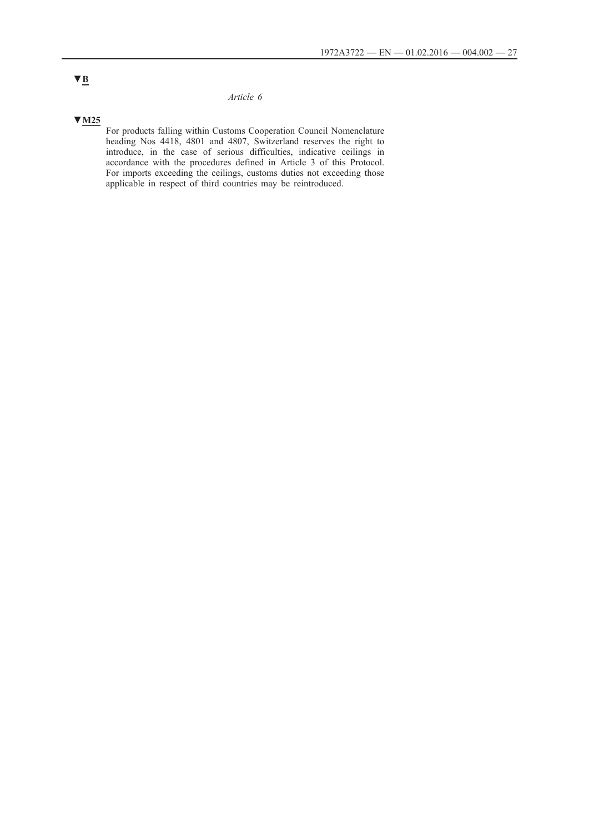# **▼M25**

For products falling within Customs Cooperation Council Nomenclature heading Nos 4418, 4801 and 4807, Switzerland reserves the right to introduce, in the case of serious difficulties, indicative ceilings in accordance with the procedures defined in Article 3 of this Protocol. For imports exceeding the ceilings, customs duties not exceeding those applicable in respect of third countries may be reintroduced.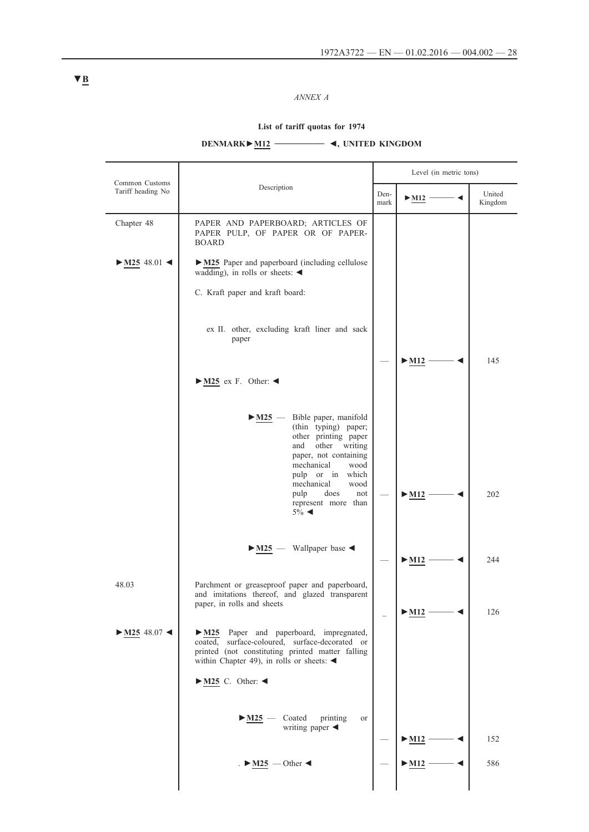*ANNEX A*

# **List of tariff quotas for 1974**

# **DENMARK►M12 \_\_\_\_\_\_\_\_\_\_ ◄, UNITED KINGDOM**

|                                     |                                                                                                                                                                                                              |              | Level (in metric tons)           |                   |
|-------------------------------------|--------------------------------------------------------------------------------------------------------------------------------------------------------------------------------------------------------------|--------------|----------------------------------|-------------------|
| Common Customs<br>Tariff heading No | Description                                                                                                                                                                                                  | Den-<br>mark | $\blacktriangleright$ M12        | United<br>Kingdom |
| Chapter 48                          | PAPER AND PAPERBOARD; ARTICLES OF<br>PAPER PULP, OF PAPER OR OF PAPER-<br><b>BOARD</b>                                                                                                                       |              |                                  |                   |
| $\blacktriangleright$ M25 48.01     | • M25 Paper and paperboard (including cellulose<br>wadding), in rolls or sheets: $\blacktriangleleft$                                                                                                        |              |                                  |                   |
|                                     | C. Kraft paper and kraft board:                                                                                                                                                                              |              |                                  |                   |
|                                     | ex II. other, excluding kraft liner and sack<br>paper                                                                                                                                                        |              |                                  |                   |
|                                     | $\blacktriangleright$ M25 ex F. Other: <                                                                                                                                                                     |              | $\blacktriangleright$ M12        | 145               |
|                                     | Bible paper, manifold<br>$\blacktriangleright$ M25<br>(thin typing) paper;<br>other printing paper<br>and<br>other writing<br>paper, not containing<br>mechanical<br>wood<br>pulp or in<br>which             |              |                                  |                   |
|                                     | mechanical<br>wood<br>pulp<br>does<br>not<br>represent more than<br>$5\%$ <                                                                                                                                  |              | $>$ M12                          | 202               |
|                                     | Wallpaper base<br>$\blacktriangleright$ M25 $\blacktriangleleft$                                                                                                                                             |              | $\blacktriangleright$ M12        | 244               |
| 48.03                               | Parchment or greaseproof paper and paperboard,<br>and imitations thereof, and glazed transparent<br>paper, in rolls and sheets                                                                               |              | $\blacktriangleright$ M12 -      | 126               |
| $\blacktriangleright$ M25 48.07     | M25 Paper and paperboard, impregnated,<br>coated, surface-coloured, surface-decorated or<br>printed (not constituting printed matter falling<br>within Chapter 49), in rolls or sheets: $\blacktriangleleft$ |              |                                  |                   |
|                                     | $\blacktriangleright$ M25 C. Other: <                                                                                                                                                                        |              |                                  |                   |
|                                     | $-M25$ — Coated<br>printing<br><b>or</b><br>writing paper $\blacktriangleleft$                                                                                                                               |              | $\blacktriangleright$ M12 –      | 152               |
|                                     | $\blacktriangleright$ M25 – Other                                                                                                                                                                            |              | $\blacktriangleright$ <u>M12</u> | 586               |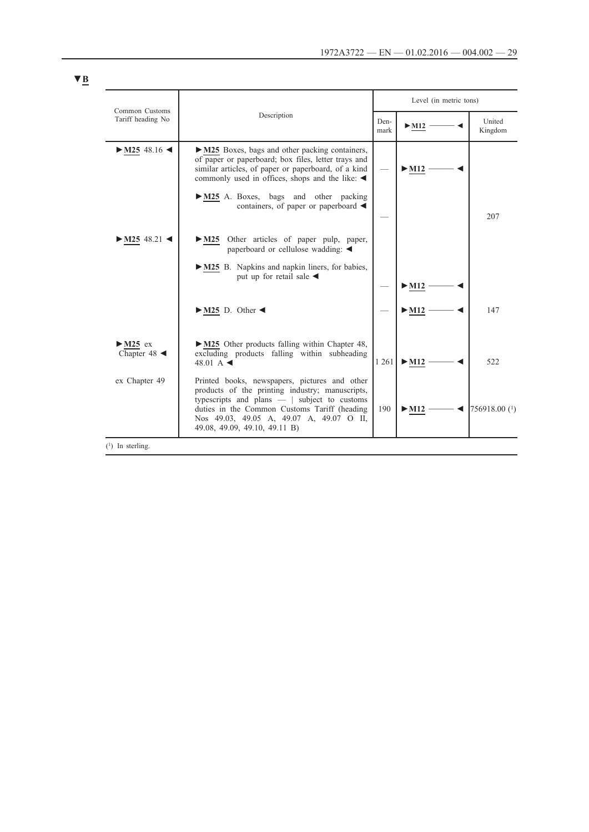| Common Customs                                | Description                                                                                                                                                                                                                                                                      |         | Level (in metric tons)    |                   |  |
|-----------------------------------------------|----------------------------------------------------------------------------------------------------------------------------------------------------------------------------------------------------------------------------------------------------------------------------------|---------|---------------------------|-------------------|--|
| Tariff heading No                             |                                                                                                                                                                                                                                                                                  |         | $>$ M12                   | United<br>Kingdom |  |
| $\blacktriangleright$ M25 48.16 <             | $\triangleright$ M25 Boxes, bags and other packing containers,<br>of paper or paperboard; box files, letter trays and<br>similar articles, of paper or paperboard, of a kind<br>commonly used in offices, shops and the like: $\triangleleft$                                    |         | $>$ M12                   |                   |  |
|                                               | M25 A. Boxes, bags and other packing<br>containers, of paper or paperboard $\triangleleft$                                                                                                                                                                                       |         |                           | 207               |  |
| $\cdot$ M25 48.21 <                           | $\triangleright$ M25 Other articles of paper pulp, paper,<br>paperboard or cellulose wadding: $\triangleleft$                                                                                                                                                                    |         |                           |                   |  |
|                                               | M25 B. Napkins and napkin liners, for babies,<br>put up for retail sale $\triangleleft$                                                                                                                                                                                          |         | $>$ M12                   |                   |  |
|                                               | $\triangleright$ M25 D. Other <                                                                                                                                                                                                                                                  |         | $\blacktriangleright$ M12 | 147               |  |
| $>$ M25 ex<br>Chapter 48 $\blacktriangleleft$ | $\triangleright$ M25 Other products falling within Chapter 48,<br>excluding products falling within subheading<br>48.01 A $\triangleleft$                                                                                                                                        | 1 2 6 1 | $>$ M12                   | 522               |  |
| ex Chapter 49                                 | Printed books, newspapers, pictures and other<br>products of the printing industry; manuscripts,<br>typescripts and plans $-$   subject to customs<br>duties in the Common Customs Tariff (heading)<br>Nos 49.03, 49.05 A, 49.07 A, 49.07 O II,<br>49.08, 49.09, 49.10, 49.11 B) | 190     | $>$ M12                   | 756918.00 (1)     |  |
| $(1)$ In sterling.                            |                                                                                                                                                                                                                                                                                  |         |                           |                   |  |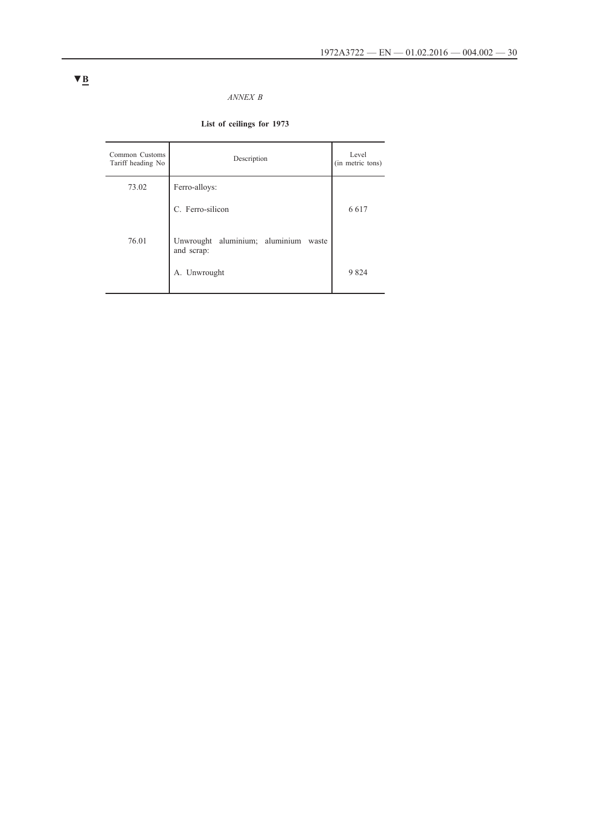### *ANNEX B*

# **List of ceilings for 1973**

| Common Customs<br>Tariff heading No | Description                                           | Level<br>(in metric tons) |
|-------------------------------------|-------------------------------------------------------|---------------------------|
| 73.02                               | Ferro-alloys:                                         |                           |
|                                     | C. Ferro-silicon                                      | 6617                      |
| 76.01                               | Unwrought aluminium; aluminium<br>waste<br>and scrap: |                           |
|                                     | A. Unwrought                                          | 9824                      |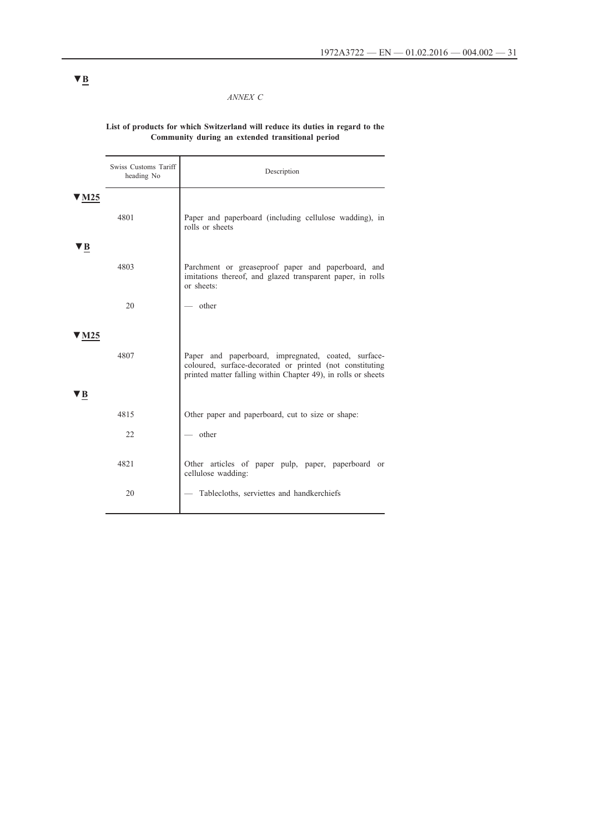### *ANNEX C*

# **List of products for which Switzerland will reduce its duties in regard to the Community during an extended transitional period**

|     | Swiss Customs Tariff<br>heading No | Description                                                                                                                                                                      |
|-----|------------------------------------|----------------------------------------------------------------------------------------------------------------------------------------------------------------------------------|
| M25 | 4801                               | Paper and paperboard (including cellulose wadding), in<br>rolls or sheets                                                                                                        |
|     | 4803                               | Parchment or greaseproof paper and paperboard, and<br>imitations thereof, and glazed transparent paper, in rolls<br>or sheets:                                                   |
|     | 20                                 | other                                                                                                                                                                            |
|     | 4807                               | Paper and paperboard, impregnated, coated, surface-<br>coloured, surface-decorated or printed (not constituting<br>printed matter falling within Chapter 49), in rolls or sheets |
|     | 4815                               | Other paper and paperboard, cut to size or shape:                                                                                                                                |
|     | 22                                 | other                                                                                                                                                                            |
|     | 4821<br>20                         | Other articles of paper pulp, paper, paperboard or<br>cellulose wadding:<br>Tablecloths, serviettes and handkerchiefs                                                            |
|     |                                    |                                                                                                                                                                                  |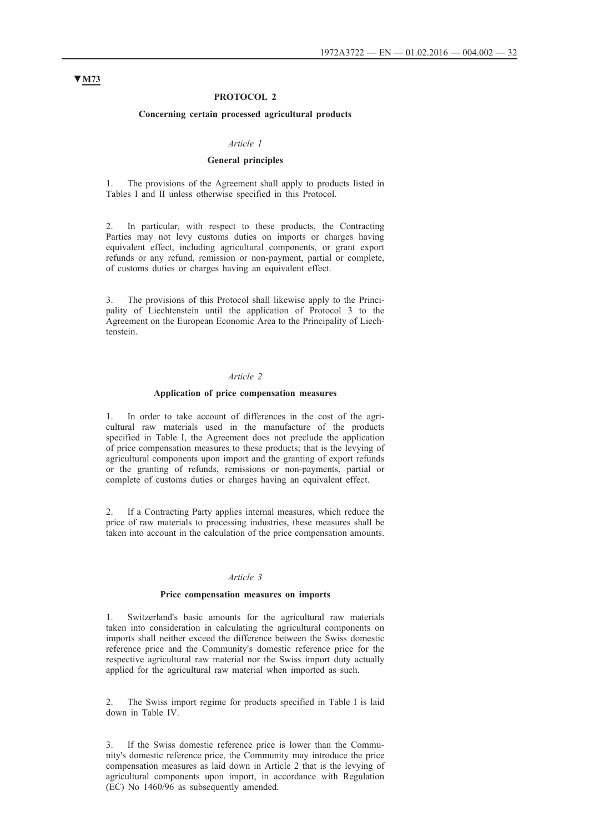#### **PROTOCOL 2**

#### **Concerning certain processed agricultural products**

#### *Article 1*

### **General principles**

1. The provisions of the Agreement shall apply to products listed in Tables I and II unless otherwise specified in this Protocol.

2. In particular, with respect to these products, the Contracting Parties may not levy customs duties on imports or charges having equivalent effect, including agricultural components, or grant export refunds or any refund, remission or non-payment, partial or complete, of customs duties or charges having an equivalent effect.

3. The provisions of this Protocol shall likewise apply to the Principality of Liechtenstein until the application of Protocol 3 to the Agreement on the European Economic Area to the Principality of Liechtenstein.

#### *Article 2*

#### **Application of price compensation measures**

1. In order to take account of differences in the cost of the agricultural raw materials used in the manufacture of the products specified in Table I, the Agreement does not preclude the application of price compensation measures to these products; that is the levying of agricultural components upon import and the granting of export refunds or the granting of refunds, remissions or non-payments, partial or complete of customs duties or charges having an equivalent effect.

2. If a Contracting Party applies internal measures, which reduce the price of raw materials to processing industries, these measures shall be taken into account in the calculation of the price compensation amounts.

### *Article 3*

#### **Price compensation measures on imports**

1. Switzerland's basic amounts for the agricultural raw materials taken into consideration in calculating the agricultural components on imports shall neither exceed the difference between the Swiss domestic reference price and the Community's domestic reference price for the respective agricultural raw material nor the Swiss import duty actually applied for the agricultural raw material when imported as such.

2. The Swiss import regime for products specified in Table I is laid down in Table IV.

3. If the Swiss domestic reference price is lower than the Community's domestic reference price, the Community may introduce the price compensation measures as laid down in Article 2 that is the levying of agricultural components upon import, in accordance with Regulation (EC) No 1460/96 as subsequently amended.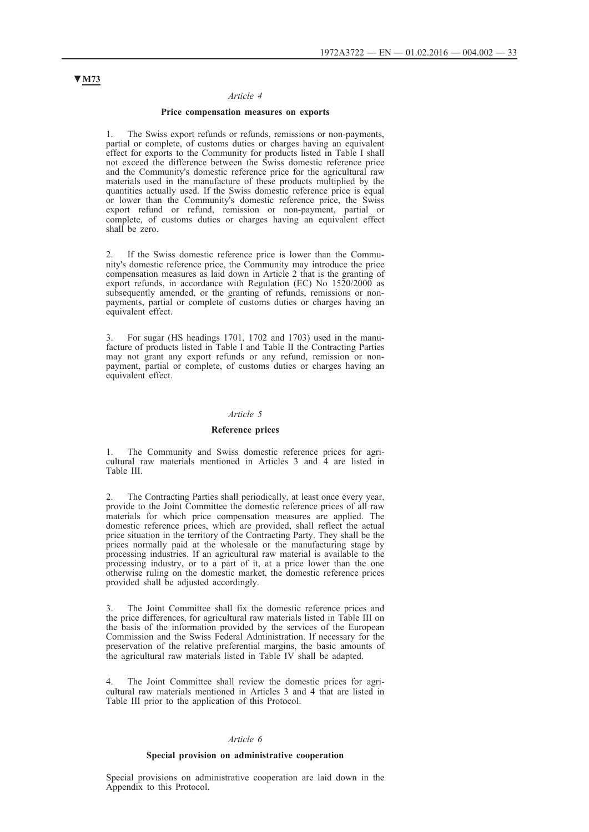#### **Price compensation measures on exports**

1. The Swiss export refunds or refunds, remissions or non-payments, partial or complete, of customs duties or charges having an equivalent effect for exports to the Community for products listed in Table I shall not exceed the difference between the Swiss domestic reference price and the Community's domestic reference price for the agricultural raw materials used in the manufacture of these products multiplied by the quantities actually used. If the Swiss domestic reference price is equal or lower than the Community's domestic reference price, the Swiss export refund or refund, remission or non-payment, partial or complete, of customs duties or charges having an equivalent effect shall be zero.

If the Swiss domestic reference price is lower than the Community's domestic reference price, the Community may introduce the price compensation measures as laid down in Article 2 that is the granting of export refunds, in accordance with Regulation (EC) No 1520/2000 as subsequently amended, or the granting of refunds, remissions or nonpayments, partial or complete of customs duties or charges having an equivalent effect.

3. For sugar (HS headings 1701, 1702 and 1703) used in the manufacture of products listed in Table I and Table II the Contracting Parties may not grant any export refunds or any refund, remission or nonpayment, partial or complete, of customs duties or charges having an equivalent effect.

#### *Article 5*

#### **Reference prices**

1. The Community and Swiss domestic reference prices for agricultural raw materials mentioned in Articles 3 and 4 are listed in Table III.

2. The Contracting Parties shall periodically, at least once every year, provide to the Joint Committee the domestic reference prices of all raw materials for which price compensation measures are applied. The domestic reference prices, which are provided, shall reflect the actual price situation in the territory of the Contracting Party. They shall be the prices normally paid at the wholesale or the manufacturing stage by processing industries. If an agricultural raw material is available to the processing industry, or to a part of it, at a price lower than the one otherwise ruling on the domestic market, the domestic reference prices provided shall be adjusted accordingly.

3. The Joint Committee shall fix the domestic reference prices and the price differences, for agricultural raw materials listed in Table III on the basis of the information provided by the services of the European Commission and the Swiss Federal Administration. If necessary for the preservation of the relative preferential margins, the basic amounts of the agricultural raw materials listed in Table IV shall be adapted.

4. The Joint Committee shall review the domestic prices for agricultural raw materials mentioned in Articles 3 and 4 that are listed in Table III prior to the application of this Protocol.

### *Article 6*

#### **Special provision on administrative cooperation**

Special provisions on administrative cooperation are laid down in the Appendix to this Protocol.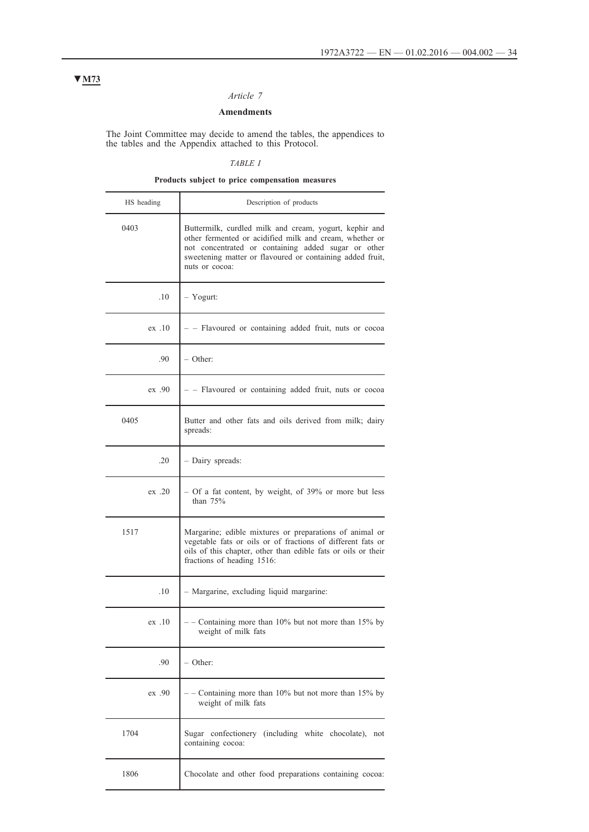# **Amendments**

The Joint Committee may decide to amend the tables, the appendices to the tables and the Appendix attached to this Protocol.

# *TABLE I*

# **Products subject to price compensation measures**

| HS heading | Description of products                                                                                                                                                                                                                                 |  |
|------------|---------------------------------------------------------------------------------------------------------------------------------------------------------------------------------------------------------------------------------------------------------|--|
| 0403       | Buttermilk, curdled milk and cream, yogurt, kephir and<br>other fermented or acidified milk and cream, whether or<br>not concentrated or containing added sugar or other<br>sweetening matter or flavoured or containing added fruit,<br>nuts or cocoa: |  |
| 10         | - Yogurt:                                                                                                                                                                                                                                               |  |
| ex.10      | - - Flavoured or containing added fruit, nuts or cocoa                                                                                                                                                                                                  |  |
| .90        | – Other:                                                                                                                                                                                                                                                |  |
| ex .90     | - - Flavoured or containing added fruit, nuts or cocoa                                                                                                                                                                                                  |  |
| 0405       | Butter and other fats and oils derived from milk; dairy<br>spreads:                                                                                                                                                                                     |  |
| .20        | - Dairy spreads:                                                                                                                                                                                                                                        |  |
| ex.20      | - Of a fat content, by weight, of 39% or more but less<br>than $75%$                                                                                                                                                                                    |  |
| 1517       | Margarine; edible mixtures or preparations of animal or<br>vegetable fats or oils or of fractions of different fats or<br>oils of this chapter, other than edible fats or oils or their<br>fractions of heading 1516:                                   |  |
| .10        | - Margarine, excluding liquid margarine:                                                                                                                                                                                                                |  |
| ex.10      | - - Containing more than 10% but not more than 15% by<br>weight of milk fats                                                                                                                                                                            |  |
| .90        | - Other:                                                                                                                                                                                                                                                |  |
| ex .90     | - Containing more than 10% but not more than 15% by<br>weight of milk fats                                                                                                                                                                              |  |
| 1704       | Sugar confectionery (including white chocolate),<br>not<br>containing cocoa:                                                                                                                                                                            |  |
| 1806       | Chocolate and other food preparations containing cocoa:                                                                                                                                                                                                 |  |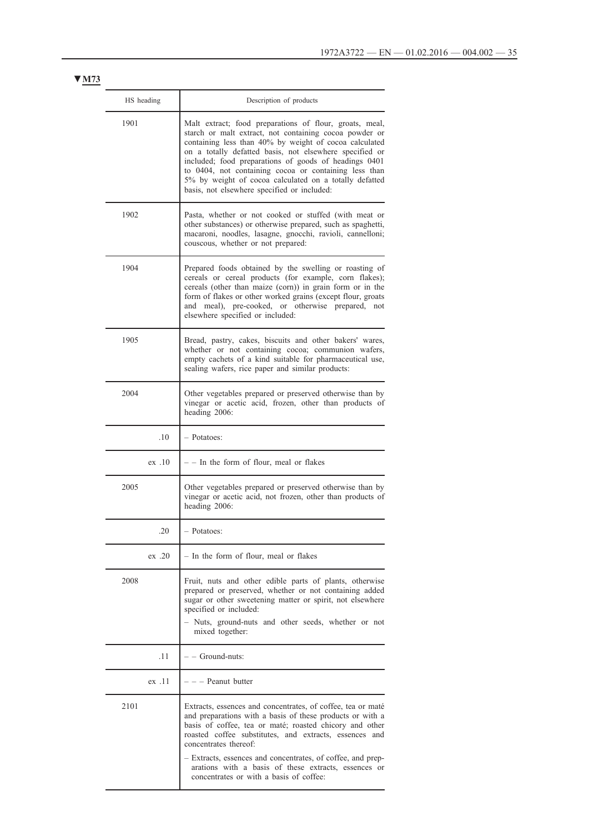| HS heading | Description of products                                                                                                                                                                                                                                                                                                                                                                                                                                           |
|------------|-------------------------------------------------------------------------------------------------------------------------------------------------------------------------------------------------------------------------------------------------------------------------------------------------------------------------------------------------------------------------------------------------------------------------------------------------------------------|
| 1901       | Malt extract; food preparations of flour, groats, meal,<br>starch or malt extract, not containing cocoa powder or<br>containing less than 40% by weight of cocoa calculated<br>on a totally defatted basis, not elsewhere specified or<br>included; food preparations of goods of headings 0401<br>to 0404, not containing cocoa or containing less than<br>5% by weight of cocoa calculated on a totally defatted<br>basis, not elsewhere specified or included: |
| 1902       | Pasta, whether or not cooked or stuffed (with meat or<br>other substances) or otherwise prepared, such as spaghetti,<br>macaroni, noodles, lasagne, gnocchi, ravioli, cannelloni;<br>couscous, whether or not prepared:                                                                                                                                                                                                                                           |
| 1904       | Prepared foods obtained by the swelling or roasting of<br>cereals or cereal products (for example, corn flakes);<br>cereals (other than maize (corn)) in grain form or in the<br>form of flakes or other worked grains (except flour, groats<br>and meal), pre-cooked, or otherwise prepared, not<br>elsewhere specified or included:                                                                                                                             |
| 1905       | Bread, pastry, cakes, biscuits and other bakers' wares,<br>whether or not containing cocoa; communion wafers,<br>empty cachets of a kind suitable for pharmaceutical use,<br>sealing wafers, rice paper and similar products:                                                                                                                                                                                                                                     |
| 2004       | Other vegetables prepared or preserved otherwise than by<br>vinegar or acetic acid, frozen, other than products of<br>heading 2006:                                                                                                                                                                                                                                                                                                                               |
| .10        | - Potatoes:                                                                                                                                                                                                                                                                                                                                                                                                                                                       |
| ex.10      | - - In the form of flour, meal or flakes                                                                                                                                                                                                                                                                                                                                                                                                                          |
| 2005       | Other vegetables prepared or preserved otherwise than by<br>vinegar or acetic acid, not frozen, other than products of<br>heading 2006:                                                                                                                                                                                                                                                                                                                           |
| .20        | - Potatoes:                                                                                                                                                                                                                                                                                                                                                                                                                                                       |
| ex.20      | - In the form of flour, meal or flakes                                                                                                                                                                                                                                                                                                                                                                                                                            |
| 2008       | Fruit, nuts and other edible parts of plants, otherwise<br>prepared or preserved, whether or not containing added<br>sugar or other sweetening matter or spirit, not elsewhere<br>specified or included:<br>- Nuts, ground-nuts and other seeds, whether or not<br>mixed together:                                                                                                                                                                                |
| .11        | – – Ground-nuts:                                                                                                                                                                                                                                                                                                                                                                                                                                                  |
| ex .11     | - – Peanut butter                                                                                                                                                                                                                                                                                                                                                                                                                                                 |
| 2101       | Extracts, essences and concentrates, of coffee, tea or maté<br>and preparations with a basis of these products or with a<br>basis of coffee, tea or maté; roasted chicory and other<br>roasted coffee substitutes, and extracts, essences and<br>concentrates thereof:                                                                                                                                                                                            |
|            | - Extracts, essences and concentrates, of coffee, and prep-<br>arations with a basis of these extracts, essences or<br>concentrates or with a basis of coffee:                                                                                                                                                                                                                                                                                                    |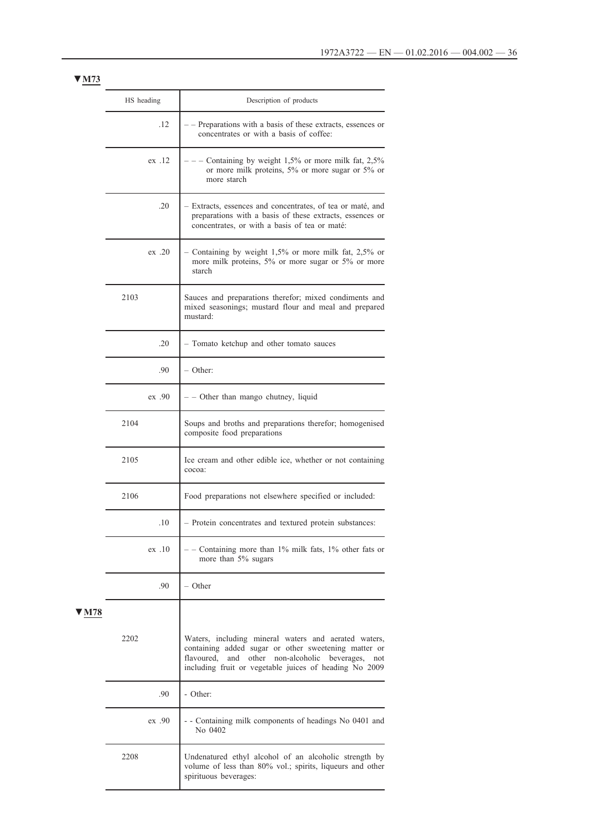|     | HS heading<br>.12 |        | Description of products                                                                                                                                                                                                           |
|-----|-------------------|--------|-----------------------------------------------------------------------------------------------------------------------------------------------------------------------------------------------------------------------------------|
|     |                   |        | - Preparations with a basis of these extracts, essences or<br>concentrates or with a basis of coffee:                                                                                                                             |
|     |                   | ex.12  | Containing by weight $1,5\%$ or more milk fat, $2,5\%$<br>or more milk proteins, 5% or more sugar or 5% or<br>more starch                                                                                                         |
|     |                   | .20    | - Extracts, essences and concentrates, of tea or maté, and<br>preparations with a basis of these extracts, essences or<br>concentrates, or with a basis of tea or maté:                                                           |
|     |                   | ex.20  | - Containing by weight 1,5% or more milk fat, 2,5% or<br>more milk proteins, 5% or more sugar or 5% or more<br>starch                                                                                                             |
|     | 2103              |        | Sauces and preparations therefor; mixed condiments and<br>mixed seasonings; mustard flour and meal and prepared<br>mustard:                                                                                                       |
|     |                   | .20    | - Tomato ketchup and other tomato sauces                                                                                                                                                                                          |
|     |                   | .90    | $-$ Other:                                                                                                                                                                                                                        |
|     |                   | ex .90 | $-$ - Other than mango chutney, liquid                                                                                                                                                                                            |
|     | 2104              |        | Soups and broths and preparations therefor; homogenised<br>composite food preparations                                                                                                                                            |
|     | 2105              |        | Ice cream and other edible ice, whether or not containing<br>cocoa:                                                                                                                                                               |
|     | 2106              |        | Food preparations not elsewhere specified or included:                                                                                                                                                                            |
|     |                   | .10    | - Protein concentrates and textured protein substances:                                                                                                                                                                           |
|     |                   | ex .10 | - Containing more than 1% milk fats, 1% other fats or<br>more than 5% sugars                                                                                                                                                      |
|     |                   | .90    | – Other                                                                                                                                                                                                                           |
| M78 |                   |        |                                                                                                                                                                                                                                   |
|     | 2202              |        | Waters, including mineral waters and aerated waters,<br>containing added sugar or other sweetening matter or<br>and other non-alcoholic beverages,<br>flavoured,<br>not<br>including fruit or vegetable juices of heading No 2009 |
|     |                   | .90    | - Other:                                                                                                                                                                                                                          |
|     |                   | ex .90 | - Containing milk components of headings No 0401 and<br>No 0402                                                                                                                                                                   |
|     | 2208              |        | Undenatured ethyl alcohol of an alcoholic strength by<br>volume of less than 80% vol.; spirits, liqueurs and other<br>spirituous beverages:                                                                                       |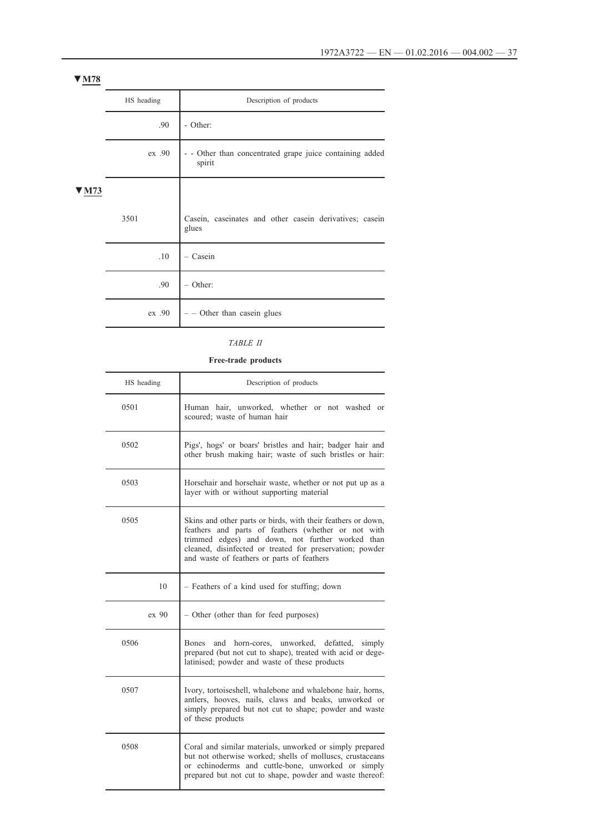|     | HS heading | Description of products                                          |
|-----|------------|------------------------------------------------------------------|
|     | .90        | - Other:                                                         |
|     | ex.90      | - Other than concentrated grape juice containing added<br>spirit |
| A73 |            |                                                                  |
|     | 3501       | Casein, caseinates and other casein derivatives; casein<br>glues |
|     | .10        | $-$ Casein                                                       |
|     | .90        | $-$ Other:                                                       |
|     | ex.90      | $-$ - Other than case in glues                                   |

# *TABLE II*

### **Free-trade products**

| HS heading                                                                                                                                                                                                                                                                                | Description of products                                                                                                                                                                                                                 |  |
|-------------------------------------------------------------------------------------------------------------------------------------------------------------------------------------------------------------------------------------------------------------------------------------------|-----------------------------------------------------------------------------------------------------------------------------------------------------------------------------------------------------------------------------------------|--|
| 0501                                                                                                                                                                                                                                                                                      | Human hair, unworked, whether or not washed or<br>scoured; waste of human hair                                                                                                                                                          |  |
| 0502                                                                                                                                                                                                                                                                                      | Pigs', hogs' or boars' bristles and hair; badger hair and<br>other brush making hair; waste of such bristles or hair:                                                                                                                   |  |
| 0503                                                                                                                                                                                                                                                                                      | Horsehair and horsehair waste, whether or not put up as a<br>layer with or without supporting material                                                                                                                                  |  |
| 0505<br>Skins and other parts or birds, with their feathers or down,<br>feathers and parts of feathers (whether or not with<br>trimmed edges) and down, not further worked than<br>cleaned, disinfected or treated for preservation; powder<br>and waste of feathers or parts of feathers |                                                                                                                                                                                                                                         |  |
| 10                                                                                                                                                                                                                                                                                        | - Feathers of a kind used for stuffing; down                                                                                                                                                                                            |  |
| ex 90                                                                                                                                                                                                                                                                                     | - Other (other than for feed purposes)                                                                                                                                                                                                  |  |
| 0506                                                                                                                                                                                                                                                                                      | and horn-cores, unworked, defatted, simply<br>Bones<br>prepared (but not cut to shape), treated with acid or dege-<br>latinised; powder and waste of these products                                                                     |  |
| 0507<br>Ivory, tortoiseshell, whalebone and whalebone hair, horns,<br>antlers, hooves, nails, claws and beaks, unworked or<br>simply prepared but not cut to shape; powder and waste<br>of these products                                                                                 |                                                                                                                                                                                                                                         |  |
| 0508                                                                                                                                                                                                                                                                                      | Coral and similar materials, unworked or simply prepared<br>but not otherwise worked; shells of molluscs, crustaceans<br>or echinoderms and cuttle-bone, unworked or simply<br>prepared but not cut to shape, powder and waste thereof: |  |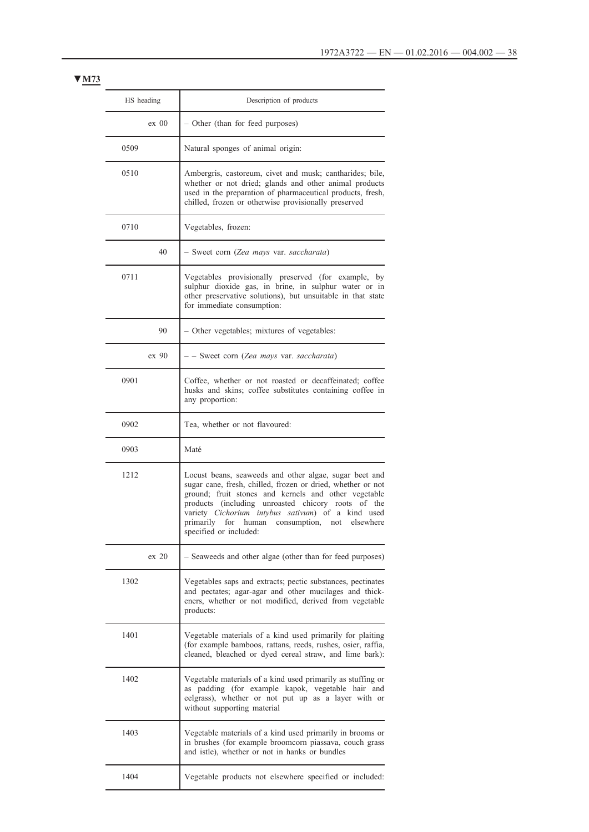| HS heading       | Description of products                                                                                                                                                                                                                                                                                                                                              |  |
|------------------|----------------------------------------------------------------------------------------------------------------------------------------------------------------------------------------------------------------------------------------------------------------------------------------------------------------------------------------------------------------------|--|
| $ex\ 00$         | - Other (than for feed purposes)                                                                                                                                                                                                                                                                                                                                     |  |
| 0509             | Natural sponges of animal origin:                                                                                                                                                                                                                                                                                                                                    |  |
| 0510             | Ambergris, castoreum, civet and musk; cantharides; bile,<br>whether or not dried; glands and other animal products<br>used in the preparation of pharmaceutical products, fresh,<br>chilled, frozen or otherwise provisionally preserved                                                                                                                             |  |
| 0710             | Vegetables, frozen:                                                                                                                                                                                                                                                                                                                                                  |  |
| 40               | - Sweet corn (Zea mays var. saccharata)                                                                                                                                                                                                                                                                                                                              |  |
| 0711             | Vegetables provisionally preserved (for example, by<br>sulphur dioxide gas, in brine, in sulphur water or in<br>other preservative solutions), but unsuitable in that state<br>for immediate consumption:                                                                                                                                                            |  |
| 90               | - Other vegetables; mixtures of vegetables:                                                                                                                                                                                                                                                                                                                          |  |
| ex 90            | - - Sweet corn (Zea mays var. saccharata)                                                                                                                                                                                                                                                                                                                            |  |
| 0901             | Coffee, whether or not roasted or decaffeinated; coffee<br>husks and skins; coffee substitutes containing coffee in<br>any proportion:                                                                                                                                                                                                                               |  |
| 0902             | Tea, whether or not flavoured:                                                                                                                                                                                                                                                                                                                                       |  |
| 0903             | Maté                                                                                                                                                                                                                                                                                                                                                                 |  |
| 1212             | Locust beans, seaweeds and other algae, sugar beet and<br>sugar cane, fresh, chilled, frozen or dried, whether or not<br>ground; fruit stones and kernels and other vegetable<br>products (including unroasted chicory roots of the<br>variety Cichorium intybus sativum) of a kind used<br>primarily for human consumption, not elsewhere<br>specified or included: |  |
| ex <sub>20</sub> | - Seaweeds and other algae (other than for feed purposes)                                                                                                                                                                                                                                                                                                            |  |
| 1302             | Vegetables saps and extracts; pectic substances, pectinates<br>and pectates; agar-agar and other mucilages and thick-<br>eners, whether or not modified, derived from vegetable<br>products:                                                                                                                                                                         |  |
| 1401             | Vegetable materials of a kind used primarily for plaiting<br>(for example bamboos, rattans, reeds, rushes, osier, raffia,<br>cleaned, bleached or dyed cereal straw, and lime bark):                                                                                                                                                                                 |  |
| 1402             | Vegetable materials of a kind used primarily as stuffing or<br>as padding (for example kapok, vegetable hair and<br>eelgrass), whether or not put up as a layer with or<br>without supporting material                                                                                                                                                               |  |
| 1403             | Vegetable materials of a kind used primarily in brooms or<br>in brushes (for example broomcorn piassava, couch grass<br>and istle), whether or not in hanks or bundles                                                                                                                                                                                               |  |
| 1404             | Vegetable products not elsewhere specified or included:                                                                                                                                                                                                                                                                                                              |  |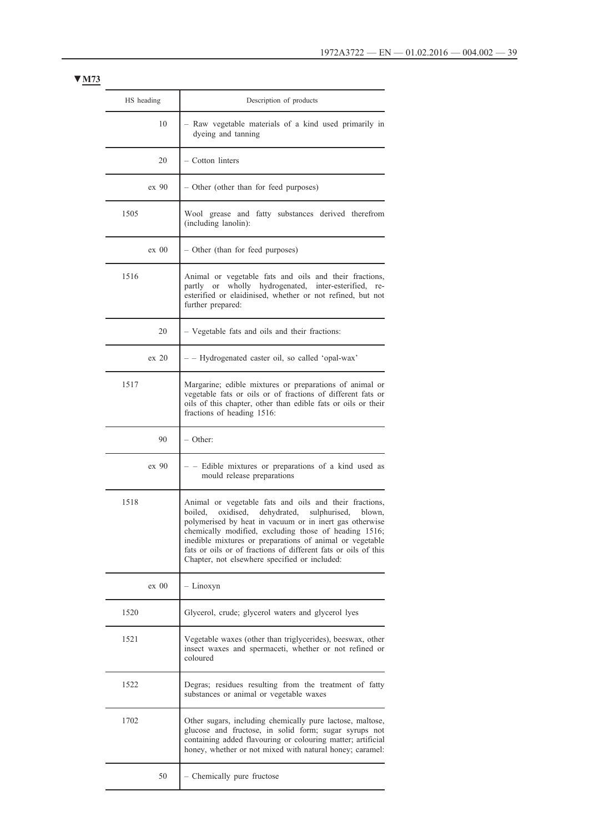| HS heading | Description of products                                                                                                                                                                                                                                                                                                                                                                                                 |  |  |
|------------|-------------------------------------------------------------------------------------------------------------------------------------------------------------------------------------------------------------------------------------------------------------------------------------------------------------------------------------------------------------------------------------------------------------------------|--|--|
| 10         | - Raw vegetable materials of a kind used primarily in<br>dyeing and tanning                                                                                                                                                                                                                                                                                                                                             |  |  |
| 20         | - Cotton linters                                                                                                                                                                                                                                                                                                                                                                                                        |  |  |
| ex 90      | - Other (other than for feed purposes)                                                                                                                                                                                                                                                                                                                                                                                  |  |  |
| 1505       | Wool grease and fatty substances derived therefrom<br>(including lanolin):                                                                                                                                                                                                                                                                                                                                              |  |  |
| ex 00      | - Other (than for feed purposes)                                                                                                                                                                                                                                                                                                                                                                                        |  |  |
| 1516       | Animal or vegetable fats and oils and their fractions,<br>partly or wholly hydrogenated, inter-esterified, re-<br>esterified or elaidinised, whether or not refined, but not<br>further prepared:                                                                                                                                                                                                                       |  |  |
| 20         | - Vegetable fats and oils and their fractions:                                                                                                                                                                                                                                                                                                                                                                          |  |  |
| ex 20      | - - Hydrogenated caster oil, so called 'opal-wax'                                                                                                                                                                                                                                                                                                                                                                       |  |  |
| 1517       | Margarine; edible mixtures or preparations of animal or<br>vegetable fats or oils or of fractions of different fats or<br>oils of this chapter, other than edible fats or oils or their<br>fractions of heading 1516:                                                                                                                                                                                                   |  |  |
| 90         | - Other:                                                                                                                                                                                                                                                                                                                                                                                                                |  |  |
| ex 90      | - Edible mixtures or preparations of a kind used as<br>mould release preparations                                                                                                                                                                                                                                                                                                                                       |  |  |
| 1518       | Animal or vegetable fats and oils and their fractions,<br>oxidised, dehydrated,<br>sulphurised,<br>boiled,<br>blown,<br>polymerised by heat in vacuum or in inert gas otherwise<br>chemically modified, excluding those of heading 1516;<br>inedible mixtures or preparations of animal or vegetable<br>fats or oils or of fractions of different fats or oils of this<br>Chapter, not elsewhere specified or included: |  |  |
| $ex\ 00$   | - Linoxyn                                                                                                                                                                                                                                                                                                                                                                                                               |  |  |
| 1520       | Glycerol, crude; glycerol waters and glycerol lyes                                                                                                                                                                                                                                                                                                                                                                      |  |  |
| 1521       | Vegetable waxes (other than triglycerides), beeswax, other<br>insect waxes and spermaceti, whether or not refined or<br>coloured                                                                                                                                                                                                                                                                                        |  |  |
| 1522       | Degras; residues resulting from the treatment of fatty<br>substances or animal or vegetable waxes                                                                                                                                                                                                                                                                                                                       |  |  |
| 1702       | Other sugars, including chemically pure lactose, maltose,<br>glucose and fructose, in solid form; sugar syrups not<br>containing added flavouring or colouring matter; artificial<br>honey, whether or not mixed with natural honey; caramel:                                                                                                                                                                           |  |  |
| 50         | - Chemically pure fructose                                                                                                                                                                                                                                                                                                                                                                                              |  |  |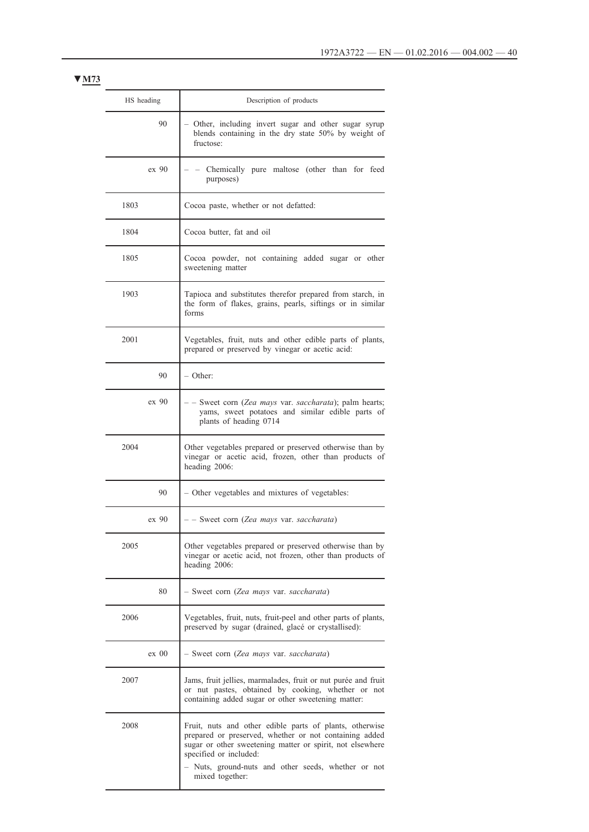| HS heading                                                                                                                     | Description of products                                                                                                                                                                                                                                                          |  |
|--------------------------------------------------------------------------------------------------------------------------------|----------------------------------------------------------------------------------------------------------------------------------------------------------------------------------------------------------------------------------------------------------------------------------|--|
| 90                                                                                                                             | Other, including invert sugar and other sugar syrup<br>blends containing in the dry state 50% by weight of<br>fructose:                                                                                                                                                          |  |
| ex 90                                                                                                                          | Chemically pure maltose (other than for feed<br>purposes)                                                                                                                                                                                                                        |  |
| 1803                                                                                                                           | Cocoa paste, whether or not defatted:                                                                                                                                                                                                                                            |  |
| 1804                                                                                                                           | Cocoa butter, fat and oil                                                                                                                                                                                                                                                        |  |
| 1805                                                                                                                           | Cocoa powder, not containing added sugar or other<br>sweetening matter                                                                                                                                                                                                           |  |
| 1903                                                                                                                           | Tapioca and substitutes therefor prepared from starch, in<br>the form of flakes, grains, pearls, siftings or in similar<br>forms                                                                                                                                                 |  |
| 2001<br>Vegetables, fruit, nuts and other edible parts of plants,<br>prepared or preserved by vinegar or acetic acid:          |                                                                                                                                                                                                                                                                                  |  |
| 90                                                                                                                             | – Other:                                                                                                                                                                                                                                                                         |  |
| ex 90                                                                                                                          | - Sweet corn (Zea mays var. saccharata); palm hearts;<br>yams, sweet potatoes and similar edible parts of<br>plants of heading 0714                                                                                                                                              |  |
| 2004                                                                                                                           | Other vegetables prepared or preserved otherwise than by<br>vinegar or acetic acid, frozen, other than products of<br>heading 2006:                                                                                                                                              |  |
| 90                                                                                                                             | - Other vegetables and mixtures of vegetables:                                                                                                                                                                                                                                   |  |
| ex 90                                                                                                                          | - - Sweet corn (Zea mays var. saccharata)                                                                                                                                                                                                                                        |  |
| 2005                                                                                                                           | Other vegetables prepared or preserved otherwise than by<br>vinegar or acetic acid, not frozen, other than products of<br>heading 2006:                                                                                                                                          |  |
| 80                                                                                                                             | - Sweet corn (Zea mays var. saccharata)                                                                                                                                                                                                                                          |  |
| 2006<br>Vegetables, fruit, nuts, fruit-peel and other parts of plants,<br>preserved by sugar (drained, glacé or crystallised): |                                                                                                                                                                                                                                                                                  |  |
| $ex\ 00$                                                                                                                       | - Sweet corn (Zea mays var. saccharata)                                                                                                                                                                                                                                          |  |
| 2007                                                                                                                           | Jams, fruit jellies, marmalades, fruit or nut purée and fruit<br>or nut pastes, obtained by cooking, whether or not<br>containing added sugar or other sweetening matter:                                                                                                        |  |
| 2008                                                                                                                           | Fruit, nuts and other edible parts of plants, otherwise<br>prepared or preserved, whether or not containing added<br>sugar or other sweetening matter or spirit, not elsewhere<br>specified or included:<br>Nuts, ground-nuts and other seeds, whether or not<br>mixed together: |  |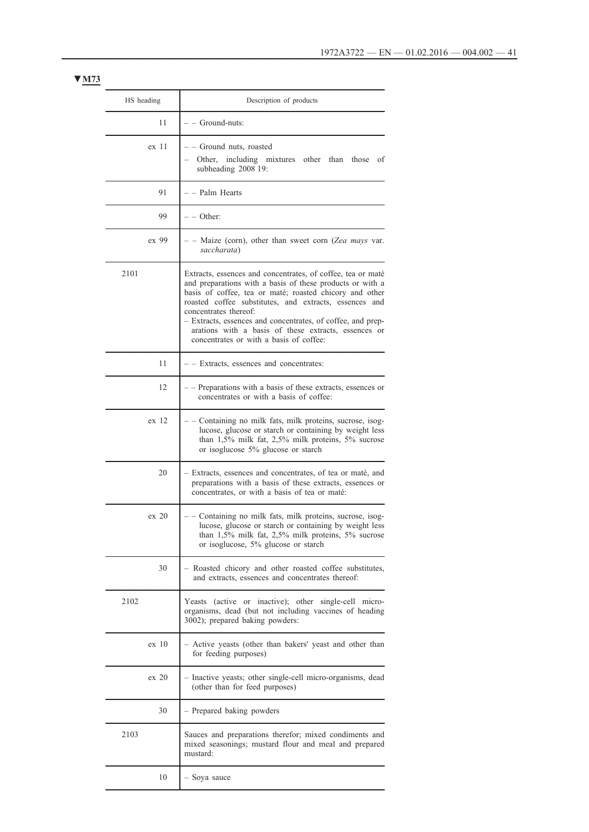| HS heading                                                                                              | Description of products                                                                                                                                                                                                                                                                                                                                                                                                                  |  |  |
|---------------------------------------------------------------------------------------------------------|------------------------------------------------------------------------------------------------------------------------------------------------------------------------------------------------------------------------------------------------------------------------------------------------------------------------------------------------------------------------------------------------------------------------------------------|--|--|
| 11                                                                                                      | $-$ – Ground-nuts:                                                                                                                                                                                                                                                                                                                                                                                                                       |  |  |
| ex 11                                                                                                   | - - Ground nuts, roasted<br>Other, including mixtures other than those<br>οf<br>subheading 2008 19:                                                                                                                                                                                                                                                                                                                                      |  |  |
| 91                                                                                                      | - – Palm Hearts                                                                                                                                                                                                                                                                                                                                                                                                                          |  |  |
| 99                                                                                                      | – – Other:                                                                                                                                                                                                                                                                                                                                                                                                                               |  |  |
| ex 99                                                                                                   | - Maize (corn), other than sweet corn (Zea mays var.<br>saccharata)                                                                                                                                                                                                                                                                                                                                                                      |  |  |
| 2101                                                                                                    | Extracts, essences and concentrates, of coffee, tea or maté<br>and preparations with a basis of these products or with a<br>basis of coffee, tea or maté; roasted chicory and other<br>roasted coffee substitutes, and extracts, essences and<br>concentrates thereof:<br>- Extracts, essences and concentrates, of coffee, and prep-<br>arations with a basis of these extracts, essences or<br>concentrates or with a basis of coffee: |  |  |
| 11                                                                                                      | - - Extracts, essences and concentrates:                                                                                                                                                                                                                                                                                                                                                                                                 |  |  |
| 12                                                                                                      | - Preparations with a basis of these extracts, essences or<br>concentrates or with a basis of coffee:                                                                                                                                                                                                                                                                                                                                    |  |  |
| ex <sub>12</sub>                                                                                        | Containing no milk fats, milk proteins, sucrose, isog-<br>lucose, glucose or starch or containing by weight less<br>than $1,5\%$ milk fat, $2,5\%$ milk proteins, $5\%$ sucrose<br>or isoglucose 5% glucose or starch                                                                                                                                                                                                                    |  |  |
| 20                                                                                                      | Extracts, essences and concentrates, of tea or maté, and<br>preparations with a basis of these extracts, essences or<br>concentrates, or with a basis of tea or maté:                                                                                                                                                                                                                                                                    |  |  |
| $ex$ 20                                                                                                 | Containing no milk fats, milk proteins, sucrose, isog-<br>lucose, glucose or starch or containing by weight less<br>than 1,5% milk fat, 2,5% milk proteins, 5% sucrose<br>or isoglucose, 5% glucose or starch                                                                                                                                                                                                                            |  |  |
| 30                                                                                                      | Roasted chicory and other roasted coffee substitutes,<br>and extracts, essences and concentrates thereof:                                                                                                                                                                                                                                                                                                                                |  |  |
| 2102                                                                                                    | Yeasts (active or inactive); other single-cell micro-<br>organisms, dead (but not including vaccines of heading<br>3002); prepared baking powders:                                                                                                                                                                                                                                                                                       |  |  |
| ex <sub>10</sub>                                                                                        | Active yeasts (other than bakers' yeast and other than<br>for feeding purposes)                                                                                                                                                                                                                                                                                                                                                          |  |  |
| $ex$ 20<br>- Inactive yeasts; other single-cell micro-organisms, dead<br>(other than for feed purposes) |                                                                                                                                                                                                                                                                                                                                                                                                                                          |  |  |
| 30                                                                                                      | - Prepared baking powders                                                                                                                                                                                                                                                                                                                                                                                                                |  |  |
| 2103                                                                                                    | Sauces and preparations therefor; mixed condiments and<br>mixed seasonings; mustard flour and meal and prepared<br>mustard:                                                                                                                                                                                                                                                                                                              |  |  |
| 10                                                                                                      | - Soya sauce                                                                                                                                                                                                                                                                                                                                                                                                                             |  |  |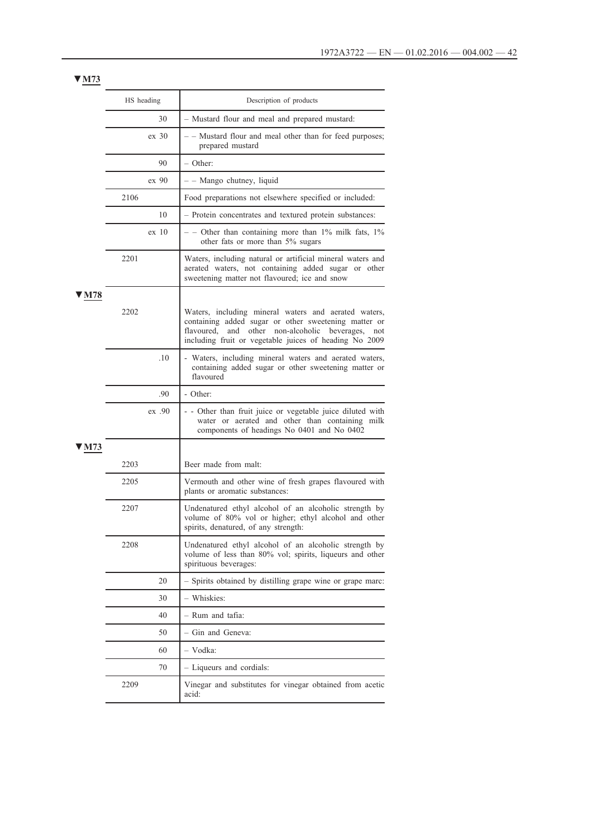|            | HS heading |        | Description of products                                                                                                                                                                                                           |  |
|------------|------------|--------|-----------------------------------------------------------------------------------------------------------------------------------------------------------------------------------------------------------------------------------|--|
|            |            | 30     | - Mustard flour and meal and prepared mustard:                                                                                                                                                                                    |  |
|            | ex 30      |        | - - Mustard flour and meal other than for feed purposes;<br>prepared mustard                                                                                                                                                      |  |
|            |            | 90     | – Other:                                                                                                                                                                                                                          |  |
|            |            | ex 90  | - - Mango chutney, liquid                                                                                                                                                                                                         |  |
|            | 2106       |        | Food preparations not elsewhere specified or included:                                                                                                                                                                            |  |
|            |            | 10     | - Protein concentrates and textured protein substances:                                                                                                                                                                           |  |
|            |            | ex 10  | $-$ - Other than containing more than 1% milk fats, 1%<br>other fats or more than 5% sugars                                                                                                                                       |  |
|            | 2201       |        | Waters, including natural or artificial mineral waters and<br>aerated waters, not containing added sugar or other<br>sweetening matter not flavoured; ice and snow                                                                |  |
| <b>M78</b> | 2202       |        | Waters, including mineral waters and aerated waters,<br>containing added sugar or other sweetening matter or<br>and other non-alcoholic beverages,<br>flavoured,<br>not<br>including fruit or vegetable juices of heading No 2009 |  |
|            |            | .10    | - Waters, including mineral waters and aerated waters,<br>containing added sugar or other sweetening matter or<br>flavoured                                                                                                       |  |
|            | .90        |        | - Other:                                                                                                                                                                                                                          |  |
|            |            | ex .90 | - Other than fruit juice or vegetable juice diluted with<br>water or aerated and other than containing milk<br>components of headings No 0401 and No 0402                                                                         |  |
| M73        |            |        |                                                                                                                                                                                                                                   |  |
|            | 2203       |        | Beer made from malt:                                                                                                                                                                                                              |  |
|            | 2205       |        | Vermouth and other wine of fresh grapes flavoured with<br>plants or aromatic substances:                                                                                                                                          |  |
|            | 2207       |        | Undenatured ethyl alcohol of an alcoholic strength by<br>volume of 80% vol or higher; ethyl alcohol and other<br>spirits, denatured, of any strength:                                                                             |  |
|            | 2208       |        | Undenatured ethyl alcohol of an alcoholic strength by<br>volume of less than 80% vol; spirits, liqueurs and other<br>spirituous beverages:                                                                                        |  |
|            |            | 20     | - Spirits obtained by distilling grape wine or grape marc:                                                                                                                                                                        |  |
|            |            | 30     | - Whiskies:                                                                                                                                                                                                                       |  |
|            |            | 40     | - Rum and tafia:                                                                                                                                                                                                                  |  |
|            |            | 50     | - Gin and Geneva:                                                                                                                                                                                                                 |  |
|            |            | 60     | - Vodka:                                                                                                                                                                                                                          |  |
|            |            | 70     | - Liqueurs and cordials:                                                                                                                                                                                                          |  |
|            | 2209       |        | Vinegar and substitutes for vinegar obtained from acetic<br>acid:                                                                                                                                                                 |  |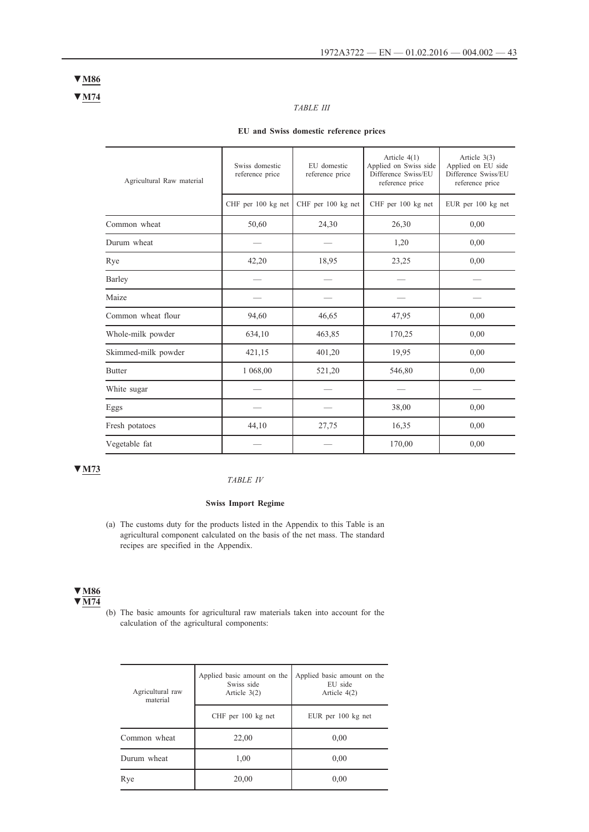**▼M74 ▼M86**

# *TABLE III*

# **EU and Swiss domestic reference prices**

| Agricultural Raw material | Swiss domestic<br>reference price | EU domestic<br>reference price | Article $4(1)$<br>Applied on Swiss side<br>Difference Swiss/EU<br>reference price | Article $3(3)$<br>Applied on EU side<br>Difference Swiss/EU<br>reference price |
|---------------------------|-----------------------------------|--------------------------------|-----------------------------------------------------------------------------------|--------------------------------------------------------------------------------|
|                           | CHF per 100 kg net                | CHF per 100 kg net             | CHF per 100 kg net                                                                | EUR per 100 kg net                                                             |
| Common wheat              | 50,60                             | 24,30                          | 26,30                                                                             | 0,00                                                                           |
| Durum wheat               |                                   |                                | 1,20                                                                              | 0,00                                                                           |
| Rye                       | 42,20                             | 18,95                          | 23,25                                                                             | 0,00                                                                           |
| Barley                    |                                   |                                |                                                                                   |                                                                                |
| Maize                     |                                   |                                |                                                                                   |                                                                                |
| Common wheat flour        | 94,60                             | 46,65                          | 47,95                                                                             | 0,00                                                                           |
| Whole-milk powder         | 634,10                            | 463,85                         | 170,25                                                                            | 0,00                                                                           |
| Skimmed-milk powder       | 421,15                            | 401,20                         | 19,95                                                                             | 0,00                                                                           |
| <b>Butter</b>             | 1 068,00                          | 521,20                         | 546,80                                                                            | 0,00                                                                           |
| White sugar               |                                   |                                |                                                                                   |                                                                                |
| Eggs                      |                                   |                                | 38,00                                                                             | 0,00                                                                           |
| Fresh potatoes            | 44,10                             | 27,75                          | 16,35                                                                             | 0,00                                                                           |
| Vegetable fat             |                                   |                                | 170,00                                                                            | 0,00                                                                           |

# **▼M73**

### *TABLE IV*

## **Swiss Import Regime**

(a) The customs duty for the products listed in the Appendix to this Table is an agricultural component calculated on the basis of the net mass. The standard recipes are specified in the Appendix.

### **▼M86 ▼M74**

(b) The basic amounts for agricultural raw materials taken into account for the calculation of the agricultural components:

| Agricultural raw<br>material | Applied basic amount on the<br>Swiss side<br>Article $3(2)$ | Applied basic amount on the<br>EU side<br>Article $4(2)$ |  |
|------------------------------|-------------------------------------------------------------|----------------------------------------------------------|--|
|                              | CHF per 100 kg net                                          | EUR per 100 kg net                                       |  |
| Common wheat                 | 22,00                                                       | 0,00                                                     |  |
| Durum wheat                  | 1,00                                                        | 0,00                                                     |  |
| Rye                          | 20,00                                                       | 0,00                                                     |  |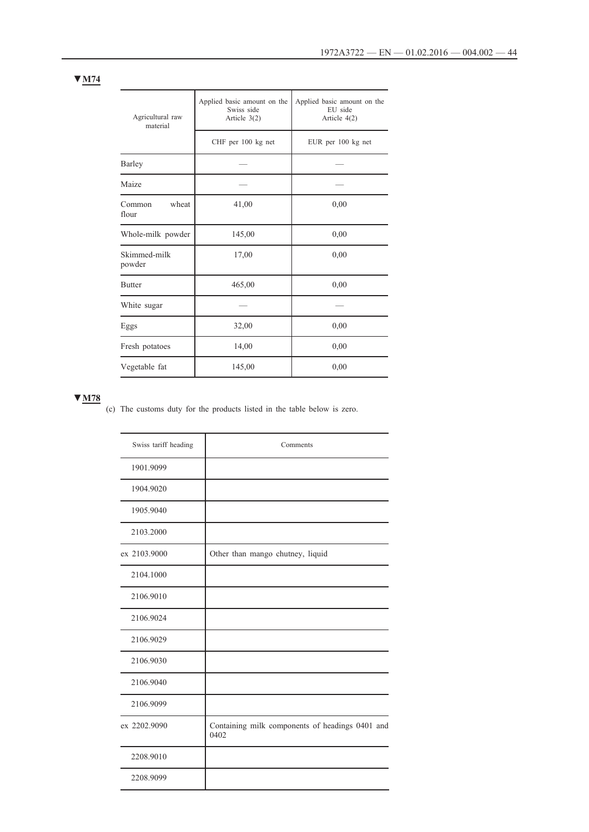| Agricultural raw<br>material | Applied basic amount on the<br>Swiss side<br>Article $3(2)$ | Applied basic amount on the<br>EU side<br>Article $4(2)$ |
|------------------------------|-------------------------------------------------------------|----------------------------------------------------------|
|                              | CHF per 100 kg net                                          | EUR per 100 kg net                                       |
| Barley                       |                                                             |                                                          |
| Maize                        |                                                             |                                                          |
| wheat<br>Common<br>flour     | 41,00                                                       | 0,00                                                     |
| Whole-milk powder            | 145,00                                                      | 0,00                                                     |
| Skimmed-milk<br>powder       | 17,00                                                       | 0,00                                                     |
| <b>Butter</b>                | 465,00                                                      | 0,00                                                     |
| White sugar                  |                                                             |                                                          |
| Eggs                         | 32,00                                                       | 0,00                                                     |
| Fresh potatoes               | 14,00                                                       | 0,00                                                     |
| Vegetable fat                | 145,00                                                      | 0,00                                                     |

(c) The customs duty for the products listed in the table below is zero.

| Swiss tariff heading | Comments                                                |
|----------------------|---------------------------------------------------------|
| 1901.9099            |                                                         |
| 1904.9020            |                                                         |
| 1905.9040            |                                                         |
| 2103.2000            |                                                         |
| ex 2103.9000         | Other than mango chutney, liquid                        |
| 2104.1000            |                                                         |
| 2106.9010            |                                                         |
| 2106.9024            |                                                         |
| 2106.9029            |                                                         |
| 2106.9030            |                                                         |
| 2106.9040            |                                                         |
| 2106.9099            |                                                         |
| ex 2202.9090         | Containing milk components of headings 0401 and<br>0402 |
| 2208.9010            |                                                         |
| 2208.9099            |                                                         |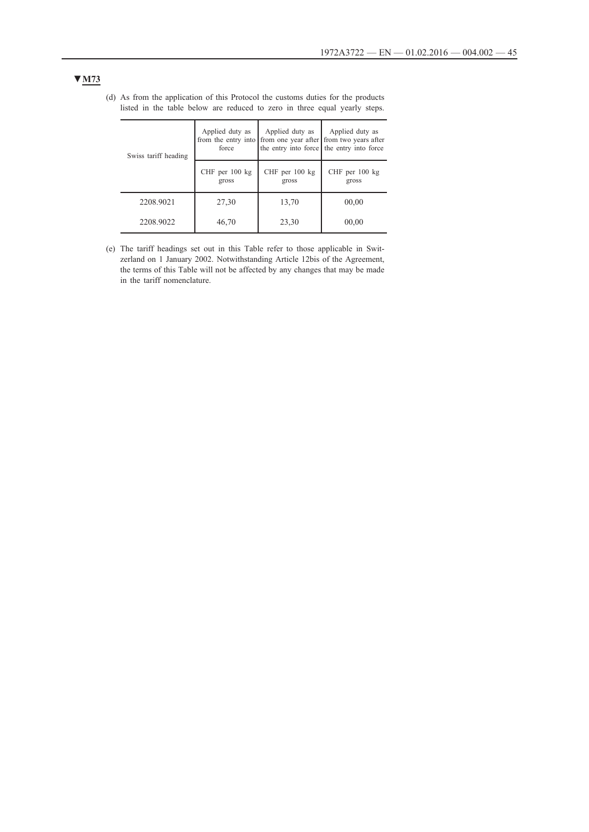| Swiss tariff heading | Applied duty as<br>force    | Applied duty as         | Applied duty as<br>from the entry into from one year after from two years after<br>the entry into force the entry into force |
|----------------------|-----------------------------|-------------------------|------------------------------------------------------------------------------------------------------------------------------|
|                      | $CHF$ per 100 $kg$<br>gross | CHF per 100 kg<br>gross | CHF per $100$ kg<br>gross                                                                                                    |
| 2208.9021            | 27,30                       | 13,70                   | 00,00                                                                                                                        |
| 2208.9022            | 46,70                       | 23,30                   | 00,00                                                                                                                        |

(d) As from the application of this Protocol the customs duties for the products listed in the table below are reduced to zero in three equal yearly steps.

(e) The tariff headings set out in this Table refer to those applicable in Switzerland on 1 January 2002. Notwithstanding Article 12bis of the Agreement, the terms of this Table will not be affected by any changes that may be made in the tariff nomenclature.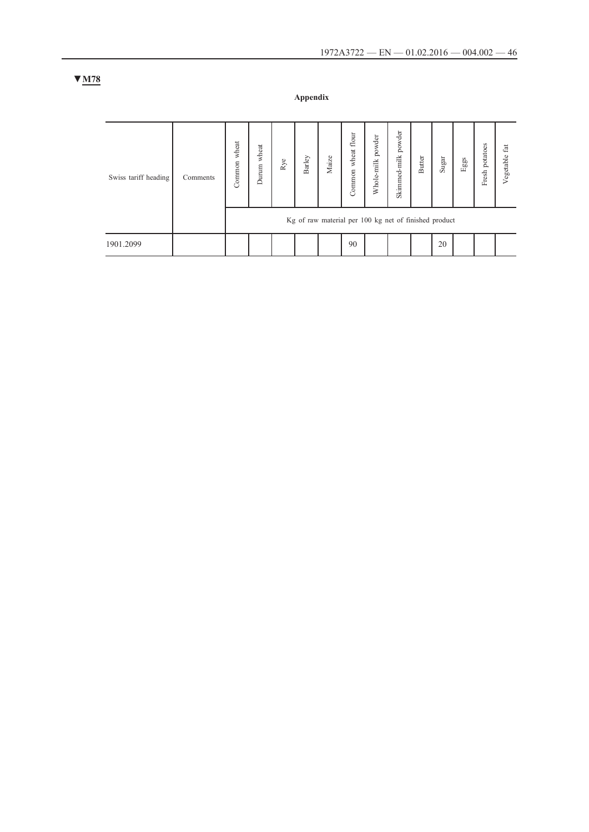**Appendix**

| Swiss tariff heading | Comments | wheat<br>Common | wheat<br>Durum | $_{\rm Rye}$ | Barley | Maize | flour<br>wheat<br>Common | powder<br>Whole-milk                                  | powder<br>Skimmed-milk | Butter | $\operatorname{Sugar}$ | $_{\rm{Egs}}$ | potatoes<br>Fresh | Vegetable fat |
|----------------------|----------|-----------------|----------------|--------------|--------|-------|--------------------------|-------------------------------------------------------|------------------------|--------|------------------------|---------------|-------------------|---------------|
|                      |          |                 |                |              |        |       |                          | Kg of raw material per 100 kg net of finished product |                        |        |                        |               |                   |               |
| 1901.2099            |          |                 |                |              |        |       | 90                       |                                                       |                        |        | 20                     |               |                   |               |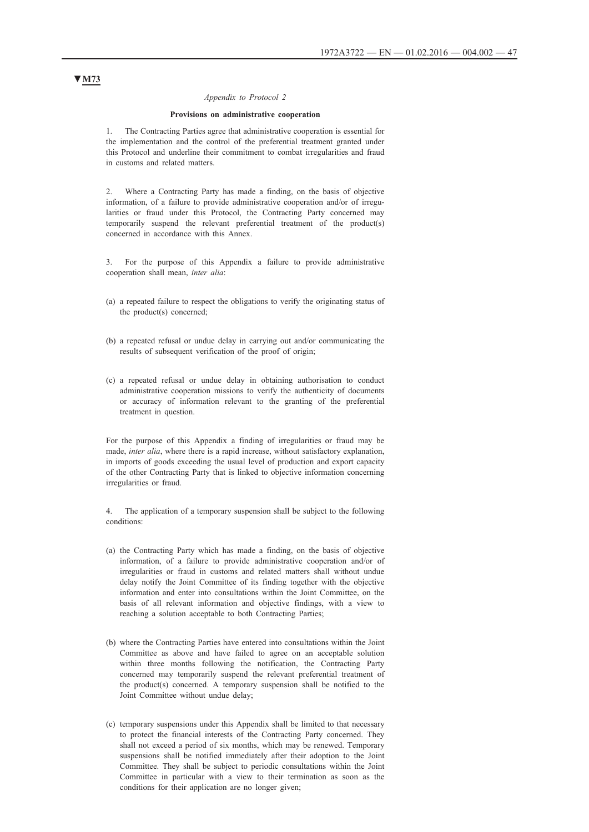#### *Appendix to Protocol 2*

### **Provisions on administrative cooperation**

1. The Contracting Parties agree that administrative cooperation is essential for the implementation and the control of the preferential treatment granted under this Protocol and underline their commitment to combat irregularities and fraud in customs and related matters.

2. Where a Contracting Party has made a finding, on the basis of objective information, of a failure to provide administrative cooperation and/or of irregularities or fraud under this Protocol, the Contracting Party concerned may temporarily suspend the relevant preferential treatment of the product(s) concerned in accordance with this Annex.

3. For the purpose of this Appendix a failure to provide administrative cooperation shall mean, *inter alia*:

- (a) a repeated failure to respect the obligations to verify the originating status of the product(s) concerned;
- (b) a repeated refusal or undue delay in carrying out and/or communicating the results of subsequent verification of the proof of origin;
- (c) a repeated refusal or undue delay in obtaining authorisation to conduct administrative cooperation missions to verify the authenticity of documents or accuracy of information relevant to the granting of the preferential treatment in question.

For the purpose of this Appendix a finding of irregularities or fraud may be made, *inter alia*, where there is a rapid increase, without satisfactory explanation, in imports of goods exceeding the usual level of production and export capacity of the other Contracting Party that is linked to objective information concerning irregularities or fraud.

4. The application of a temporary suspension shall be subject to the following conditions:

- (a) the Contracting Party which has made a finding, on the basis of objective information, of a failure to provide administrative cooperation and/or of irregularities or fraud in customs and related matters shall without undue delay notify the Joint Committee of its finding together with the objective information and enter into consultations within the Joint Committee, on the basis of all relevant information and objective findings, with a view to reaching a solution acceptable to both Contracting Parties;
- (b) where the Contracting Parties have entered into consultations within the Joint Committee as above and have failed to agree on an acceptable solution within three months following the notification, the Contracting Party concerned may temporarily suspend the relevant preferential treatment of the product(s) concerned. A temporary suspension shall be notified to the Joint Committee without undue delay;
- (c) temporary suspensions under this Appendix shall be limited to that necessary to protect the financial interests of the Contracting Party concerned. They shall not exceed a period of six months, which may be renewed. Temporary suspensions shall be notified immediately after their adoption to the Joint Committee. They shall be subject to periodic consultations within the Joint Committee in particular with a view to their termination as soon as the conditions for their application are no longer given;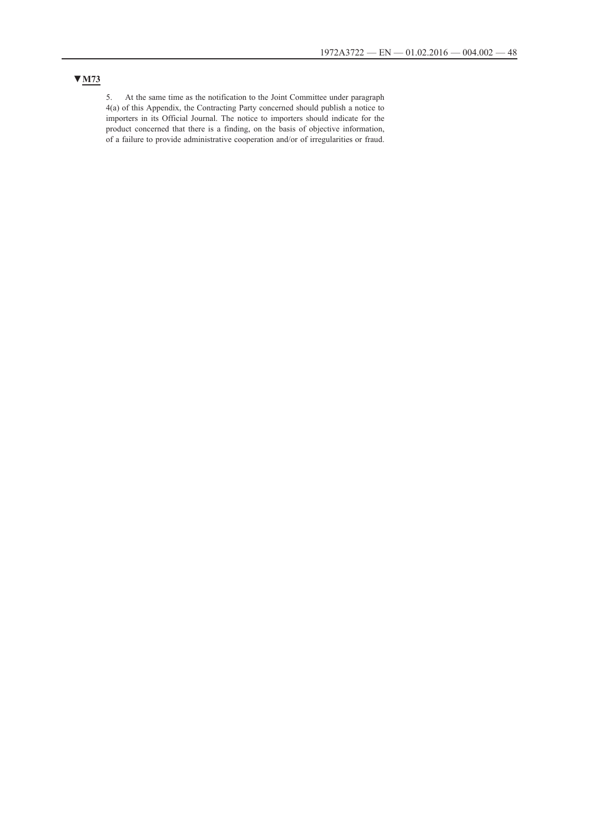5. At the same time as the notification to the Joint Committee under paragraph 4(a) of this Appendix, the Contracting Party concerned should publish a notice to importers in its Official Journal. The notice to importers should indicate for the product concerned that there is a finding, on the basis of objective information, of a failure to provide administrative cooperation and/or of irregularities or fraud.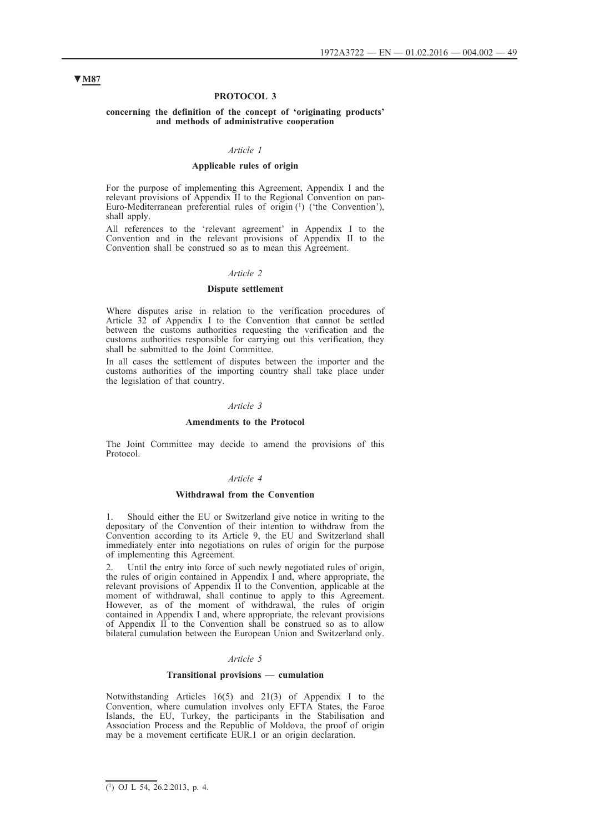### **PROTOCOL 3**

#### **concerning the definition of the concept of 'originating products' and methods of administrative cooperation**

### *Article 1*

### **Applicable rules of origin**

For the purpose of implementing this Agreement, Appendix I and the relevant provisions of Appendix II to the Regional Convention on pan-Euro-Mediterranean preferential rules of origin (<sup>1</sup>) ('the Convention'), shall apply.

All references to the 'relevant agreement' in Appendix I to the Convention and in the relevant provisions of Appendix II to the Convention shall be construed so as to mean this Agreement.

#### *Article 2*

### **Dispute settlement**

Where disputes arise in relation to the verification procedures of Article 32 of Appendix I to the Convention that cannot be settled between the customs authorities requesting the verification and the customs authorities responsible for carrying out this verification, they shall be submitted to the Joint Committee.

In all cases the settlement of disputes between the importer and the customs authorities of the importing country shall take place under the legislation of that country.

### *Article 3*

#### **Amendments to the Protocol**

The Joint Committee may decide to amend the provisions of this Protocol.

#### *Article 4*

#### **Withdrawal from the Convention**

1. Should either the EU or Switzerland give notice in writing to the depositary of the Convention of their intention to withdraw from the Convention according to its Article 9, the EU and Switzerland shall immediately enter into negotiations on rules of origin for the purpose of implementing this Agreement.

2. Until the entry into force of such newly negotiated rules of origin, the rules of origin contained in Appendix I and, where appropriate, the relevant provisions of Appendix II to the Convention, applicable at the moment of withdrawal, shall continue to apply to this Agreement. However, as of the moment of withdrawal, the rules of origin contained in Appendix I and, where appropriate, the relevant provisions of Appendix II to the Convention shall be construed so as to allow bilateral cumulation between the European Union and Switzerland only.

#### *Article 5*

## **Transitional provisions — cumulation**

Notwithstanding Articles 16(5) and 21(3) of Appendix I to the Convention, where cumulation involves only EFTA States, the Faroe Islands, the EU, Turkey, the participants in the Stabilisation and Association Process and the Republic of Moldova, the proof of origin may be a movement certificate EUR.1 or an origin declaration.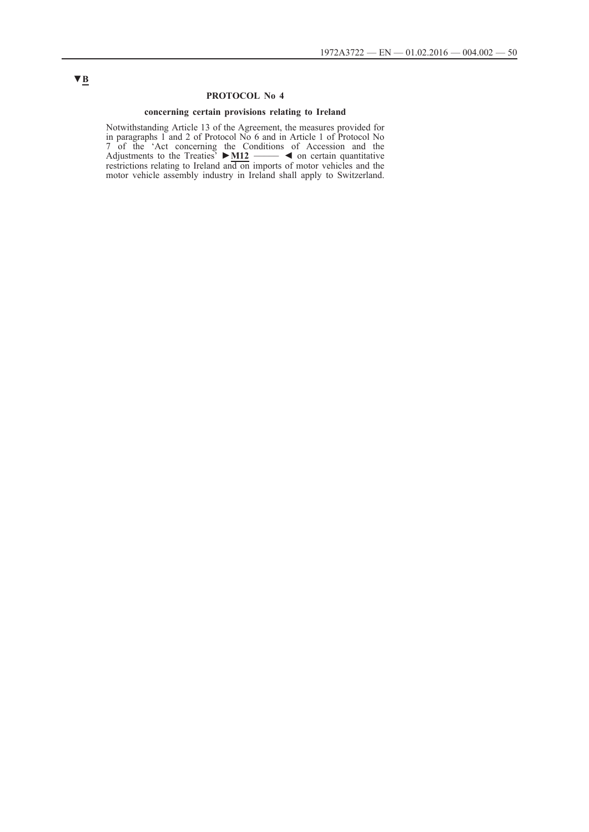## **PROTOCOL No 4**

### **concerning certain provisions relating to Ireland**

Notwithstanding Article 13 of the Agreement, the measures provided for in paragraphs 1 and 2 of Protocol No 6 and in Article 1 of Protocol No 7 of the 'Act concerning the Conditions of Accession and the Adjustments to the Treaties' **►M12** \_\_\_\_\_ ◄ on certain quantitative restrictions relating to Ireland and on imports of motor vehicles and the motor vehicle assembly industry in Ireland shall apply to Switzerland.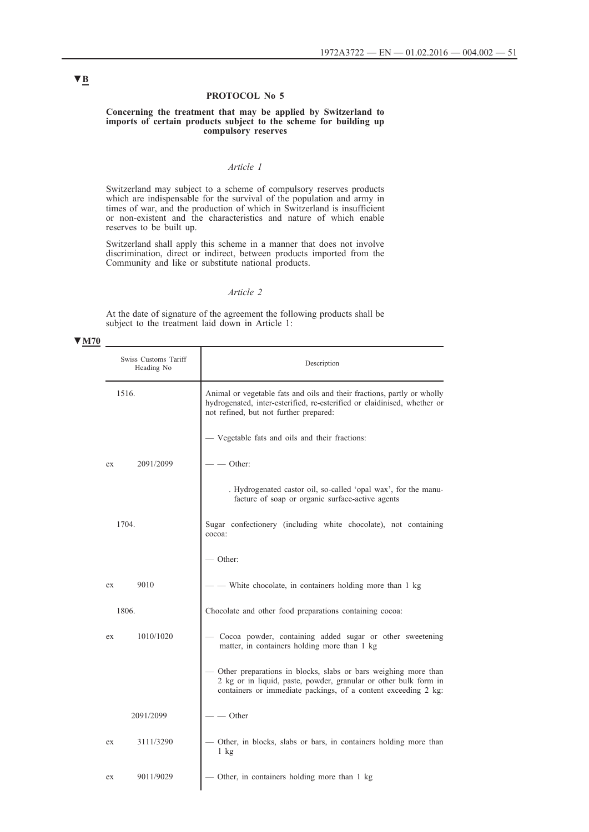# **PROTOCOL No 5**

### **Concerning the treatment that may be applied by Switzerland to imports of certain products subject to the scheme for building up compulsory reserves**

# *Article 1*

Switzerland may subject to a scheme of compulsory reserves products which are indispensable for the survival of the population and army in times of war, and the production of which in Switzerland is insufficient or non-existent and the characteristics and nature of which enable reserves to be built up.

Switzerland shall apply this scheme in a manner that does not involve discrimination, direct or indirect, between products imported from the Community and like or substitute national products.

## *Article 2*

At the date of signature of the agreement the following products shall be subject to the treatment laid down in Article 1:

#### **▼M70**

| Swiss Customs Tariff<br>Heading No | Description                                                                                                                                                                                          |
|------------------------------------|------------------------------------------------------------------------------------------------------------------------------------------------------------------------------------------------------|
| 1516.                              | Animal or vegetable fats and oils and their fractions, partly or wholly<br>hydrogenated, inter-esterified, re-esterified or elaidinised, whether or<br>not refined, but not further prepared:        |
|                                    | Vegetable fats and oils and their fractions:                                                                                                                                                         |
| 2091/2099<br>ex                    | Other:                                                                                                                                                                                               |
|                                    | . Hydrogenated castor oil, so-called 'opal wax', for the manu-<br>facture of soap or organic surface-active agents                                                                                   |
| 1704.                              | Sugar confectionery (including white chocolate), not containing<br>cocoa:                                                                                                                            |
|                                    | - Other:                                                                                                                                                                                             |
| 9010<br>ex                         | - White chocolate, in containers holding more than 1 kg                                                                                                                                              |
| 1806.                              | Chocolate and other food preparations containing cocoa:                                                                                                                                              |
| 1010/1020<br>ex                    | Cocoa powder, containing added sugar or other sweetening<br>matter, in containers holding more than 1 kg                                                                                             |
|                                    | Other preparations in blocks, slabs or bars weighing more than<br>2 kg or in liquid, paste, powder, granular or other bulk form in<br>containers or immediate packings, of a content exceeding 2 kg: |
| 2091/2099                          | $-$ Other                                                                                                                                                                                            |
| 3111/3290<br>ex                    | Other, in blocks, slabs or bars, in containers holding more than<br>$1 \text{ kg}$                                                                                                                   |
| 9011/9029<br>ex                    | Other, in containers holding more than 1 kg                                                                                                                                                          |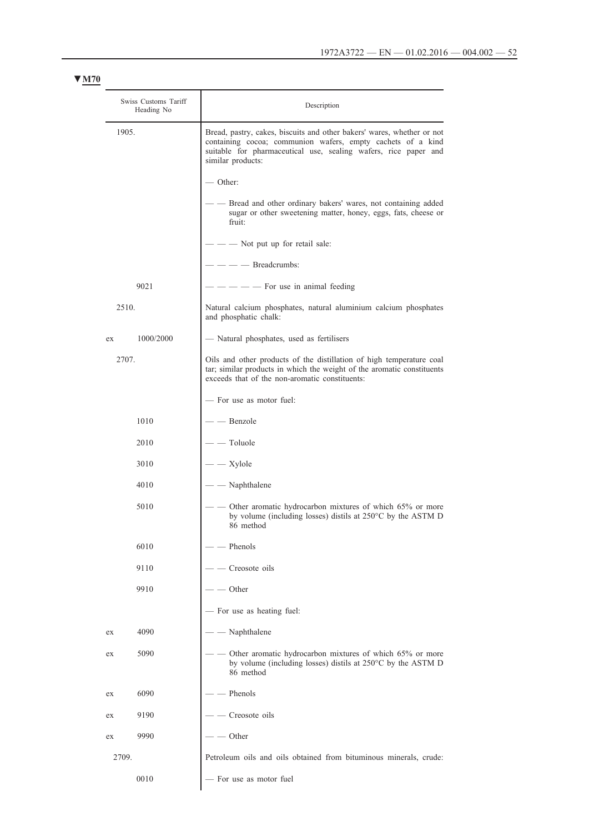| Swiss Customs Tariff<br>Heading No | Description                                                                                                                                                                                                                   |
|------------------------------------|-------------------------------------------------------------------------------------------------------------------------------------------------------------------------------------------------------------------------------|
| 1905.                              | Bread, pastry, cakes, biscuits and other bakers' wares, whether or not<br>containing cocoa; communion wafers, empty cachets of a kind<br>suitable for pharmaceutical use, sealing wafers, rice paper and<br>similar products: |
|                                    | - Other:                                                                                                                                                                                                                      |
|                                    | Bread and other ordinary bakers' wares, not containing added<br>sugar or other sweetening matter, honey, eggs, fats, cheese or<br>fruit:                                                                                      |
|                                    | Not put up for retail sale:                                                                                                                                                                                                   |
|                                    | - Breadcrumbs:                                                                                                                                                                                                                |
| 9021                               | - For use in animal feeding                                                                                                                                                                                                   |
| 2510.                              | Natural calcium phosphates, natural aluminium calcium phosphates<br>and phosphatic chalk:                                                                                                                                     |
| 1000/2000<br>ex                    | - Natural phosphates, used as fertilisers                                                                                                                                                                                     |
| 2707.                              | Oils and other products of the distillation of high temperature coal<br>tar; similar products in which the weight of the aromatic constituents<br>exceeds that of the non-aromatic constituents:                              |
|                                    | - For use as motor fuel:                                                                                                                                                                                                      |
| 1010                               | - Benzole                                                                                                                                                                                                                     |
| 2010                               | Toluole                                                                                                                                                                                                                       |
| 3010                               | Xylole                                                                                                                                                                                                                        |
| 4010                               | Naphthalene                                                                                                                                                                                                                   |
| 5010                               | Other aromatic hydrocarbon mixtures of which 65% or more<br>by volume (including losses) distils at 250°C by the ASTM D<br>86 method                                                                                          |
| 6010                               | Phenols                                                                                                                                                                                                                       |
| 9110                               | Creosote oils                                                                                                                                                                                                                 |
| 9910                               | Other                                                                                                                                                                                                                         |
|                                    | For use as heating fuel:                                                                                                                                                                                                      |
| 4090<br>ex                         | Naphthalene                                                                                                                                                                                                                   |
| 5090<br>ex                         | Other aromatic hydrocarbon mixtures of which 65% or more<br>by volume (including losses) distils at 250°C by the ASTM D<br>86 method                                                                                          |
| 6090<br>ex                         | Phenols                                                                                                                                                                                                                       |
| 9190<br>ex                         | Creosote oils                                                                                                                                                                                                                 |
| 9990<br>ex                         | Other                                                                                                                                                                                                                         |
| 2709.                              | Petroleum oils and oils obtained from bituminous minerals, crude:                                                                                                                                                             |
| 0010                               | - For use as motor fuel                                                                                                                                                                                                       |
|                                    |                                                                                                                                                                                                                               |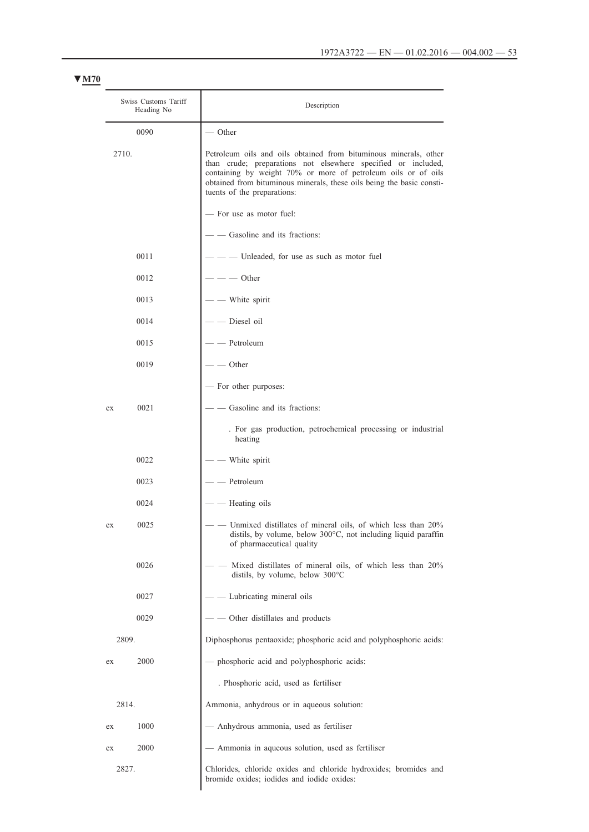| Swiss Customs Tariff<br>Heading No |      | Description                                                                                                                                                                                                                                                                                                |
|------------------------------------|------|------------------------------------------------------------------------------------------------------------------------------------------------------------------------------------------------------------------------------------------------------------------------------------------------------------|
|                                    | 0090 | — Other                                                                                                                                                                                                                                                                                                    |
| 2710.                              |      | Petroleum oils and oils obtained from bituminous minerals, other<br>than crude; preparations not elsewhere specified or included,<br>containing by weight 70% or more of petroleum oils or of oils<br>obtained from bituminous minerals, these oils being the basic consti-<br>tuents of the preparations: |
|                                    |      | - For use as motor fuel:                                                                                                                                                                                                                                                                                   |
|                                    |      | - Gasoline and its fractions:                                                                                                                                                                                                                                                                              |
|                                    | 0011 | - Unleaded, for use as such as motor fuel                                                                                                                                                                                                                                                                  |
|                                    | 0012 | - Other                                                                                                                                                                                                                                                                                                    |
|                                    | 0013 | - White spirit                                                                                                                                                                                                                                                                                             |
|                                    | 0014 | Diesel oil                                                                                                                                                                                                                                                                                                 |
|                                    | 0015 | Petroleum                                                                                                                                                                                                                                                                                                  |
|                                    | 0019 | Other                                                                                                                                                                                                                                                                                                      |
|                                    |      | - For other purposes:                                                                                                                                                                                                                                                                                      |
| ex                                 | 0021 | Gasoline and its fractions:                                                                                                                                                                                                                                                                                |
|                                    |      | . For gas production, petrochemical processing or industrial<br>heating                                                                                                                                                                                                                                    |
|                                    | 0022 | White spirit                                                                                                                                                                                                                                                                                               |
|                                    | 0023 | Petroleum                                                                                                                                                                                                                                                                                                  |
|                                    | 0024 | Heating oils                                                                                                                                                                                                                                                                                               |
| ex                                 | 0025 | Unmixed distillates of mineral oils, of which less than 20%<br>distils, by volume, below 300°C, not including liquid paraffin<br>of pharmaceutical quality                                                                                                                                                 |
|                                    | 0026 | Mixed distillates of mineral oils, of which less than 20%<br>distils, by volume, below 300°C                                                                                                                                                                                                               |
|                                    | 0027 | Lubricating mineral oils                                                                                                                                                                                                                                                                                   |
|                                    | 0029 | Other distillates and products                                                                                                                                                                                                                                                                             |
| 2809.                              |      | Diphosphorus pentaoxide; phosphoric acid and polyphosphoric acids:                                                                                                                                                                                                                                         |
| ex                                 | 2000 | - phosphoric acid and polyphosphoric acids:                                                                                                                                                                                                                                                                |
|                                    |      | . Phosphoric acid, used as fertiliser                                                                                                                                                                                                                                                                      |
| 2814.                              |      | Ammonia, anhydrous or in aqueous solution:                                                                                                                                                                                                                                                                 |
| ex                                 | 1000 | Anhydrous ammonia, used as fertiliser                                                                                                                                                                                                                                                                      |
| ex                                 | 2000 | - Ammonia in aqueous solution, used as fertiliser                                                                                                                                                                                                                                                          |
| 2827.                              |      | Chlorides, chloride oxides and chloride hydroxides; bromides and<br>bromide oxides; iodides and iodide oxides:                                                                                                                                                                                             |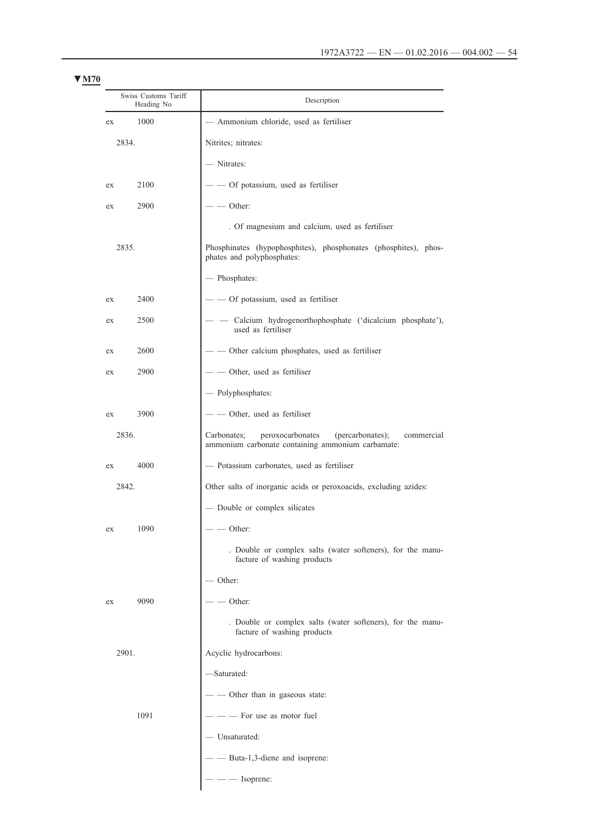| Swiss Customs Tariff<br>Heading No | Description                                                                                                            |
|------------------------------------|------------------------------------------------------------------------------------------------------------------------|
| 1000<br>ex                         | - Ammonium chloride, used as fertiliser                                                                                |
| 2834.                              | Nitrites; nitrates:                                                                                                    |
|                                    | - Nitrates:                                                                                                            |
| 2100<br>ex                         | - Of potassium, used as fertiliser                                                                                     |
| 2900<br>ex                         | - Other:                                                                                                               |
|                                    | . Of magnesium and calcium, used as fertiliser                                                                         |
| 2835.                              | Phosphinates (hypophosphites), phosphonates (phosphites), phos-<br>phates and polyphosphates:                          |
|                                    | - Phosphates:                                                                                                          |
| 2400<br>ex                         | - - Of potassium, used as fertiliser                                                                                   |
| 2500<br>ex                         | Calcium hydrogenorthophosphate ('dicalcium phosphate'),<br>used as fertiliser                                          |
| 2600<br>ex                         | - - Other calcium phosphates, used as fertiliser                                                                       |
| 2900<br>ex                         | - — Other, used as fertiliser                                                                                          |
|                                    | - Polyphosphates:                                                                                                      |
| 3900<br>ex                         | - - Other, used as fertiliser                                                                                          |
| 2836.                              | peroxocarbonates<br>(percarbonates);<br>Carbonates;<br>commercial<br>ammonium carbonate containing ammonium carbamate: |
| 4000<br>ex                         | - Potassium carbonates, used as fertiliser                                                                             |
| 2842.                              | Other salts of inorganic acids or peroxoacids, excluding azides:                                                       |
|                                    | Double or complex silicates                                                                                            |
| ex<br>1090                         | — Other:                                                                                                               |
|                                    | . Double or complex salts (water softeners), for the manu-<br>facture of washing products                              |
|                                    | - Other:                                                                                                               |
| 9090<br>ex                         | Other:                                                                                                                 |
|                                    | . Double or complex salts (water softeners), for the manu-<br>facture of washing products                              |
| 2901.                              | Acyclic hydrocarbons:                                                                                                  |
|                                    | -Saturated:                                                                                                            |
|                                    | - - Other than in gaseous state:                                                                                       |
| 1091                               | - For use as motor fuel                                                                                                |
|                                    | - Unsaturated:                                                                                                         |
|                                    | - Buta-1,3-diene and isoprene:                                                                                         |
|                                    | $-$ Isoprene:                                                                                                          |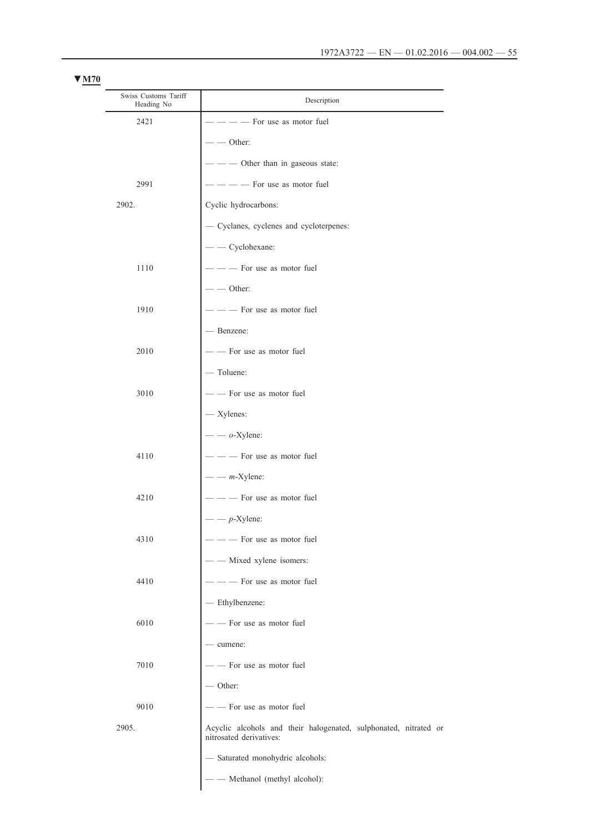| Swiss Customs Tariff<br>Heading No | Description                                                                                 |
|------------------------------------|---------------------------------------------------------------------------------------------|
| 2421                               | - For use as motor fuel                                                                     |
|                                    | - Other:                                                                                    |
|                                    | - Other than in gaseous state:                                                              |
| 2991                               | - For use as motor fuel                                                                     |
| 2902.                              | Cyclic hydrocarbons:                                                                        |
|                                    | - Cyclanes, cyclenes and cycloterpenes:                                                     |
|                                    | - Cyclohexane:                                                                              |
| 1110                               | - For use as motor fuel                                                                     |
|                                    | $-$ Other:                                                                                  |
| 1910                               | - - For use as motor fuel                                                                   |
|                                    | - Benzene:                                                                                  |
| 2010                               | -- For use as motor fuel                                                                    |
|                                    | - Toluene:                                                                                  |
| 3010                               | - - For use as motor fuel                                                                   |
|                                    | - Xylenes:                                                                                  |
|                                    | $ o$ -Xylene:                                                                               |
| 4110                               | - For use as motor fuel                                                                     |
|                                    | $  m$ -Xylene:                                                                              |
| 4210                               | - For use as motor fuel                                                                     |
|                                    | $-p$ -Xylene:                                                                               |
| 4310                               | --- For use as motor fuel                                                                   |
|                                    | - - Mixed xylene isomers:                                                                   |
| 4410                               | $-$ - For use as motor fuel                                                                 |
|                                    | - Ethylbenzene:                                                                             |
| 6010                               | - - For use as motor fuel                                                                   |
|                                    | - cumene:                                                                                   |
| 7010                               | - - For use as motor fuel                                                                   |
|                                    | $-$ Other:                                                                                  |
| 9010                               | --- For use as motor fuel                                                                   |
| 2905.                              | Acyclic alcohols and their halogenated, sulphonated, nitrated or<br>nitrosated derivatives: |
|                                    | - Saturated monohydric alcohols:                                                            |
|                                    | - - Methanol (methyl alcohol):                                                              |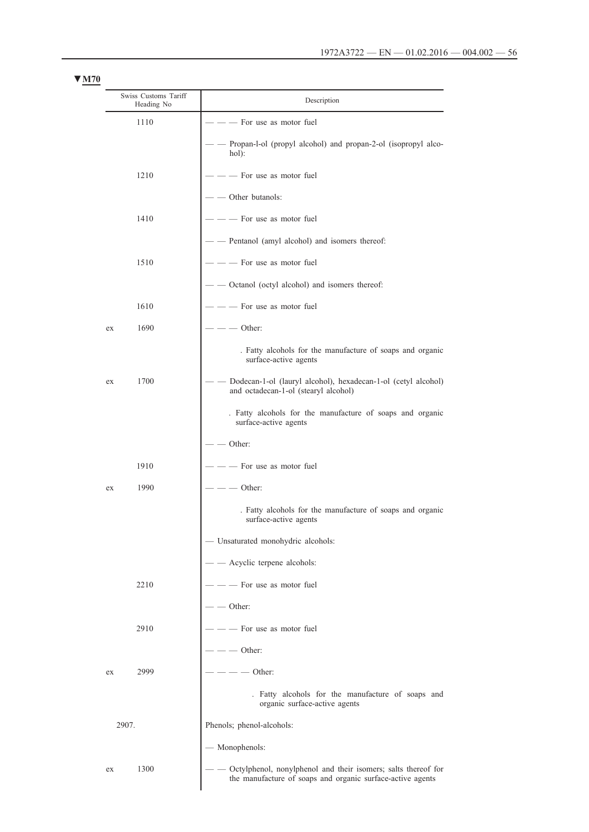|       | Swiss Customs Tariff<br>Heading No | Description                                                                                                                 |
|-------|------------------------------------|-----------------------------------------------------------------------------------------------------------------------------|
|       | 1110                               | For use as motor fuel                                                                                                       |
|       |                                    | Propan-l-ol (propyl alcohol) and propan-2-ol (isopropyl alco-<br>hol):                                                      |
|       | 1210                               | For use as motor fuel                                                                                                       |
|       |                                    | Other butanols:                                                                                                             |
|       | 1410                               | For use as motor fuel                                                                                                       |
|       |                                    | Pentanol (amyl alcohol) and isomers thereof:                                                                                |
|       | 1510                               | - For use as motor fuel                                                                                                     |
|       |                                    | Octanol (octyl alcohol) and isomers thereof:                                                                                |
|       | 1610                               | For use as motor fuel                                                                                                       |
| ex    | 1690                               | Other:                                                                                                                      |
|       |                                    | . Fatty alcohols for the manufacture of soaps and organic<br>surface-active agents                                          |
| ex    | 1700                               | Dodecan-1-ol (lauryl alcohol), hexadecan-1-ol (cetyl alcohol)<br>and octadecan-1-ol (stearyl alcohol)                       |
|       |                                    | . Fatty alcohols for the manufacture of soaps and organic<br>surface-active agents                                          |
|       |                                    | Other:                                                                                                                      |
|       | 1910                               | For use as motor fuel                                                                                                       |
| ex    | 1990                               | Other:                                                                                                                      |
|       |                                    | . Fatty alcohols for the manufacture of soaps and organic<br>surface-active agents                                          |
|       |                                    | - Unsaturated monohydric alcohols:                                                                                          |
|       |                                    | Acyclic terpene alcohols:                                                                                                   |
|       | 2210                               | For use as motor fuel                                                                                                       |
|       |                                    | - Other:                                                                                                                    |
|       | 2910                               | For use as motor fuel                                                                                                       |
|       |                                    | Other:                                                                                                                      |
| ex    | 2999                               | - Other:                                                                                                                    |
|       |                                    | . Fatty alcohols for the manufacture of soaps and<br>organic surface-active agents                                          |
| 2907. |                                    | Phenols; phenol-alcohols:                                                                                                   |
|       |                                    | - Monophenols:                                                                                                              |
| ex    | 1300                               | Octylphenol, nonylphenol and their isomers; salts thereof for<br>the manufacture of soaps and organic surface-active agents |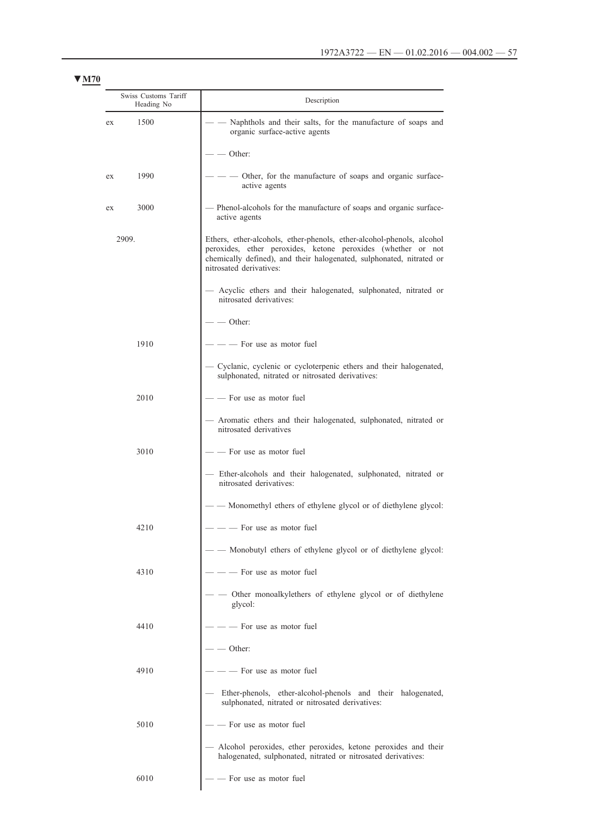| Swiss Customs Tariff<br>Heading No | Description                                                                                                                                                                                                                              |
|------------------------------------|------------------------------------------------------------------------------------------------------------------------------------------------------------------------------------------------------------------------------------------|
| 1500<br>ex                         | Naphthols and their salts, for the manufacture of soaps and<br>organic surface-active agents                                                                                                                                             |
|                                    | Other:                                                                                                                                                                                                                                   |
| 1990<br>ex                         | Other, for the manufacture of soaps and organic surface-<br>active agents                                                                                                                                                                |
| 3000<br>ex                         | Phenol-alcohols for the manufacture of soaps and organic surface-<br>active agents                                                                                                                                                       |
| 2909.                              | Ethers, ether-alcohols, ether-phenols, ether-alcohol-phenols, alcohol<br>peroxides, ether peroxides, ketone peroxides (whether or not<br>chemically defined), and their halogenated, sulphonated, nitrated or<br>nitrosated derivatives: |
|                                    | Acyclic ethers and their halogenated, sulphonated, nitrated or<br>nitrosated derivatives:                                                                                                                                                |
|                                    | $\sim$ Other:                                                                                                                                                                                                                            |
| 1910                               | - For use as motor fuel                                                                                                                                                                                                                  |
|                                    | - Cyclanic, cyclenic or cycloterpenic ethers and their halogenated,<br>sulphonated, nitrated or nitrosated derivatives:                                                                                                                  |
| 2010                               | - For use as motor fuel                                                                                                                                                                                                                  |
|                                    | Aromatic ethers and their halogenated, sulphonated, nitrated or<br>nitrosated derivatives                                                                                                                                                |
| 3010                               | - For use as motor fuel                                                                                                                                                                                                                  |
|                                    | Ether-alcohols and their halogenated, sulphonated, nitrated or<br>nitrosated derivatives:                                                                                                                                                |
|                                    | Monomethyl ethers of ethylene glycol or of diethylene glycol:                                                                                                                                                                            |
| 4210                               | - For use as motor fuel                                                                                                                                                                                                                  |
|                                    | Monobutyl ethers of ethylene glycol or of diethylene glycol:                                                                                                                                                                             |
| 4310                               | - For use as motor fuel                                                                                                                                                                                                                  |
|                                    | Other monoalkylethers of ethylene glycol or of diethylene<br>glycol:                                                                                                                                                                     |
| 4410                               | - For use as motor fuel                                                                                                                                                                                                                  |
|                                    | - Other:                                                                                                                                                                                                                                 |
| 4910                               | - For use as motor fuel                                                                                                                                                                                                                  |
|                                    | Ether-phenols, ether-alcohol-phenols and their halogenated,<br>sulphonated, nitrated or nitrosated derivatives:                                                                                                                          |
| 5010                               | - For use as motor fuel                                                                                                                                                                                                                  |
|                                    | Alcohol peroxides, ether peroxides, ketone peroxides and their<br>halogenated, sulphonated, nitrated or nitrosated derivatives:                                                                                                          |
| 6010                               | - For use as motor fuel                                                                                                                                                                                                                  |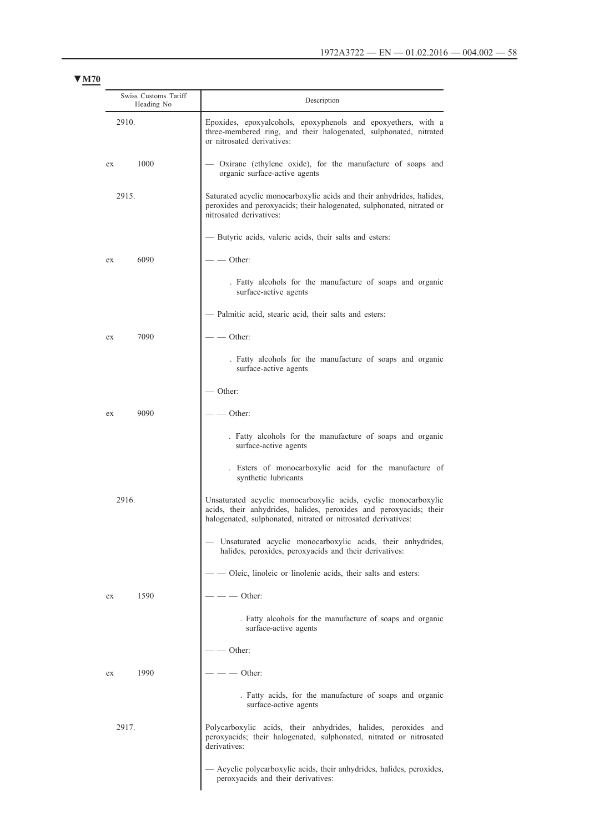| Swiss Customs Tariff<br>Heading No | Description                                                                                                                                                                                            |
|------------------------------------|--------------------------------------------------------------------------------------------------------------------------------------------------------------------------------------------------------|
| 2910.                              | Epoxides, epoxyalcohols, epoxyphenols and epoxyethers, with a<br>three-membered ring, and their halogenated, sulphonated, nitrated<br>or nitrosated derivatives:                                       |
| 1000<br>ex                         | Oxirane (ethylene oxide), for the manufacture of soaps and<br>organic surface-active agents                                                                                                            |
| 2915.                              | Saturated acyclic monocarboxylic acids and their anhydrides, halides,<br>peroxides and peroxyacids; their halogenated, sulphonated, nitrated or<br>nitrosated derivatives:                             |
|                                    | - Butyric acids, valeric acids, their salts and esters:                                                                                                                                                |
| 6090<br>ex                         | Other:                                                                                                                                                                                                 |
|                                    | . Fatty alcohols for the manufacture of soaps and organic<br>surface-active agents                                                                                                                     |
|                                    | - Palmitic acid, stearic acid, their salts and esters:                                                                                                                                                 |
| 7090<br>ex                         | - Other:                                                                                                                                                                                               |
|                                    | . Fatty alcohols for the manufacture of soaps and organic<br>surface-active agents                                                                                                                     |
|                                    | - Other:                                                                                                                                                                                               |
| 9090<br>ex                         | Other:                                                                                                                                                                                                 |
|                                    | . Fatty alcohols for the manufacture of soaps and organic<br>surface-active agents                                                                                                                     |
|                                    | . Esters of monocarboxylic acid for the manufacture of<br>synthetic lubricants                                                                                                                         |
| 2916                               | Unsaturated acyclic monocarboxylic acids, cyclic monocarboxylic<br>acids, their anhydrides, halides, peroxides and peroxyacids; their<br>halogenated, sulphonated, nitrated or nitrosated derivatives: |
|                                    | Unsaturated acyclic monocarboxylic acids, their anhydrides,<br>halides, peroxides, peroxyacids and their derivatives:                                                                                  |
|                                    | - Oleic, linoleic or linolenic acids, their salts and esters:                                                                                                                                          |
| 1590<br>ex                         | - Other:                                                                                                                                                                                               |
|                                    | . Fatty alcohols for the manufacture of soaps and organic<br>surface-active agents                                                                                                                     |
|                                    | - Other:                                                                                                                                                                                               |
| 1990<br>ex                         | Other:                                                                                                                                                                                                 |
|                                    | . Fatty acids, for the manufacture of soaps and organic<br>surface-active agents                                                                                                                       |
| 2917.                              | Polycarboxylic acids, their anhydrides, halides, peroxides and<br>peroxyacids; their halogenated, sulphonated, nitrated or nitrosated<br>derivatives:                                                  |
|                                    | Acyclic polycarboxylic acids, their anhydrides, halides, peroxides,<br>peroxyacids and their derivatives:                                                                                              |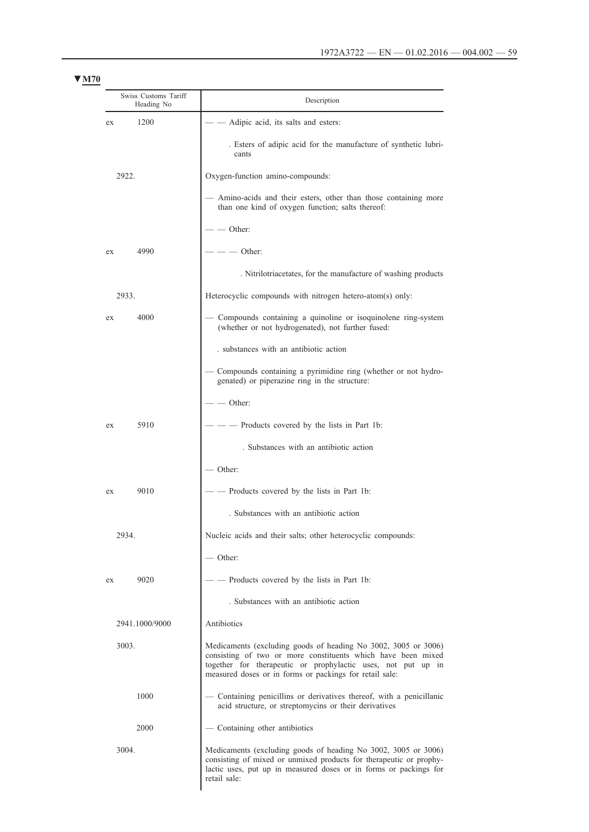| Swiss Customs Tariff<br>Heading No | Description                                                                                                                                                                                                                                               |
|------------------------------------|-----------------------------------------------------------------------------------------------------------------------------------------------------------------------------------------------------------------------------------------------------------|
| 1200<br>ex                         | Adipic acid, its salts and esters:                                                                                                                                                                                                                        |
|                                    | . Esters of adipic acid for the manufacture of synthetic lubri-<br>cants                                                                                                                                                                                  |
| 2922.                              | Oxygen-function amino-compounds:                                                                                                                                                                                                                          |
|                                    | - Amino-acids and their esters, other than those containing more<br>than one kind of oxygen function; salts thereof:                                                                                                                                      |
|                                    | $\sim$ Other:                                                                                                                                                                                                                                             |
| 4990<br>ex                         | - Other:                                                                                                                                                                                                                                                  |
|                                    | . Nitrilotriacetates, for the manufacture of washing products                                                                                                                                                                                             |
| 2933.                              | Heterocyclic compounds with nitrogen hetero-atom(s) only:                                                                                                                                                                                                 |
| 4000<br>ex                         | Compounds containing a quinoline or isoquinolene ring-system<br>(whether or not hydrogenated), not further fused:                                                                                                                                         |
|                                    | substances with an antibiotic action                                                                                                                                                                                                                      |
|                                    | Compounds containing a pyrimidine ring (whether or not hydro-<br>genated) or piperazine ring in the structure:                                                                                                                                            |
|                                    | $\sim$ Other:                                                                                                                                                                                                                                             |
| 5910<br>ex                         | Products covered by the lists in Part 1b:                                                                                                                                                                                                                 |
|                                    | . Substances with an antibiotic action                                                                                                                                                                                                                    |
|                                    | Other:                                                                                                                                                                                                                                                    |
| 9010<br>ex                         | Products covered by the lists in Part 1b:                                                                                                                                                                                                                 |
|                                    | . Substances with an antibiotic action                                                                                                                                                                                                                    |
| 2934.                              | Nucleic acids and their salts; other heterocyclic compounds:                                                                                                                                                                                              |
|                                    | $-$ Other:                                                                                                                                                                                                                                                |
| 9020<br>ex                         | Products covered by the lists in Part 1b:                                                                                                                                                                                                                 |
|                                    | . Substances with an antibiotic action                                                                                                                                                                                                                    |
| 2941.1000/9000                     | Antibiotics                                                                                                                                                                                                                                               |
| 3003.                              | Medicaments (excluding goods of heading No 3002, 3005 or 3006)<br>consisting of two or more constituents which have been mixed<br>together for therapeutic or prophylactic uses, not put up in<br>measured doses or in forms or packings for retail sale: |
| 1000                               | Containing penicillins or derivatives thereof, with a penicillanic<br>acid structure, or streptomycins or their derivatives                                                                                                                               |
| 2000                               | - Containing other antibiotics                                                                                                                                                                                                                            |
| 3004.                              | Medicaments (excluding goods of heading No 3002, 3005 or 3006)<br>consisting of mixed or unmixed products for therapeutic or prophy-<br>lactic uses, put up in measured doses or in forms or packings for<br>retail sale:                                 |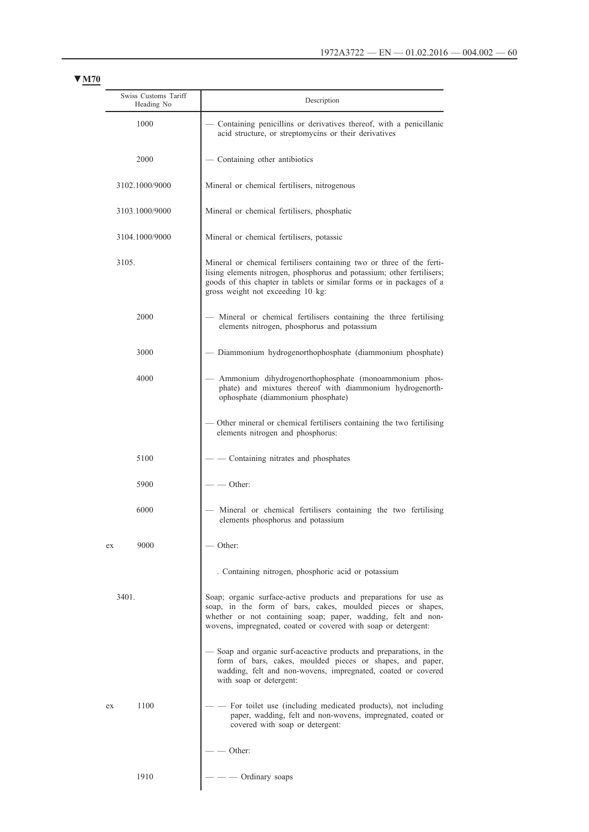| Swiss Customs Tariff<br>Heading No | Description                                                                                                                                                                                                                                                         |  |  |
|------------------------------------|---------------------------------------------------------------------------------------------------------------------------------------------------------------------------------------------------------------------------------------------------------------------|--|--|
| 1000                               | Containing penicillins or derivatives thereof, with a penicillanic<br>acid structure, or streptomycins or their derivatives                                                                                                                                         |  |  |
| 2000                               | Containing other antibiotics                                                                                                                                                                                                                                        |  |  |
| 3102.1000/9000                     | Mineral or chemical fertilisers, nitrogenous                                                                                                                                                                                                                        |  |  |
| 3103.1000/9000                     | Mineral or chemical fertilisers, phosphatic                                                                                                                                                                                                                         |  |  |
| 3104.1000/9000                     | Mineral or chemical fertilisers, potassic                                                                                                                                                                                                                           |  |  |
| 3105.                              | Mineral or chemical fertilisers containing two or three of the ferti-<br>lising elements nitrogen, phosphorus and potassium; other fertilisers;<br>goods of this chapter in tablets or similar forms or in packages of a<br>gross weight not exceeding 10 kg:       |  |  |
| 2000                               | Mineral or chemical fertilisers containing the three fertilising<br>elements nitrogen, phosphorus and potassium                                                                                                                                                     |  |  |
| 3000                               | - Diammonium hydrogenorthophosphate (diammonium phosphate)                                                                                                                                                                                                          |  |  |
| 4000                               | Ammonium dihydrogenorthophosphate (monoammonium phos-<br>phate) and mixtures thereof with diammonium hydrogenorth-<br>ophosphate (diammonium phosphate)                                                                                                             |  |  |
|                                    | Other mineral or chemical fertilisers containing the two fertilising<br>elements nitrogen and phosphorus:                                                                                                                                                           |  |  |
| 5100                               | Containing nitrates and phosphates                                                                                                                                                                                                                                  |  |  |
| 5900                               | - Other:                                                                                                                                                                                                                                                            |  |  |
| 6000                               | Mineral or chemical fertilisers containing the two fertilising<br>elements phosphorus and potassium                                                                                                                                                                 |  |  |
| 9000<br>ex                         | Other:                                                                                                                                                                                                                                                              |  |  |
|                                    | . Containing nitrogen, phosphoric acid or potassium                                                                                                                                                                                                                 |  |  |
| 3401.                              | Soap; organic surface-active products and preparations for use as<br>soap, in the form of bars, cakes, moulded pieces or shapes,<br>whether or not containing soap; paper, wadding, felt and non-<br>wovens, impregnated, coated or covered with soap or detergent: |  |  |
|                                    | Soap and organic surf-aceactive products and preparations, in the<br>form of bars, cakes, moulded pieces or shapes, and paper,<br>wadding, felt and non-wovens, impregnated, coated or covered<br>with soap or detergent:                                           |  |  |
| 1100<br>ex                         | For toilet use (including medicated products), not including<br>paper, wadding, felt and non-wovens, impregnated, coated or<br>covered with soap or detergent:                                                                                                      |  |  |
|                                    | Other:                                                                                                                                                                                                                                                              |  |  |
| 1910                               | Ordinary soaps                                                                                                                                                                                                                                                      |  |  |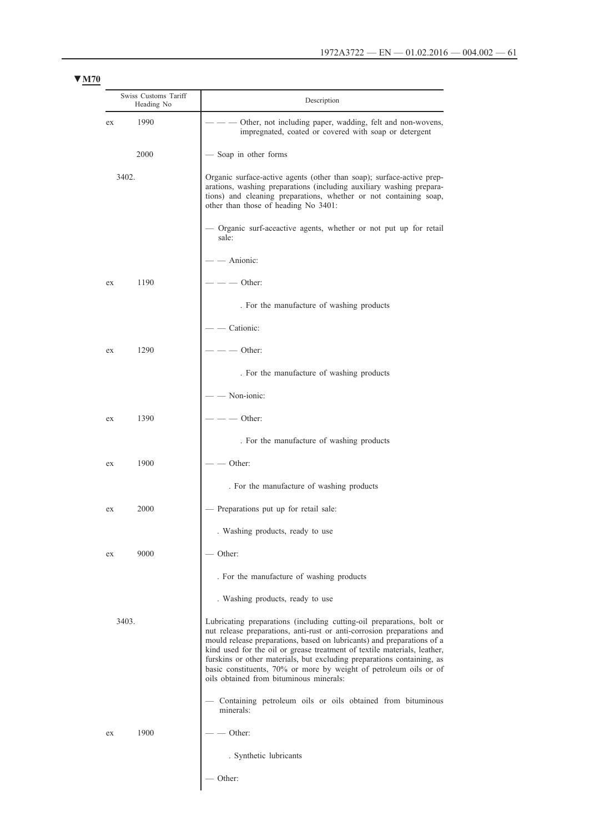| Swiss Customs Tariff<br>Heading No |      | Description                                                                                                                                                                                                                                                                                                                                                                                                                                                                                     |  |
|------------------------------------|------|-------------------------------------------------------------------------------------------------------------------------------------------------------------------------------------------------------------------------------------------------------------------------------------------------------------------------------------------------------------------------------------------------------------------------------------------------------------------------------------------------|--|
| ex                                 | 1990 | Other, not including paper, wadding, felt and non-wovens,<br>impregnated, coated or covered with soap or detergent                                                                                                                                                                                                                                                                                                                                                                              |  |
|                                    | 2000 | Soap in other forms                                                                                                                                                                                                                                                                                                                                                                                                                                                                             |  |
| 3402.                              |      | Organic surface-active agents (other than soap); surface-active prep-<br>arations, washing preparations (including auxiliary washing prepara-<br>tions) and cleaning preparations, whether or not containing soap,<br>other than those of heading No 3401:                                                                                                                                                                                                                                      |  |
|                                    |      | Organic surf-aceactive agents, whether or not put up for retail<br>sale:                                                                                                                                                                                                                                                                                                                                                                                                                        |  |
|                                    |      | - Anionic:                                                                                                                                                                                                                                                                                                                                                                                                                                                                                      |  |
| ex                                 | 1190 | Other:                                                                                                                                                                                                                                                                                                                                                                                                                                                                                          |  |
|                                    |      | . For the manufacture of washing products                                                                                                                                                                                                                                                                                                                                                                                                                                                       |  |
|                                    |      | Cationic:                                                                                                                                                                                                                                                                                                                                                                                                                                                                                       |  |
| ex                                 | 1290 | Other:                                                                                                                                                                                                                                                                                                                                                                                                                                                                                          |  |
|                                    |      | . For the manufacture of washing products                                                                                                                                                                                                                                                                                                                                                                                                                                                       |  |
|                                    |      | Non-ionic:                                                                                                                                                                                                                                                                                                                                                                                                                                                                                      |  |
| ex                                 | 1390 | Other:                                                                                                                                                                                                                                                                                                                                                                                                                                                                                          |  |
|                                    |      | . For the manufacture of washing products                                                                                                                                                                                                                                                                                                                                                                                                                                                       |  |
| ex                                 | 1900 | Other:                                                                                                                                                                                                                                                                                                                                                                                                                                                                                          |  |
|                                    |      | . For the manufacture of washing products                                                                                                                                                                                                                                                                                                                                                                                                                                                       |  |
| ex                                 | 2000 | Preparations put up for retail sale:                                                                                                                                                                                                                                                                                                                                                                                                                                                            |  |
|                                    |      | . Washing products, ready to use                                                                                                                                                                                                                                                                                                                                                                                                                                                                |  |
| ex                                 | 9000 | Other:                                                                                                                                                                                                                                                                                                                                                                                                                                                                                          |  |
|                                    |      | . For the manufacture of washing products                                                                                                                                                                                                                                                                                                                                                                                                                                                       |  |
|                                    |      | . Washing products, ready to use                                                                                                                                                                                                                                                                                                                                                                                                                                                                |  |
| 3403.                              |      | Lubricating preparations (including cutting-oil preparations, bolt or<br>nut release preparations, anti-rust or anti-corrosion preparations and<br>mould release preparations, based on lubricants) and preparations of a<br>kind used for the oil or grease treatment of textile materials, leather,<br>furskins or other materials, but excluding preparations containing, as<br>basic constituents, 70% or more by weight of petroleum oils or of<br>oils obtained from bituminous minerals: |  |
|                                    |      | Containing petroleum oils or oils obtained from bituminous<br>minerals:                                                                                                                                                                                                                                                                                                                                                                                                                         |  |
| ex                                 | 1900 | Other:                                                                                                                                                                                                                                                                                                                                                                                                                                                                                          |  |
|                                    |      | . Synthetic lubricants                                                                                                                                                                                                                                                                                                                                                                                                                                                                          |  |
|                                    |      | Other:                                                                                                                                                                                                                                                                                                                                                                                                                                                                                          |  |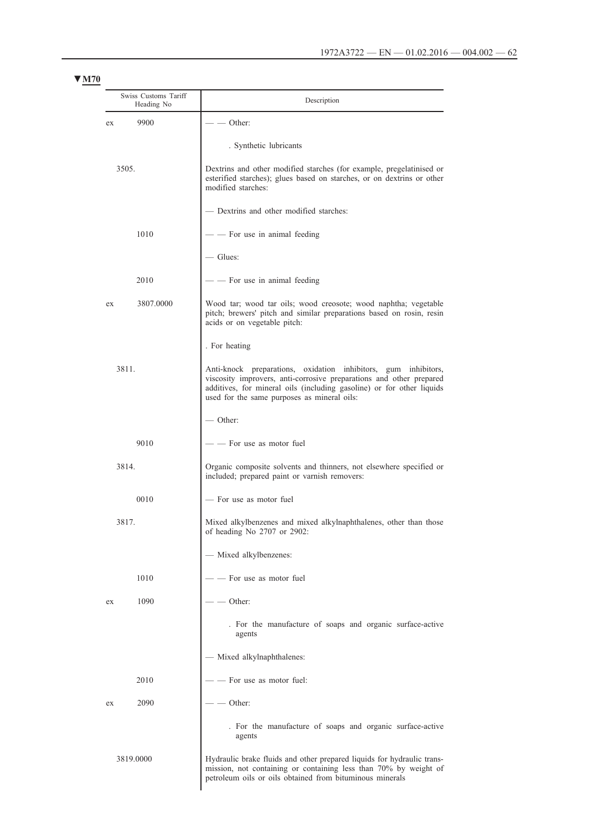| Swiss Customs Tariff<br>Heading No |           | Description                                                                                                                                                                                                                                                                                                                                                                                                                       |  |
|------------------------------------|-----------|-----------------------------------------------------------------------------------------------------------------------------------------------------------------------------------------------------------------------------------------------------------------------------------------------------------------------------------------------------------------------------------------------------------------------------------|--|
| ex                                 | 9900      | - Other:                                                                                                                                                                                                                                                                                                                                                                                                                          |  |
|                                    |           | . Synthetic lubricants                                                                                                                                                                                                                                                                                                                                                                                                            |  |
| 3505.                              |           | Dextrins and other modified starches (for example, pregelatinised or<br>esterified starches); glues based on starches, or on dextrins or other<br>modified starches:                                                                                                                                                                                                                                                              |  |
|                                    |           | - Dextrins and other modified starches:                                                                                                                                                                                                                                                                                                                                                                                           |  |
|                                    | 1010      | $\frac{1}{\sqrt{1-\frac{1}{\sqrt{1-\frac{1}{\sqrt{1-\frac{1}{\sqrt{1-\frac{1}{\sqrt{1-\frac{1}{\sqrt{1-\frac{1}{\sqrt{1-\frac{1}{\sqrt{1-\frac{1}{\sqrt{1-\frac{1}{\sqrt{1-\frac{1}{\sqrt{1-\frac{1}{\sqrt{1-\frac{1}{\sqrt{1-\frac{1}{\sqrt{1-\frac{1}{\sqrt{1-\frac{1}{\sqrt{1-\frac{1}{\sqrt{1-\frac{1}{\sqrt{1-\frac{1}{\sqrt{1-\frac{1}{\sqrt{1-\frac{1}{\sqrt{1-\frac{1}{\sqrt{1-\frac{1}{\sqrt{1-\frac{1}{\sqrt{1-\frac{1$ |  |
|                                    |           | — Glues:                                                                                                                                                                                                                                                                                                                                                                                                                          |  |
|                                    | 2010      | - For use in animal feeding                                                                                                                                                                                                                                                                                                                                                                                                       |  |
| ex                                 | 3807.0000 | Wood tar; wood tar oils; wood creosote; wood naphtha; vegetable<br>pitch; brewers' pitch and similar preparations based on rosin, resin<br>acids or on vegetable pitch:                                                                                                                                                                                                                                                           |  |
|                                    |           | . For heating                                                                                                                                                                                                                                                                                                                                                                                                                     |  |
| 3811.                              |           | Anti-knock preparations, oxidation inhibitors, gum inhibitors,<br>viscosity improvers, anti-corrosive preparations and other prepared<br>additives, for mineral oils (including gasoline) or for other liquids<br>used for the same purposes as mineral oils:                                                                                                                                                                     |  |
|                                    |           | $\sim$ Other:                                                                                                                                                                                                                                                                                                                                                                                                                     |  |
|                                    | 9010      | - For use as motor fuel                                                                                                                                                                                                                                                                                                                                                                                                           |  |
| 3814.                              |           | Organic composite solvents and thinners, not elsewhere specified or<br>included; prepared paint or varnish removers:                                                                                                                                                                                                                                                                                                              |  |
|                                    | 0010      | - For use as motor fuel                                                                                                                                                                                                                                                                                                                                                                                                           |  |
| 3817.                              |           | Mixed alkylbenzenes and mixed alkylnaphthalenes, other than those<br>of heading No 2707 or 2902:                                                                                                                                                                                                                                                                                                                                  |  |
|                                    |           | - Mixed alkylbenzenes:                                                                                                                                                                                                                                                                                                                                                                                                            |  |
|                                    | 1010      | - - For use as motor fuel                                                                                                                                                                                                                                                                                                                                                                                                         |  |
| ex                                 | 1090      | - Other:                                                                                                                                                                                                                                                                                                                                                                                                                          |  |
|                                    |           | . For the manufacture of soaps and organic surface-active<br>agents                                                                                                                                                                                                                                                                                                                                                               |  |
|                                    |           | - Mixed alkylnaphthalenes:                                                                                                                                                                                                                                                                                                                                                                                                        |  |
|                                    | 2010      | - For use as motor fuel:                                                                                                                                                                                                                                                                                                                                                                                                          |  |
| ex                                 | 2090      | - Other:                                                                                                                                                                                                                                                                                                                                                                                                                          |  |
|                                    |           | . For the manufacture of soaps and organic surface-active<br>agents                                                                                                                                                                                                                                                                                                                                                               |  |
|                                    | 3819.0000 | Hydraulic brake fluids and other prepared liquids for hydraulic trans-<br>mission, not containing or containing less than 70% by weight of                                                                                                                                                                                                                                                                                        |  |

petroleum oils or oils obtained from bituminous minerals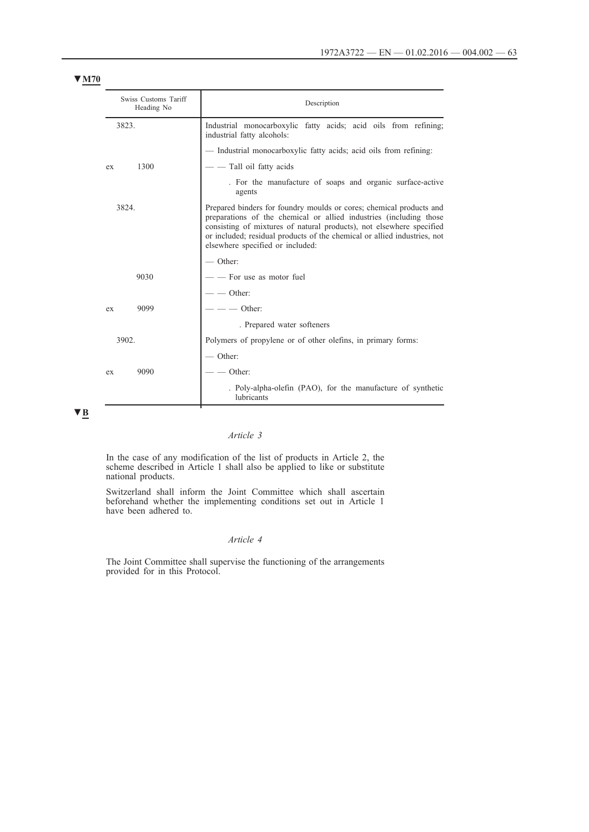| Swiss Customs Tariff<br>Heading No | Description                                                                                                                                                                                                                                                                                                                       |
|------------------------------------|-----------------------------------------------------------------------------------------------------------------------------------------------------------------------------------------------------------------------------------------------------------------------------------------------------------------------------------|
| 3823.                              | Industrial monocarboxylic fatty acids; acid oils from refining;<br>industrial fatty alcohols:                                                                                                                                                                                                                                     |
|                                    | - Industrial monocarboxylic fatty acids; acid oils from refining:                                                                                                                                                                                                                                                                 |
| 1300<br>ex                         | - - Tall oil fatty acids                                                                                                                                                                                                                                                                                                          |
|                                    | . For the manufacture of soaps and organic surface-active<br>agents                                                                                                                                                                                                                                                               |
| 3824.                              | Prepared binders for foundry moulds or cores; chemical products and<br>preparations of the chemical or allied industries (including those<br>consisting of mixtures of natural products), not elsewhere specified<br>or included; residual products of the chemical or allied industries, not<br>elsewhere specified or included: |
|                                    | $\sim$ Other:                                                                                                                                                                                                                                                                                                                     |
| 9030                               | - For use as motor fuel                                                                                                                                                                                                                                                                                                           |
|                                    | $ -$ Other:                                                                                                                                                                                                                                                                                                                       |
| 9099<br>ex                         | $ \sim$ Other:                                                                                                                                                                                                                                                                                                                    |
|                                    | . Prepared water softeners                                                                                                                                                                                                                                                                                                        |
| 3902.                              | Polymers of propylene or of other olefins, in primary forms:                                                                                                                                                                                                                                                                      |
|                                    | $\sim$ Other:                                                                                                                                                                                                                                                                                                                     |
| 9090<br>ex                         | Other:                                                                                                                                                                                                                                                                                                                            |
|                                    | . Poly-alpha-olefin (PAO), for the manufacture of synthetic<br>lubricants                                                                                                                                                                                                                                                         |

**▼B**

# *Article 3*

In the case of any modification of the list of products in Article 2, the scheme described in Article 1 shall also be applied to like or substitute national products.

Switzerland shall inform the Joint Committee which shall ascertain beforehand whether the implementing conditions set out in Article 1 have been adhered to.

# *Article 4*

The Joint Committee shall supervise the functioning of the arrangements provided for in this Protocol.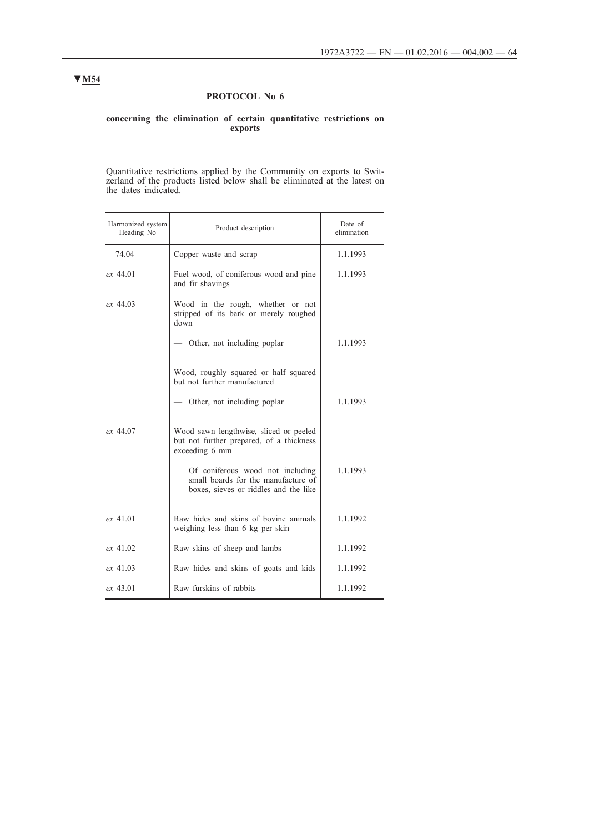# **PROTOCOL No 6**

### **concerning the elimination of certain quantitative restrictions on exports**

Quantitative restrictions applied by the Community on exports to Switzerland of the products listed below shall be eliminated at the latest on the dates indicated.

| Harmonized system<br>Heading No | Product description                                                                                              | Date of<br>elimination |
|---------------------------------|------------------------------------------------------------------------------------------------------------------|------------------------|
| 74.04                           | Copper waste and scrap                                                                                           | 1.1.1993               |
| $ex\,44.01$                     | Fuel wood, of coniferous wood and pine<br>and fir shavings                                                       | 1.1.1993               |
| $ex\,44.03$                     | Wood in the rough, whether or not<br>stripped of its bark or merely roughed<br>down                              |                        |
|                                 | — Other, not including poplar                                                                                    | 1.1.1993               |
|                                 | Wood, roughly squared or half squared<br>but not further manufactured                                            |                        |
|                                 | — Other, not including poplar                                                                                    | 1.1.1993               |
| ex 44.07                        | Wood sawn lengthwise, sliced or peeled<br>but not further prepared, of a thickness<br>exceeding 6 mm             |                        |
|                                 | Of coniferous wood not including<br>small boards for the manufacture of<br>boxes, sieves or riddles and the like | 1.1.1993               |
| ex 41.01                        | Raw hides and skins of bovine animals<br>weighing less than 6 kg per skin                                        | 1.1.1992               |
| $ex$ 41.02                      | Raw skins of sheep and lambs                                                                                     | 1.1.1992               |
| $ex$ 41.03                      | Raw hides and skins of goats and kids                                                                            | 1.1.1992               |
| $ex$ 43.01                      | Raw furskins of rabbits                                                                                          | 1.1.1992               |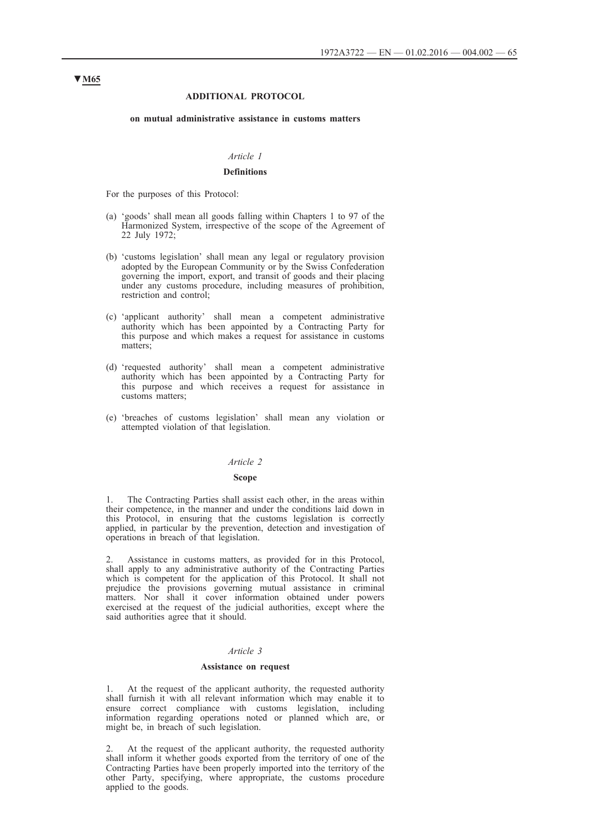### **ADDITIONAL PROTOCOL**

#### **on mutual administrative assistance in customs matters**

## *Article 1*

### **Definitions**

For the purposes of this Protocol:

- (a) 'goods' shall mean all goods falling within Chapters 1 to 97 of the Harmonized System, irrespective of the scope of the Agreement of 22 July 1972;
- (b) 'customs legislation' shall mean any legal or regulatory provision adopted by the European Community or by the Swiss Confederation governing the import, export, and transit of goods and their placing under any customs procedure, including measures of prohibition, restriction and control;
- (c) 'applicant authority' shall mean a competent administrative authority which has been appointed by a Contracting Party for this purpose and which makes a request for assistance in customs matters;
- (d) 'requested authority' shall mean a competent administrative authority which has been appointed by a Contracting Party for this purpose and which receives a request for assistance in customs matters;
- (e) 'breaches of customs legislation' shall mean any violation or attempted violation of that legislation.

### *Article 2*

#### **Scope**

1. The Contracting Parties shall assist each other, in the areas within their competence, in the manner and under the conditions laid down in this Protocol, in ensuring that the customs legislation is correctly applied, in particular by the prevention, detection and investigation of operations in breach of that legislation.

Assistance in customs matters, as provided for in this Protocol, shall apply to any administrative authority of the Contracting Parties which is competent for the application of this Protocol. It shall not prejudice the provisions governing mutual assistance in criminal matters. Nor shall it cover information obtained under powers exercised at the request of the judicial authorities, except where the said authorities agree that it should.

### *Article 3*

#### **Assistance on request**

1. At the request of the applicant authority, the requested authority shall furnish it with all relevant information which may enable it to ensure correct compliance with customs legislation, including information regarding operations noted or planned which are, or might be, in breach of such legislation.

2. At the request of the applicant authority, the requested authority shall inform it whether goods exported from the territory of one of the Contracting Parties have been properly imported into the territory of the other Party, specifying, where appropriate, the customs procedure applied to the goods.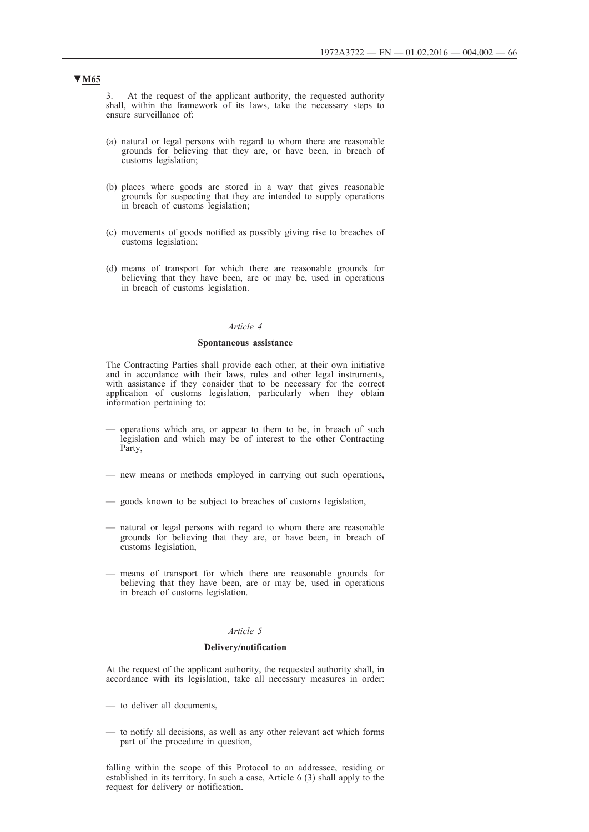3. At the request of the applicant authority, the requested authority shall, within the framework of its laws, take the necessary steps to ensure surveillance of:

- (a) natural or legal persons with regard to whom there are reasonable grounds for believing that they are, or have been, in breach of customs legislation;
- (b) places where goods are stored in a way that gives reasonable grounds for suspecting that they are intended to supply operations in breach of customs legislation;
- (c) movements of goods notified as possibly giving rise to breaches of customs legislation;
- (d) means of transport for which there are reasonable grounds for believing that they have been, are or may be, used in operations in breach of customs legislation.

#### *Article 4*

#### **Spontaneous assistance**

The Contracting Parties shall provide each other, at their own initiative and in accordance with their laws, rules and other legal instruments, with assistance if they consider that to be necessary for the correct application of customs legislation, particularly when they obtain information pertaining to:

- operations which are, or appear to them to be, in breach of such legislation and which may be of interest to the other Contracting Party,
- new means or methods employed in carrying out such operations,
- goods known to be subject to breaches of customs legislation,
- natural or legal persons with regard to whom there are reasonable grounds for believing that they are, or have been, in breach of customs legislation,
- means of transport for which there are reasonable grounds for believing that they have been, are or may be, used in operations in breach of customs legislation.

### *Article 5*

#### **Delivery/notification**

At the request of the applicant authority, the requested authority shall, in accordance with its legislation, take all necessary measures in order:

- to deliver all documents,
- to notify all decisions, as well as any other relevant act which forms part of the procedure in question,

falling within the scope of this Protocol to an addressee, residing or established in its territory. In such a case, Article 6 (3) shall apply to the request for delivery or notification.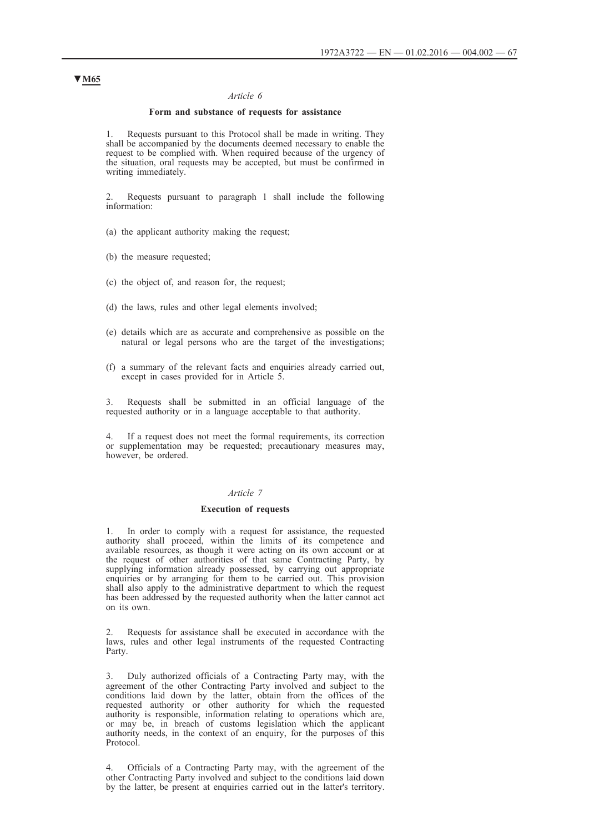### *Article 6*

#### **Form and substance of requests for assistance**

1. Requests pursuant to this Protocol shall be made in writing. They shall be accompanied by the documents deemed necessary to enable the request to be complied with. When required because of the urgency of the situation, oral requests may be accepted, but must be confirmed in writing immediately.

2. Requests pursuant to paragraph 1 shall include the following information:

(a) the applicant authority making the request;

(b) the measure requested;

- (c) the object of, and reason for, the request;
- (d) the laws, rules and other legal elements involved;
- (e) details which are as accurate and comprehensive as possible on the natural or legal persons who are the target of the investigations;
- (f) a summary of the relevant facts and enquiries already carried out, except in cases provided for in Article 5.

Requests shall be submitted in an official language of the requested authority or in a language acceptable to that authority.

4. If a request does not meet the formal requirements, its correction or supplementation may be requested; precautionary measures may, however, be ordered.

### *Article 7*

#### **Execution of requests**

1. In order to comply with a request for assistance, the requested authority shall proceed, within the limits of its competence and available resources, as though it were acting on its own account or at the request of other authorities of that same Contracting Party, by supplying information already possessed, by carrying out appropriate enquiries or by arranging for them to be carried out. This provision shall also apply to the administrative department to which the request has been addressed by the requested authority when the latter cannot act on its own.

2. Requests for assistance shall be executed in accordance with the laws, rules and other legal instruments of the requested Contracting Party.

3. Duly authorized officials of a Contracting Party may, with the agreement of the other Contracting Party involved and subject to the conditions laid down by the latter, obtain from the offices of the requested authority or other authority for which the requested authority is responsible, information relating to operations which are, or may be, in breach of customs legislation which the applicant authority needs, in the context of an enquiry, for the purposes of this Protocol.

4. Officials of a Contracting Party may, with the agreement of the other Contracting Party involved and subject to the conditions laid down by the latter, be present at enquiries carried out in the latter's territory.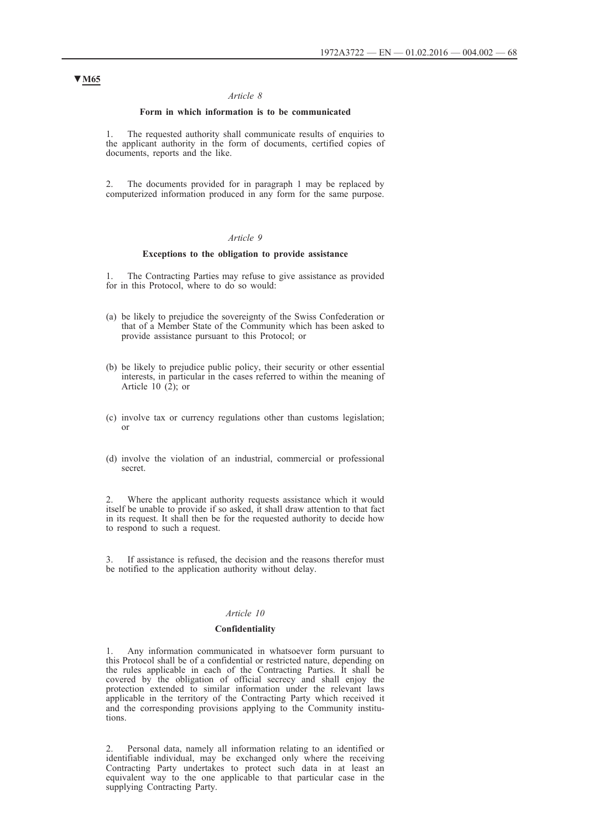### *Article 8*

### **Form in which information is to be communicated**

1. The requested authority shall communicate results of enquiries to the applicant authority in the form of documents, certified copies of documents, reports and the like.

2. The documents provided for in paragraph 1 may be replaced by computerized information produced in any form for the same purpose.

### *Article 9*

### **Exceptions to the obligation to provide assistance**

The Contracting Parties may refuse to give assistance as provided for in this Protocol, where to do so would:

- (a) be likely to prejudice the sovereignty of the Swiss Confederation or that of a Member State of the Community which has been asked to provide assistance pursuant to this Protocol; or
- (b) be likely to prejudice public policy, their security or other essential interests, in particular in the cases referred to within the meaning of Article 10 $(2)$ ; or
- (c) involve tax or currency regulations other than customs legislation; or
- (d) involve the violation of an industrial, commercial or professional secret.

2. Where the applicant authority requests assistance which it would itself be unable to provide if so asked, it shall draw attention to that fact in its request. It shall then be for the requested authority to decide how to respond to such a request.

If assistance is refused, the decision and the reasons therefor must be notified to the application authority without delay.

## *Article 10*

#### **Confidentiality**

Any information communicated in whatsoever form pursuant to this Protocol shall be of a confidential or restricted nature, depending on the rules applicable in each of the Contracting Parties. It shall be covered by the obligation of official secrecy and shall enjoy the protection extended to similar information under the relevant laws applicable in the territory of the Contracting Party which received it and the corresponding provisions applying to the Community institutions.

2. Personal data, namely all information relating to an identified or identifiable individual, may be exchanged only where the receiving Contracting Party undertakes to protect such data in at least an equivalent way to the one applicable to that particular case in the supplying Contracting Party.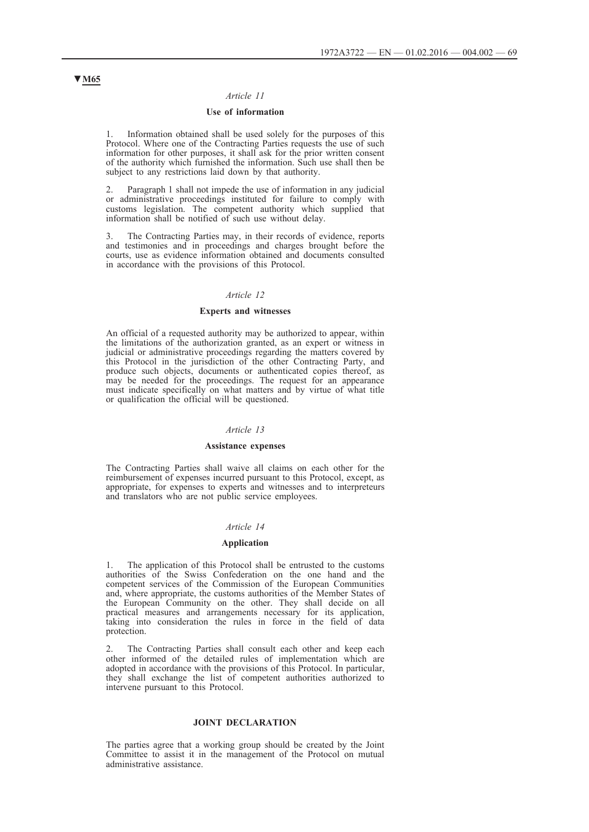## *Article 11*

### **Use of information**

1. Information obtained shall be used solely for the purposes of this Protocol. Where one of the Contracting Parties requests the use of such information for other purposes, it shall ask for the prior written consent of the authority which furnished the information. Such use shall then be subject to any restrictions laid down by that authority.

2. Paragraph 1 shall not impede the use of information in any judicial or administrative proceedings instituted for failure to comply with customs legislation. The competent authority which supplied that information shall be notified of such use without delay.

3. The Contracting Parties may, in their records of evidence, reports and testimonies and in proceedings and charges brought before the courts, use as evidence information obtained and documents consulted in accordance with the provisions of this Protocol.

### *Article 12*

### **Experts and witnesses**

An official of a requested authority may be authorized to appear, within the limitations of the authorization granted, as an expert or witness in judicial or administrative proceedings regarding the matters covered by this Protocol in the jurisdiction of the other Contracting Party, and produce such objects, documents or authenticated copies thereof, as may be needed for the proceedings. The request for an appearance must indicate specifically on what matters and by virtue of what title or qualification the official will be questioned.

### *Article 13*

#### **Assistance expenses**

The Contracting Parties shall waive all claims on each other for the reimbursement of expenses incurred pursuant to this Protocol, except, as appropriate, for expenses to experts and witnesses and to interpreteurs and translators who are not public service employees.

### *Article 14*

#### **Application**

The application of this Protocol shall be entrusted to the customs authorities of the Swiss Confederation on the one hand and the competent services of the Commission of the European Communities and, where appropriate, the customs authorities of the Member States of the European Community on the other. They shall decide on all practical measures and arrangements necessary for its application, taking into consideration the rules in force in the field of data protection.

2. The Contracting Parties shall consult each other and keep each other informed of the detailed rules of implementation which are adopted in accordance with the provisions of this Protocol. In particular, they shall exchange the list of competent authorities authorized to intervene pursuant to this Protocol.

#### **JOINT DECLARATION**

The parties agree that a working group should be created by the Joint Committee to assist it in the management of the Protocol on mutual administrative assistance.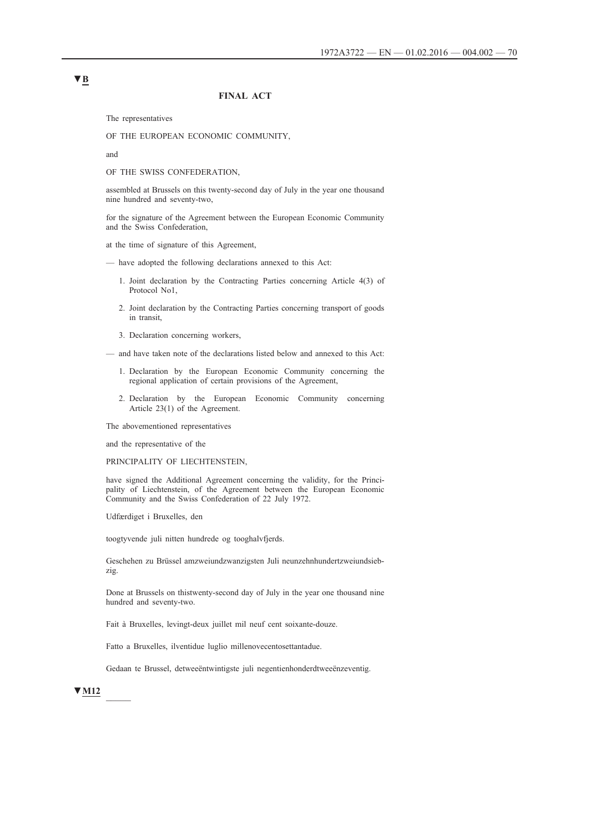### **FINAL ACT**

The representatives

OF THE EUROPEAN ECONOMIC COMMUNITY,

and

OF THE SWISS CONFEDERATION,

assembled at Brussels on this twenty-second day of July in the year one thousand nine hundred and seventy-two,

for the signature of the Agreement between the European Economic Community and the Swiss Confederation,

at the time of signature of this Agreement,

- have adopted the following declarations annexed to this Act:
	- 1. Joint declaration by the Contracting Parties concerning Article 4(3) of Protocol No1,
	- 2. Joint declaration by the Contracting Parties concerning transport of goods in transit,
	- 3. Declaration concerning workers,

— and have taken note of the declarations listed below and annexed to this Act:

- 1. Declaration by the European Economic Community concerning the regional application of certain provisions of the Agreement,
- 2. Declaration by the European Economic Community concerning Article 23(1) of the Agreement.

The abovementioned representatives

and the representative of the

PRINCIPALITY OF LIECHTENSTEIN,

have signed the Additional Agreement concerning the validity, for the Principality of Liechtenstein, of the Agreement between the European Economic Community and the Swiss Confederation of 22 July 1972.

Udfærdiget i Bruxelles, den

toogtyvende juli nitten hundrede og tooghalvfjerds.

Geschehen zu Brüssel amzweiundzwanzigsten Juli neunzehnhundertzweiundsiebzig.

Done at Brussels on thistwenty-second day of July in the year one thousand nine hundred and seventy-two.

Fait à Bruxelles, levingt-deux juillet mil neuf cent soixante-douze.

Fatto a Bruxelles, ilventidue luglio millenovecentosettantadue.

Gedaan te Brussel, detweeëntwintigste juli negentienhonderdtweeënzeventig.

## **▼M12** \_\_\_\_\_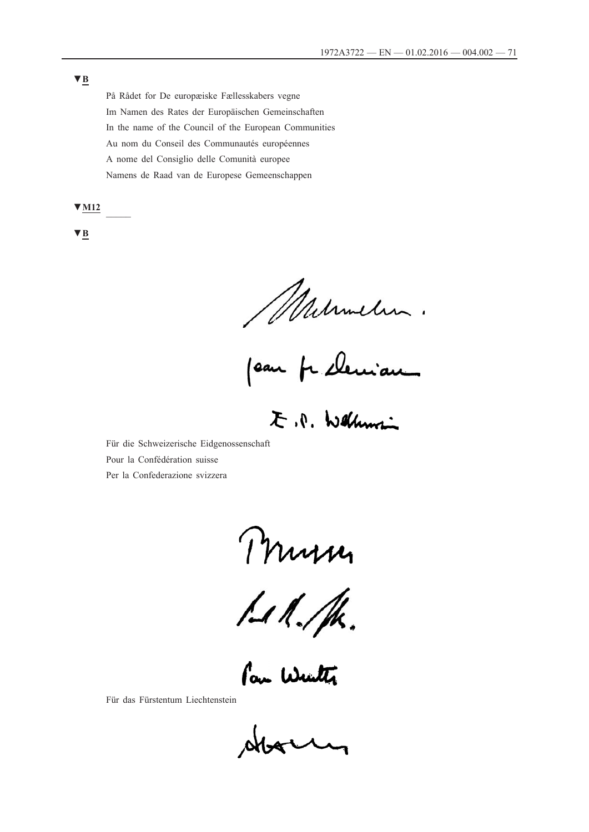På Rådet for De europæiske Fællesskabers vegne Im Namen des Rates der Europäischen Gemeinschaften In the name of the Council of the European Communities Au nom du Conseil des Communautés européennes A nome del Consiglio delle Comunità europee Namens de Raad van de Europese Gemeenschappen

**▼M12** \_\_\_\_\_

**▼B**

Milimetin.<br>Jean prelemian.

E.P. Wellumi

Für die Schweizerische Eidgenossenschaft Pour la Confédération suisse Per la Confederazione svizzera

Murin

Pour Wenter 

Für das Fürstentum Liechtenstein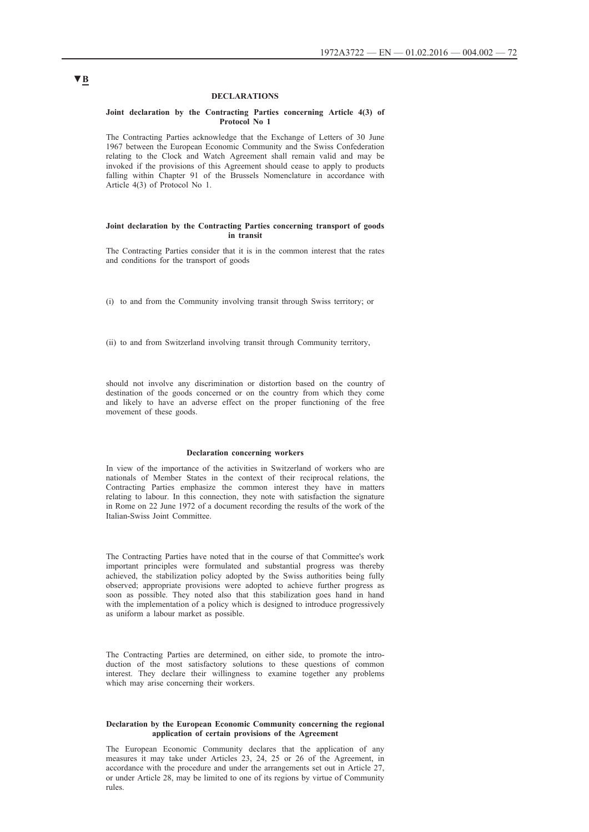#### **DECLARATIONS**

#### **Joint declaration by the Contracting Parties concerning Article 4(3) of Protocol No 1**

The Contracting Parties acknowledge that the Exchange of Letters of 30 June 1967 between the European Economic Community and the Swiss Confederation relating to the Clock and Watch Agreement shall remain valid and may be invoked if the provisions of this Agreement should cease to apply to products falling within Chapter 91 of the Brussels Nomenclature in accordance with Article 4(3) of Protocol No 1.

#### **Joint declaration by the Contracting Parties concerning transport of goods in transit**

The Contracting Parties consider that it is in the common interest that the rates and conditions for the transport of goods

(i) to and from the Community involving transit through Swiss territory; or

(ii) to and from Switzerland involving transit through Community territory,

should not involve any discrimination or distortion based on the country of destination of the goods concerned or on the country from which they come and likely to have an adverse effect on the proper functioning of the free movement of these goods.

#### **Declaration concerning workers**

In view of the importance of the activities in Switzerland of workers who are nationals of Member States in the context of their reciprocal relations, the Contracting Parties emphasize the common interest they have in matters relating to labour. In this connection, they note with satisfaction the signature in Rome on 22 June 1972 of a document recording the results of the work of the Italian-Swiss Joint Committee.

The Contracting Parties have noted that in the course of that Committee's work important principles were formulated and substantial progress was thereby achieved, the stabilization policy adopted by the Swiss authorities being fully observed; appropriate provisions were adopted to achieve further progress as soon as possible. They noted also that this stabilization goes hand in hand with the implementation of a policy which is designed to introduce progressively as uniform a labour market as possible.

The Contracting Parties are determined, on either side, to promote the introduction of the most satisfactory solutions to these questions of common interest. They declare their willingness to examine together any problems which may arise concerning their workers.

#### **Declaration by the European Economic Community concerning the regional application of certain provisions of the Agreement**

The European Economic Community declares that the application of any measures it may take under Articles 23, 24, 25 or 26 of the Agreement, in accordance with the procedure and under the arrangements set out in Article 27, or under Article 28, may be limited to one of its regions by virtue of Community rules.